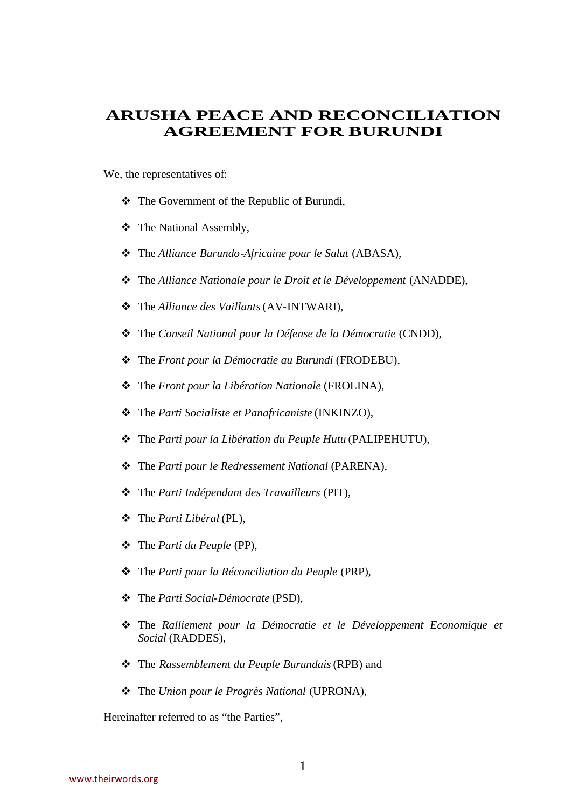# **ARUSHA PEACE AND RECONCILIATION AGREEMENT FOR BURUNDI**

#### We, the representatives of:

- \* The Government of the Republic of Burundi,
- **❖** The National Assembly,
- \* The *Alliance Burundo-Africaine pour le Salut* (ABASA),
- \* The *Alliance Nationale pour le Droit et le Développement* (ANADDE),
- v The *Alliance des Vaillants* (AV-INTWARI),
- \* The *Conseil National pour la Défense de la Démocratie* (CNDD),
- \* The *Front pour la Démocratie au Burundi* (FRODEBU),
- \* The *Front pour la Libération Nationale* (FROLINA),
- v The *Parti Socialiste et Panafricaniste* (INKINZO),
- \* The *Parti pour la Libération du Peuple Hutu* (PALIPEHUTU),
- \* The *Parti pour le Redressement National* (PARENA),
- v The *Parti Indépendant des Travailleurs* (PIT),
- v The *Parti Libéral* (PL),
- v The *Parti du Peuple* (PP),
- \* The *Parti pour la Réconciliation du Peuple* (PRP),
- v The *Parti Social-Démocrate* (PSD),
- v The *Ralliement pour la Démocratie et le Développement Economique et Social* (RADDES),
- v The *Rassemblement du Peuple Burundais* (RPB) and
- v The *Union pour le Progrès National* (UPRONA),

Hereinafter referred to as "the Parties",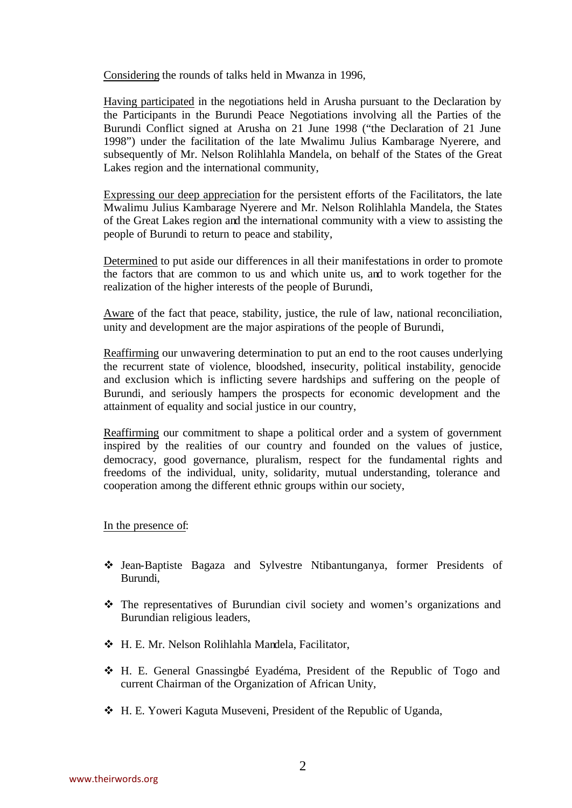Considering the rounds of talks held in Mwanza in 1996,

Having participated in the negotiations held in Arusha pursuant to the Declaration by the Participants in the Burundi Peace Negotiations involving all the Parties of the Burundi Conflict signed at Arusha on 21 June 1998 ("the Declaration of 21 June 1998") under the facilitation of the late Mwalimu Julius Kambarage Nyerere, and subsequently of Mr. Nelson Rolihlahla Mandela, on behalf of the States of the Great Lakes region and the international community,

Expressing our deep appreciation for the persistent efforts of the Facilitators, the late Mwalimu Julius Kambarage Nyerere and Mr. Nelson Rolihlahla Mandela, the States of the Great Lakes region and the international community with a view to assisting the people of Burundi to return to peace and stability,

Determined to put aside our differences in all their manifestations in order to promote the factors that are common to us and which unite us, and to work together for the realization of the higher interests of the people of Burundi,

Aware of the fact that peace, stability, justice, the rule of law, national reconciliation, unity and development are the major aspirations of the people of Burundi,

Reaffirming our unwavering determination to put an end to the root causes underlying the recurrent state of violence, bloodshed, insecurity, political instability, genocide and exclusion which is inflicting severe hardships and suffering on the people of Burundi, and seriously hampers the prospects for economic development and the attainment of equality and social justice in our country,

Reaffirming our commitment to shape a political order and a system of government inspired by the realities of our country and founded on the values of justice, democracy, good governance, pluralism, respect for the fundamental rights and freedoms of the individual, unity, solidarity, mutual understanding, tolerance and cooperation among the different ethnic groups within our society,

## In the presence of:

- v Jean-Baptiste Bagaza and Sylvestre Ntibantunganya, former Presidents of Burundi,
- $\hat{\mathbf{v}}$  The representatives of Burundian civil society and women's organizations and Burundian religious leaders,
- v H. E. Mr. Nelson Rolihlahla Mandela, Facilitator,
- v H. E. General Gnassingbé Eyadéma, President of the Republic of Togo and current Chairman of the Organization of African Unity,
- v H. E. Yoweri Kaguta Museveni, President of the Republic of Uganda,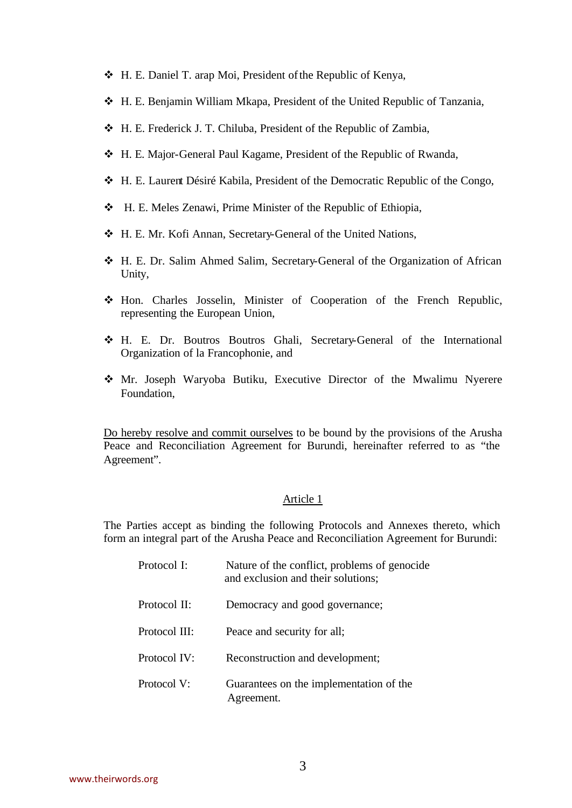- v H. E. Daniel T. arap Moi, President of the Republic of Kenya,
- v H. E. Benjamin William Mkapa, President of the United Republic of Tanzania,
- v H. E. Frederick J. T. Chiluba, President of the Republic of Zambia,
- v H. E. Major-General Paul Kagame, President of the Republic of Rwanda,
- v H. E. Laurent Désiré Kabila, President of the Democratic Republic of the Congo,
- v H. E. Meles Zenawi, Prime Minister of the Republic of Ethiopia,
- v H. E. Mr. Kofi Annan, Secretary-General of the United Nations,
- v H. E. Dr. Salim Ahmed Salim, Secretary-General of the Organization of African Unity,
- v Hon. Charles Josselin, Minister of Cooperation of the French Republic, representing the European Union,
- v H. E. Dr. Boutros Boutros Ghali, Secretary-General of the International Organization of la Francophonie, and
- v Mr. Joseph Waryoba Butiku, Executive Director of the Mwalimu Nyerere Foundation,

Do hereby resolve and commit ourselves to be bound by the provisions of the Arusha Peace and Reconciliation Agreement for Burundi, hereinafter referred to as "the Agreement".

#### Article 1

The Parties accept as binding the following Protocols and Annexes thereto, which form an integral part of the Arusha Peace and Reconciliation Agreement for Burundi:

| Protocol I:   | Nature of the conflict, problems of genocide.<br>and exclusion and their solutions; |
|---------------|-------------------------------------------------------------------------------------|
| Protocol II:  | Democracy and good governance;                                                      |
| Protocol III: | Peace and security for all;                                                         |
| Protocol IV:  | Reconstruction and development;                                                     |
| Protocol V:   | Guarantees on the implementation of the<br>Agreement.                               |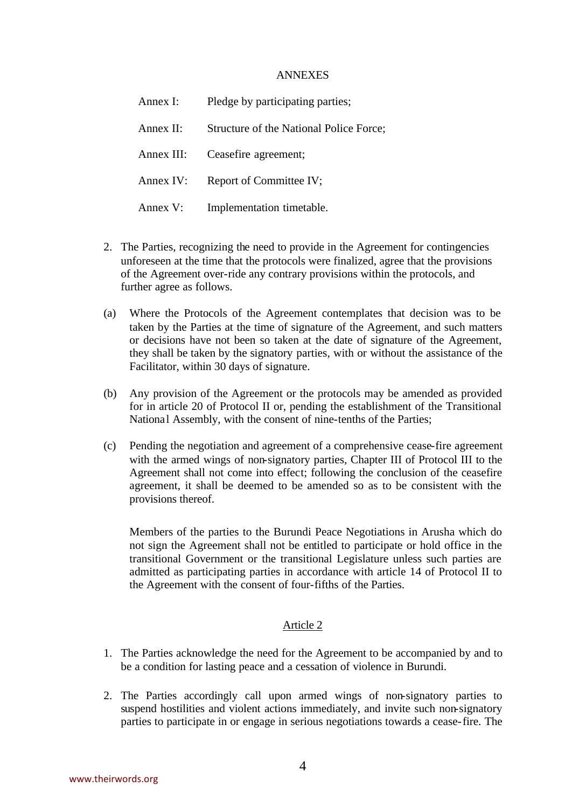#### ANNEXES

| Annex I:   | Pledge by participating parties;        |
|------------|-----------------------------------------|
| Annex II:  | Structure of the National Police Force; |
| Annex III: | Ceasefire agreement;                    |
| Annex IV:  | Report of Committee IV;                 |
| Annex V:   | Implementation timetable.               |

- 2. The Parties, recognizing the need to provide in the Agreement for contingencies unforeseen at the time that the protocols were finalized, agree that the provisions of the Agreement over-ride any contrary provisions within the protocols, and further agree as follows.
- (a) Where the Protocols of the Agreement contemplates that decision was to be taken by the Parties at the time of signature of the Agreement, and such matters or decisions have not been so taken at the date of signature of the Agreement, they shall be taken by the signatory parties, with or without the assistance of the Facilitator, within 30 days of signature.
- (b) Any provision of the Agreement or the protocols may be amended as provided for in article 20 of Protocol II or, pending the establishment of the Transitional National Assembly, with the consent of nine-tenths of the Parties;
- (c) Pending the negotiation and agreement of a comprehensive cease-fire agreement with the armed wings of non-signatory parties, Chapter III of Protocol III to the Agreement shall not come into effect; following the conclusion of the ceasefire agreement, it shall be deemed to be amended so as to be consistent with the provisions thereof.

Members of the parties to the Burundi Peace Negotiations in Arusha which do not sign the Agreement shall not be entitled to participate or hold office in the transitional Government or the transitional Legislature unless such parties are admitted as participating parties in accordance with article 14 of Protocol II to the Agreement with the consent of four-fifths of the Parties.

## Article 2

- 1. The Parties acknowledge the need for the Agreement to be accompanied by and to be a condition for lasting peace and a cessation of violence in Burundi.
- 2. The Parties accordingly call upon armed wings of non-signatory parties to suspend hostilities and violent actions immediately, and invite such non-signatory parties to participate in or engage in serious negotiations towards a cease-fire. The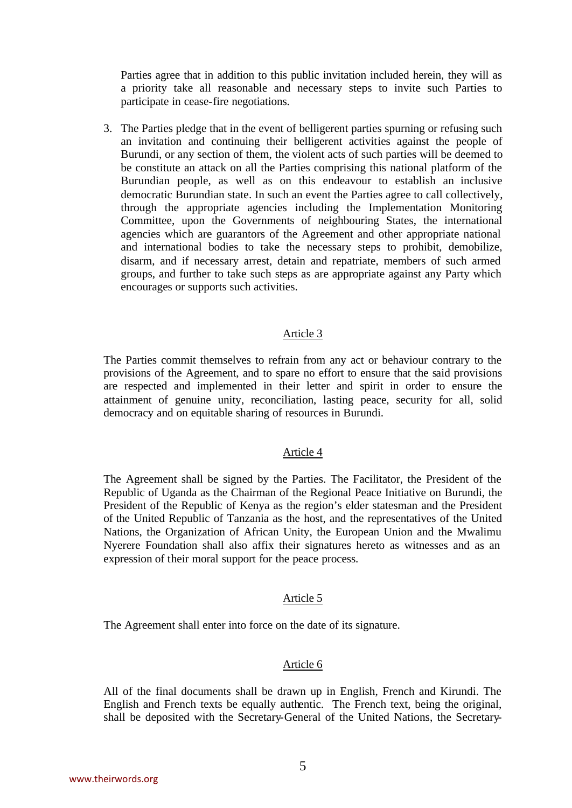Parties agree that in addition to this public invitation included herein, they will as a priority take all reasonable and necessary steps to invite such Parties to participate in cease-fire negotiations.

3. The Parties pledge that in the event of belligerent parties spurning or refusing such an invitation and continuing their belligerent activities against the people of Burundi, or any section of them, the violent acts of such parties will be deemed to be constitute an attack on all the Parties comprising this national platform of the Burundian people, as well as on this endeavour to establish an inclusive democratic Burundian state. In such an event the Parties agree to call collectively, through the appropriate agencies including the Implementation Monitoring Committee, upon the Governments of neighbouring States, the international agencies which are guarantors of the Agreement and other appropriate national and international bodies to take the necessary steps to prohibit, demobilize, disarm, and if necessary arrest, detain and repatriate, members of such armed groups, and further to take such steps as are appropriate against any Party which encourages or supports such activities.

## Article 3

The Parties commit themselves to refrain from any act or behaviour contrary to the provisions of the Agreement, and to spare no effort to ensure that the said provisions are respected and implemented in their letter and spirit in order to ensure the attainment of genuine unity, reconciliation, lasting peace, security for all, solid democracy and on equitable sharing of resources in Burundi.

## Article 4

The Agreement shall be signed by the Parties. The Facilitator, the President of the Republic of Uganda as the Chairman of the Regional Peace Initiative on Burundi, the President of the Republic of Kenya as the region's elder statesman and the President of the United Republic of Tanzania as the host, and the representatives of the United Nations, the Organization of African Unity, the European Union and the Mwalimu Nyerere Foundation shall also affix their signatures hereto as witnesses and as an expression of their moral support for the peace process.

## Article 5

The Agreement shall enter into force on the date of its signature.

#### Article 6

All of the final documents shall be drawn up in English, French and Kirundi. The English and French texts be equally authentic. The French text, being the original, shall be deposited with the Secretary-General of the United Nations, the Secretary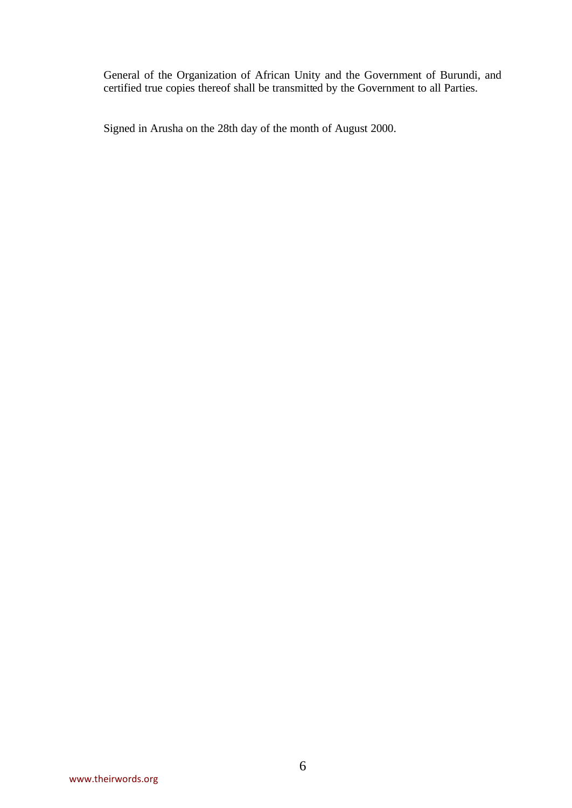General of the Organization of African Unity and the Government of Burundi, and certified true copies thereof shall be transmitted by the Government to all Parties.

Signed in Arusha on the 28th day of the month of August 2000.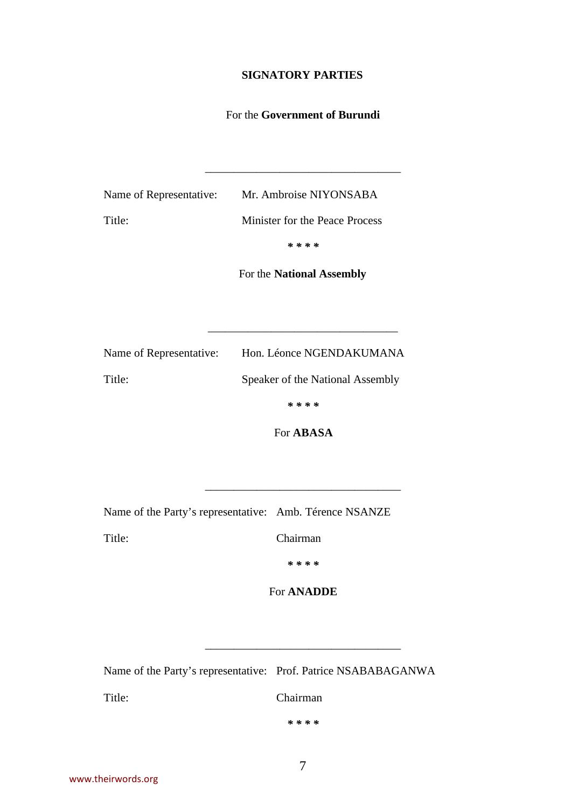# **SIGNATORY PARTIES**

# For the **Government of Burundi**

\_\_\_\_\_\_\_\_\_\_\_\_\_\_\_\_\_\_\_\_\_\_\_\_\_\_\_\_\_\_\_\_\_\_

Name of Representative: Mr. Ambroise NIYONSABA Title: Minister for the Peace Process *\* \* \* \** 

For the **National Assembly**

\_\_\_\_\_\_\_\_\_\_\_\_\_\_\_\_\_\_\_\_\_\_\_\_\_\_\_\_\_\_\_\_\_

| Name of Representative: | Hon. Léonce NGENDAKUMANA         |
|-------------------------|----------------------------------|
| Title:                  | Speaker of the National Assembly |
|                         | * * * *                          |

For **ABASA**

\_\_\_\_\_\_\_\_\_\_\_\_\_\_\_\_\_\_\_\_\_\_\_\_\_\_\_\_\_\_\_\_\_\_

Name of the Party's representative: Amb. Térence NSANZE

Title: Chairman

*\* \* \* \** 

For **ANADDE**

\_\_\_\_\_\_\_\_\_\_\_\_\_\_\_\_\_\_\_\_\_\_\_\_\_\_\_\_\_\_\_\_\_\_

Name of the Party's representative: Prof. Patrice NSABABAGANWA

Title: Chairman

*\* \* \* \**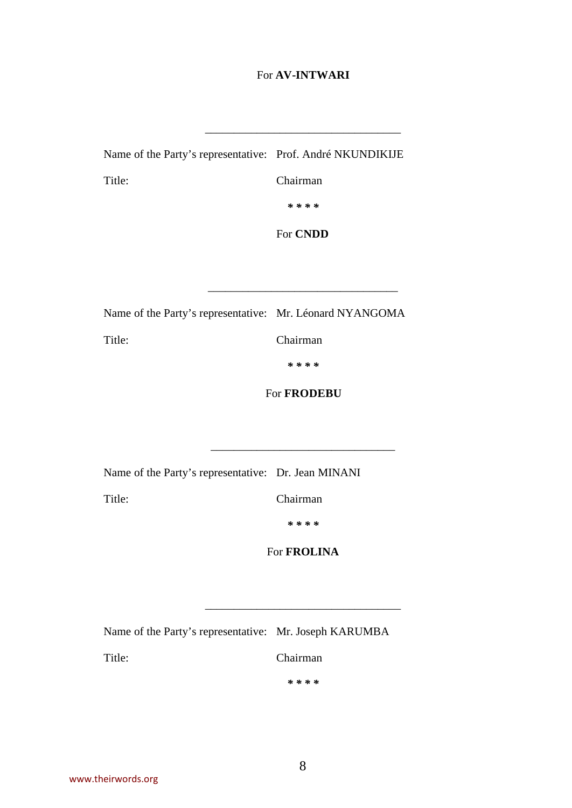## For **AV-INTWARI**

\_\_\_\_\_\_\_\_\_\_\_\_\_\_\_\_\_\_\_\_\_\_\_\_\_\_\_\_\_\_\_\_\_\_

Name of the Party's representative: Prof. André NKUNDIKIJE Title: Chairman

*\* \* \* \** 

For **CNDD**

\_\_\_\_\_\_\_\_\_\_\_\_\_\_\_\_\_\_\_\_\_\_\_\_\_\_\_\_\_\_\_\_\_

Name of the Party's representative: Mr. Léonard NYANGOMA

Title: Chairman

*\* \* \* \** 

For **FRODEBU**

Name of the Party's representative: Dr. Jean MINANI

Title: Chairman

\_\_\_\_\_\_\_\_\_\_\_\_\_\_\_\_\_\_\_\_\_\_\_\_\_\_\_\_\_\_\_\_

*\* \* \* \** 

For **FROLINA**

\_\_\_\_\_\_\_\_\_\_\_\_\_\_\_\_\_\_\_\_\_\_\_\_\_\_\_\_\_\_\_\_\_\_

Name of the Party's representative: Mr. Joseph KARUMBA

Title: Chairman

*\* \* \* \**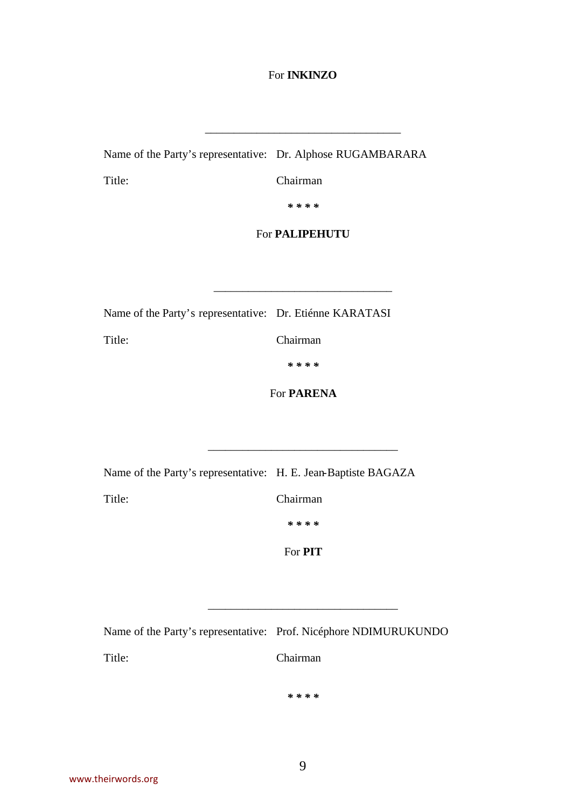# For **INKINZO**

\_\_\_\_\_\_\_\_\_\_\_\_\_\_\_\_\_\_\_\_\_\_\_\_\_\_\_\_\_\_\_\_\_\_

Name of the Party's representative: Dr. Alphose RUGAMBARARA

Title: Chairman

*\* \* \* \** 

## For **PALIPEHUTU**

\_\_\_\_\_\_\_\_\_\_\_\_\_\_\_\_\_\_\_\_\_\_\_\_\_\_\_\_\_\_\_

Name of the Party's representative: Dr. Etiénne KARATASI

Title: Chairman

*\* \* \* \** 

For **PARENA**

\_\_\_\_\_\_\_\_\_\_\_\_\_\_\_\_\_\_\_\_\_\_\_\_\_\_\_\_\_\_\_\_\_

| Name of the Party's representative: H. E. Jean-Baptiste BAGAZA |                |
|----------------------------------------------------------------|----------------|
| Title:                                                         | Chairman       |
|                                                                | * * * *        |
|                                                                | For <b>PIT</b> |

|        | Name of the Party's representative: Prof. Nicéphore NDIMURUKUNDO |
|--------|------------------------------------------------------------------|
| Title: | <b>Chairman</b>                                                  |

*\* \* \* \** 

\_\_\_\_\_\_\_\_\_\_\_\_\_\_\_\_\_\_\_\_\_\_\_\_\_\_\_\_\_\_\_\_\_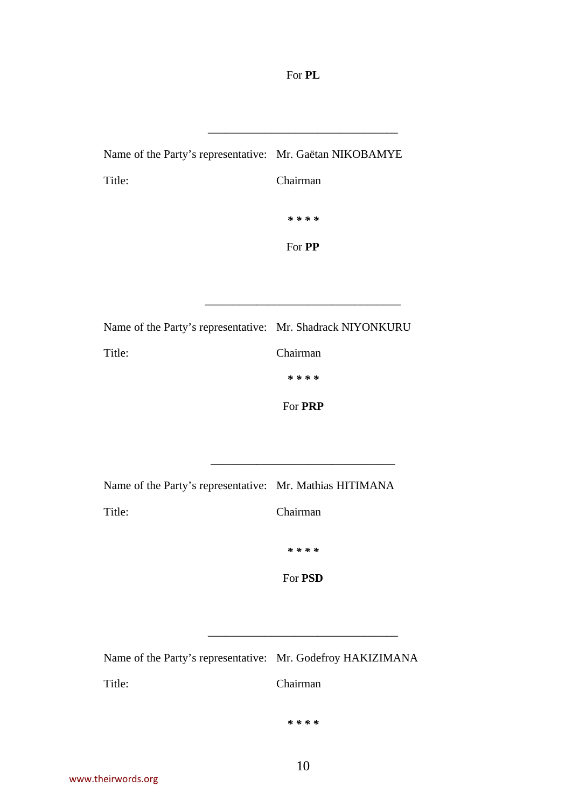For **PL**

\_\_\_\_\_\_\_\_\_\_\_\_\_\_\_\_\_\_\_\_\_\_\_\_\_\_\_\_\_\_\_\_\_

| Name of the Party's representative: Mr. Gaëtan NIKOBAMYE |               |
|----------------------------------------------------------|---------------|
| Title:                                                   | Chairman      |
|                                                          | * * * *       |
|                                                          | For <b>PP</b> |

| Name of the Party's representative: Mr. Shadrack NIYONKURU |          |
|------------------------------------------------------------|----------|
| Title:                                                     | Chairman |
|                                                            | * * * *  |
|                                                            |          |

For **PRP**

\_\_\_\_\_\_\_\_\_\_\_\_\_\_\_\_\_\_\_\_\_\_\_\_\_\_\_\_\_\_\_\_

\_\_\_\_\_\_\_\_\_\_\_\_\_\_\_\_\_\_\_\_\_\_\_\_\_\_\_\_\_\_\_\_\_\_

| Name of the Party's representative: Mr. Mathias HITIMANA |          |
|----------------------------------------------------------|----------|
| Title:                                                   | Chairman |
|                                                          | * * * *  |

For **PSD**

\_\_\_\_\_\_\_\_\_\_\_\_\_\_\_\_\_\_\_\_\_\_\_\_\_\_\_\_\_\_\_\_\_

| Name of the Party's representative: Mr. Godefroy HAKIZIMANA |          |
|-------------------------------------------------------------|----------|
| Title:                                                      | Chairman |

*\* \* \* \**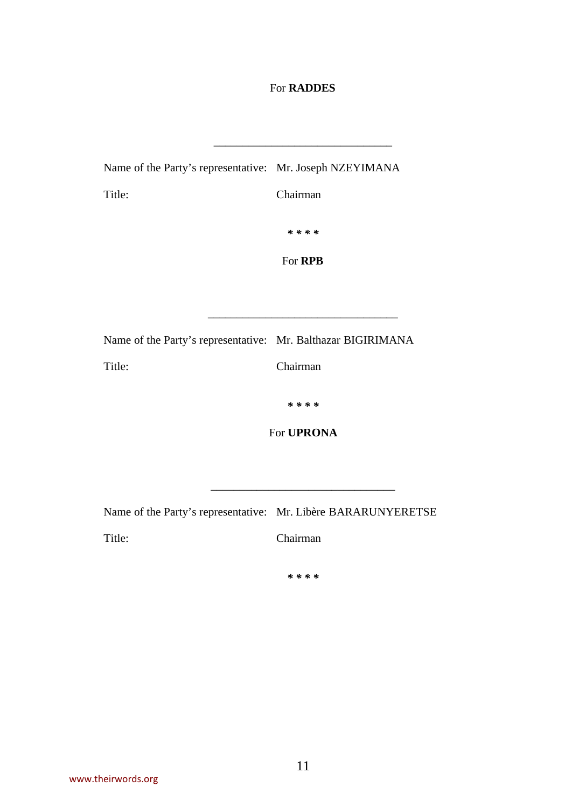# For **RADDES**

\_\_\_\_\_\_\_\_\_\_\_\_\_\_\_\_\_\_\_\_\_\_\_\_\_\_\_\_\_\_\_

| Name of the Party's representative: Mr. Joseph NZEYIMANA     |                   |
|--------------------------------------------------------------|-------------------|
| Title:                                                       | Chairman          |
|                                                              | * * * *           |
|                                                              | For RPB           |
|                                                              |                   |
|                                                              |                   |
| Name of the Party's representative: Mr. Balthazar BIGIRIMANA |                   |
| Title:                                                       | Chairman          |
|                                                              | * * * *           |
|                                                              | For <b>UPRONA</b> |
|                                                              |                   |
|                                                              |                   |

Name of the Party's representative: Mr. Libère BARARUNYERETSE

Title: Chairman

*\* \* \* \**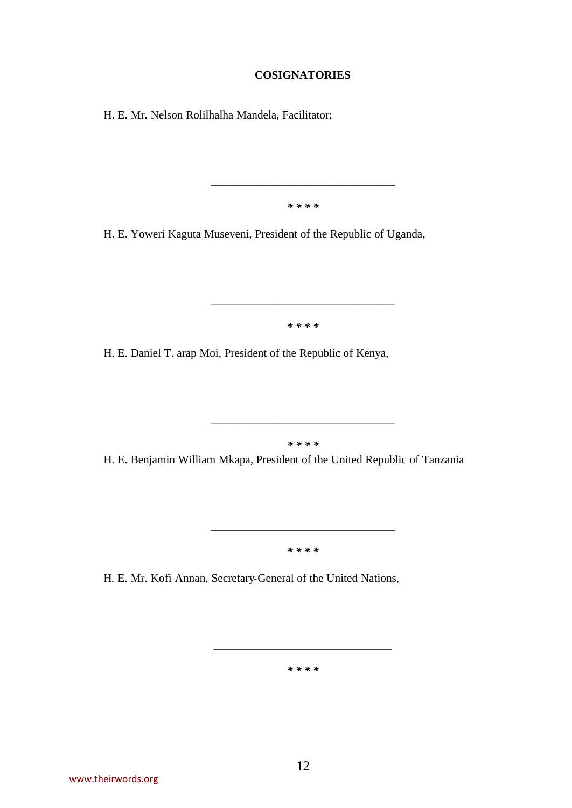#### **COSIGNATORIES**

H. E. Mr. Nelson Rolilhalha Mandela, Facilitator;

*\* \* \* \** 

\_\_\_\_\_\_\_\_\_\_\_\_\_\_\_\_\_\_\_\_\_\_\_\_\_\_\_\_\_\_\_\_

H. E. Yoweri Kaguta Museveni, President of the Republic of Uganda,

*\* \* \* \** 

\_\_\_\_\_\_\_\_\_\_\_\_\_\_\_\_\_\_\_\_\_\_\_\_\_\_\_\_\_\_\_\_

H. E. Daniel T. arap Moi, President of the Republic of Kenya,

*\* \* \* \** 

\_\_\_\_\_\_\_\_\_\_\_\_\_\_\_\_\_\_\_\_\_\_\_\_\_\_\_\_\_\_\_\_

H. E. Benjamin William Mkapa, President of the United Republic of Tanzania

*\* \* \* \** 

\_\_\_\_\_\_\_\_\_\_\_\_\_\_\_\_\_\_\_\_\_\_\_\_\_\_\_\_\_\_\_\_

H. E. Mr. Kofi Annan, Secretary-General of the United Nations,

*\* \* \* \** 

\_\_\_\_\_\_\_\_\_\_\_\_\_\_\_\_\_\_\_\_\_\_\_\_\_\_\_\_\_\_\_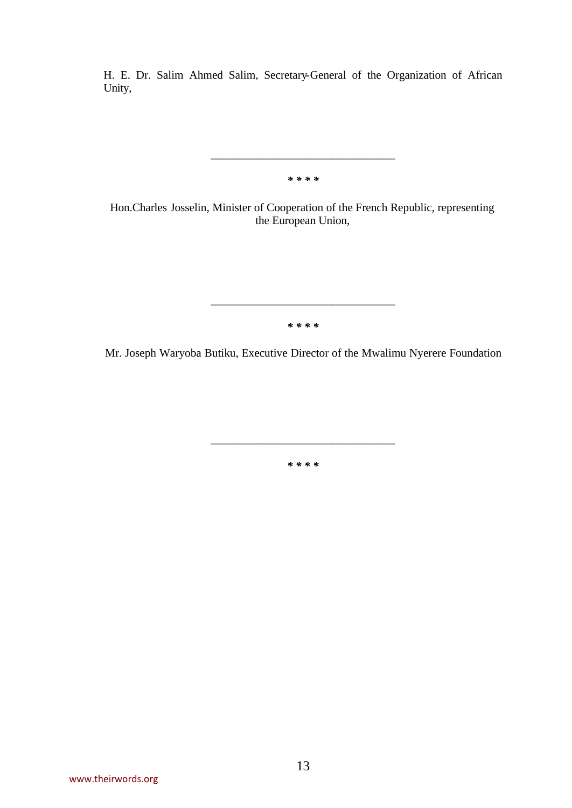H. E. Dr. Salim Ahmed Salim, Secretary-General of the Organization of African Unity,

*\* \* \* \** 

\_\_\_\_\_\_\_\_\_\_\_\_\_\_\_\_\_\_\_\_\_\_\_\_\_\_\_\_\_\_\_\_

Hon.Charles Josselin, Minister of Cooperation of the French Republic, representing the European Union,

*\* \* \* \** 

\_\_\_\_\_\_\_\_\_\_\_\_\_\_\_\_\_\_\_\_\_\_\_\_\_\_\_\_\_\_\_\_

Mr. Joseph Waryoba Butiku, Executive Director of the Mwalimu Nyerere Foundation

*\* \* \* \** 

\_\_\_\_\_\_\_\_\_\_\_\_\_\_\_\_\_\_\_\_\_\_\_\_\_\_\_\_\_\_\_\_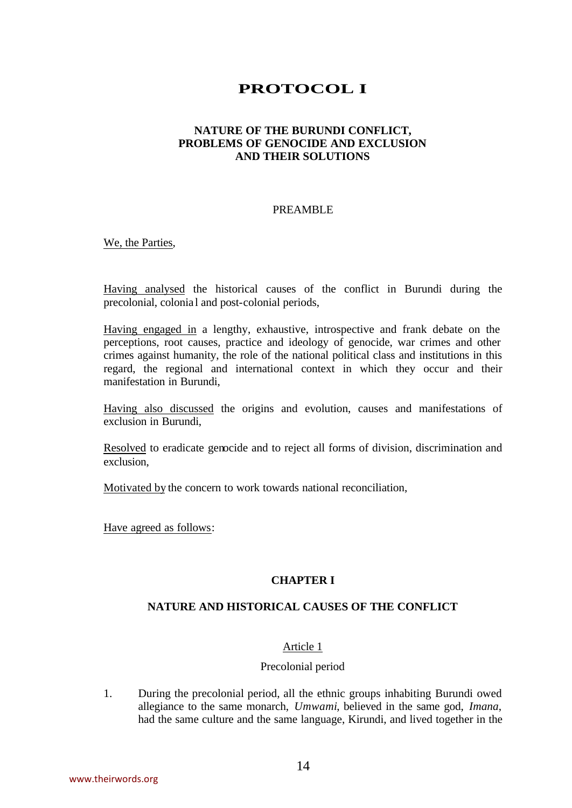# **PROTOCOL I**

# **NATURE OF THE BURUNDI CONFLICT, PROBLEMS OF GENOCIDE AND EXCLUSION AND THEIR SOLUTIONS**

#### PREAMBLE

We, the Parties,

Having analysed the historical causes of the conflict in Burundi during the precolonial, colonial and post-colonial periods,

Having engaged in a lengthy, exhaustive, introspective and frank debate on the perceptions, root causes, practice and ideology of genocide, war crimes and other crimes against humanity, the role of the national political class and institutions in this regard, the regional and international context in which they occur and their manifestation in Burundi,

Having also discussed the origins and evolution, causes and manifestations of exclusion in Burundi,

Resolved to eradicate genocide and to reject all forms of division, discrimination and exclusion,

Motivated by the concern to work towards national reconciliation,

Have agreed as follows:

#### **CHAPTER I**

## **NATURE AND HISTORICAL CAUSES OF THE CONFLICT**

## Article 1

#### Precolonial period

1. During the precolonial period, all the ethnic groups inhabiting Burundi owed allegiance to the same monarch, *Umwami*, believed in the same god, *Imana*, had the same culture and the same language, Kirundi, and lived together in the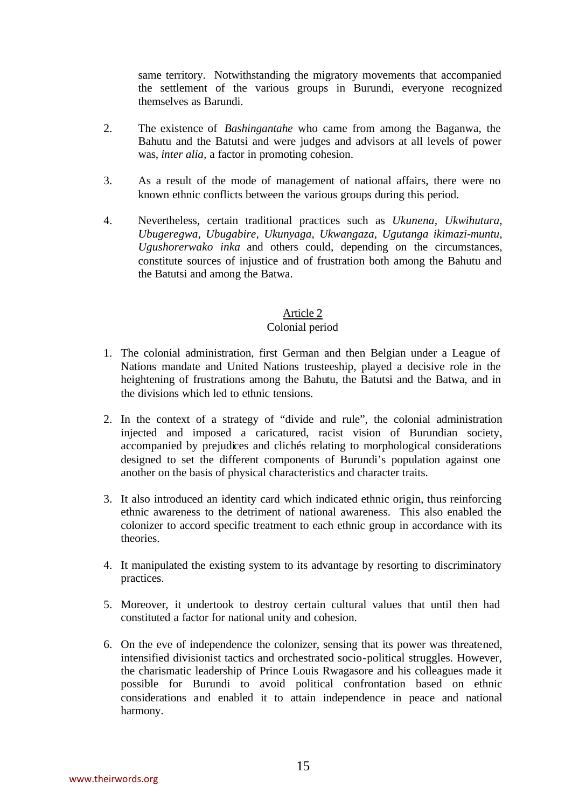same territory. Notwithstanding the migratory movements that accompanied the settlement of the various groups in Burundi, everyone recognized themselves as Barundi.

- 2. The existence of *Bashingantahe* who came from among the Baganwa, the Bahutu and the Batutsi and were judges and advisors at all levels of power was, *inter alia,* a factor in promoting cohesion.
- 3. As a result of the mode of management of national affairs, there were no known ethnic conflicts between the various groups during this period.
- 4. Nevertheless, certain traditional practices such as *Ukunena, Ukwihutura, Ubugeregwa, Ubugabire, Ukunyaga, Ukwangaza, Ugutanga ikimazi-muntu, Ugushorerwako inka* and others could, depending on the circumstances, constitute sources of injustice and of frustration both among the Bahutu and the Batutsi and among the Batwa.

# Article 2

## Colonial period

- 1. The colonial administration, first German and then Belgian under a League of Nations mandate and United Nations trusteeship, played a decisive role in the heightening of frustrations among the Bahutu, the Batutsi and the Batwa, and in the divisions which led to ethnic tensions.
- 2. In the context of a strategy of "divide and rule", the colonial administration injected and imposed a caricatured, racist vision of Burundian society, accompanied by prejudices and clichés relating to morphological considerations designed to set the different components of Burundi's population against one another on the basis of physical characteristics and character traits.
- 3. It also introduced an identity card which indicated ethnic origin, thus reinforcing ethnic awareness to the detriment of national awareness. This also enabled the colonizer to accord specific treatment to each ethnic group in accordance with its theories.
- 4. It manipulated the existing system to its advantage by resorting to discriminatory practices.
- 5. Moreover, it undertook to destroy certain cultural values that until then had constituted a factor for national unity and cohesion.
- 6. On the eve of independence the colonizer, sensing that its power was threatened, intensified divisionist tactics and orchestrated socio-political struggles. However, the charismatic leadership of Prince Louis Rwagasore and his colleagues made it possible for Burundi to avoid political confrontation based on ethnic considerations and enabled it to attain independence in peace and national harmony.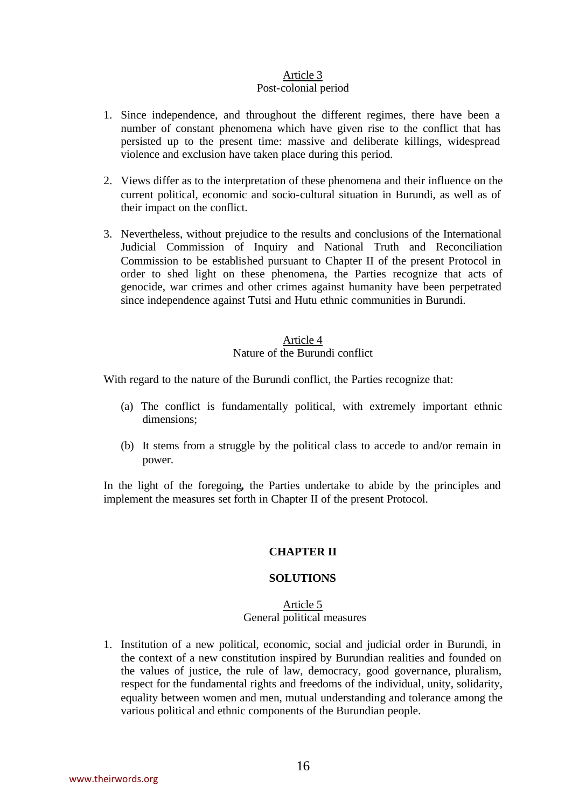# Article 3

# Post-colonial period

- 1. Since independence, and throughout the different regimes, there have been a number of constant phenomena which have given rise to the conflict that has persisted up to the present time: massive and deliberate killings, widespread violence and exclusion have taken place during this period.
- 2. Views differ as to the interpretation of these phenomena and their influence on the current political, economic and socio-cultural situation in Burundi, as well as of their impact on the conflict.
- 3. Nevertheless, without prejudice to the results and conclusions of the International Judicial Commission of Inquiry and National Truth and Reconciliation Commission to be established pursuant to Chapter II of the present Protocol in order to shed light on these phenomena, the Parties recognize that acts of genocide, war crimes and other crimes against humanity have been perpetrated since independence against Tutsi and Hutu ethnic communities in Burundi.

# Article 4 Nature of the Burundi conflict

With regard to the nature of the Burundi conflict, the Parties recognize that:

- (a) The conflict is fundamentally political, with extremely important ethnic dimensions;
- (b) It stems from a struggle by the political class to accede to and/or remain in power.

In the light of the foregoing**,** the Parties undertake to abide by the principles and implement the measures set forth in Chapter II of the present Protocol.

# **CHAPTER II**

# **SOLUTIONS**

# Article 5 General political measures

1. Institution of a new political, economic, social and judicial order in Burundi, in the context of a new constitution inspired by Burundian realities and founded on the values of justice, the rule of law, democracy, good governance, pluralism, respect for the fundamental rights and freedoms of the individual, unity, solidarity, equality between women and men, mutual understanding and tolerance among the various political and ethnic components of the Burundian people.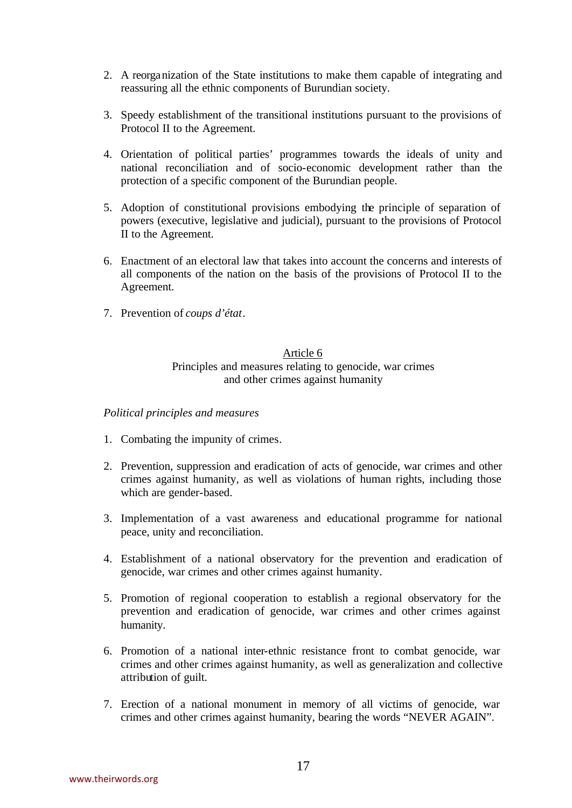- 2. A reorganization of the State institutions to make them capable of integrating and reassuring all the ethnic components of Burundian society.
- 3. Speedy establishment of the transitional institutions pursuant to the provisions of Protocol II to the Agreement.
- 4. Orientation of political parties' programmes towards the ideals of unity and national reconciliation and of socio-economic development rather than the protection of a specific component of the Burundian people.
- 5. Adoption of constitutional provisions embodying the principle of separation of powers (executive, legislative and judicial), pursuant to the provisions of Protocol II to the Agreement.
- 6. Enactment of an electoral law that takes into account the concerns and interests of all components of the nation on the basis of the provisions of Protocol II to the Agreement.
- 7. Prevention of *coups d'état*.

## Article 6 Principles and measures relating to genocide, war crimes and other crimes against humanity

## *Political principles and measures*

- 1. Combating the impunity of crimes.
- 2. Prevention, suppression and eradication of acts of genocide, war crimes and other crimes against humanity, as well as violations of human rights, including those which are gender-based.
- 3. Implementation of a vast awareness and educational programme for national peace, unity and reconciliation.
- 4. Establishment of a national observatory for the prevention and eradication of genocide, war crimes and other crimes against humanity.
- 5. Promotion of regional cooperation to establish a regional observatory for the prevention and eradication of genocide, war crimes and other crimes against humanity.
- 6. Promotion of a national inter-ethnic resistance front to combat genocide, war crimes and other crimes against humanity, as well as generalization and collective attribution of guilt.
- 7. Erection of a national monument in memory of all victims of genocide, war crimes and other crimes against humanity, bearing the words "NEVER AGAIN".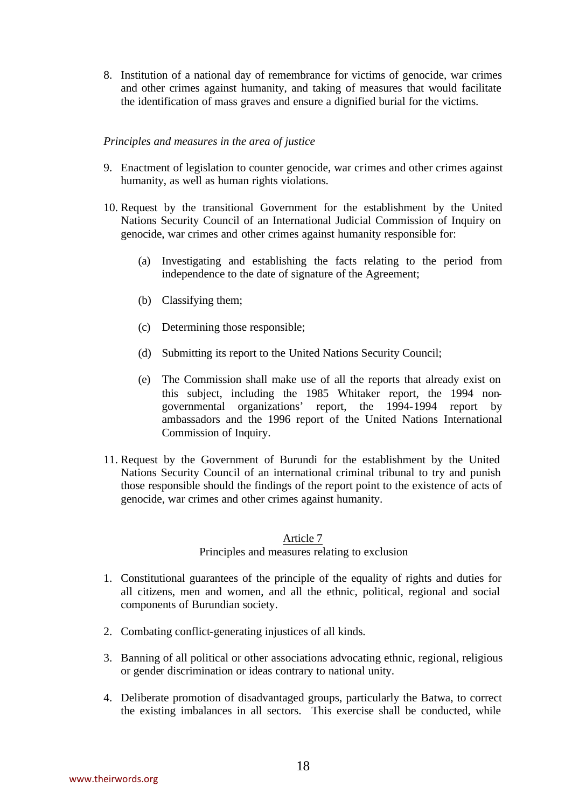8. Institution of a national day of remembrance for victims of genocide, war crimes and other crimes against humanity, and taking of measures that would facilitate the identification of mass graves and ensure a dignified burial for the victims.

#### *Principles and measures in the area of justice*

- 9. Enactment of legislation to counter genocide, war crimes and other crimes against humanity, as well as human rights violations.
- 10. Request by the transitional Government for the establishment by the United Nations Security Council of an International Judicial Commission of Inquiry on genocide, war crimes and other crimes against humanity responsible for:
	- (a) Investigating and establishing the facts relating to the period from independence to the date of signature of the Agreement;
	- (b) Classifying them;
	- (c) Determining those responsible;
	- (d) Submitting its report to the United Nations Security Council;
	- (e) The Commission shall make use of all the reports that already exist on this subject, including the 1985 Whitaker report, the 1994 nongovernmental organizations' report, the 1994-1994 report by ambassadors and the 1996 report of the United Nations International Commission of Inquiry.
- 11. Request by the Government of Burundi for the establishment by the United Nations Security Council of an international criminal tribunal to try and punish those responsible should the findings of the report point to the existence of acts of genocide, war crimes and other crimes against humanity.

# Article 7 Principles and measures relating to exclusion

- 1. Constitutional guarantees of the principle of the equality of rights and duties for all citizens, men and women, and all the ethnic, political, regional and social components of Burundian society.
- 2. Combating conflict-generating injustices of all kinds.
- 3. Banning of all political or other associations advocating ethnic, regional, religious or gender discrimination or ideas contrary to national unity.
- 4. Deliberate promotion of disadvantaged groups, particularly the Batwa, to correct the existing imbalances in all sectors. This exercise shall be conducted, while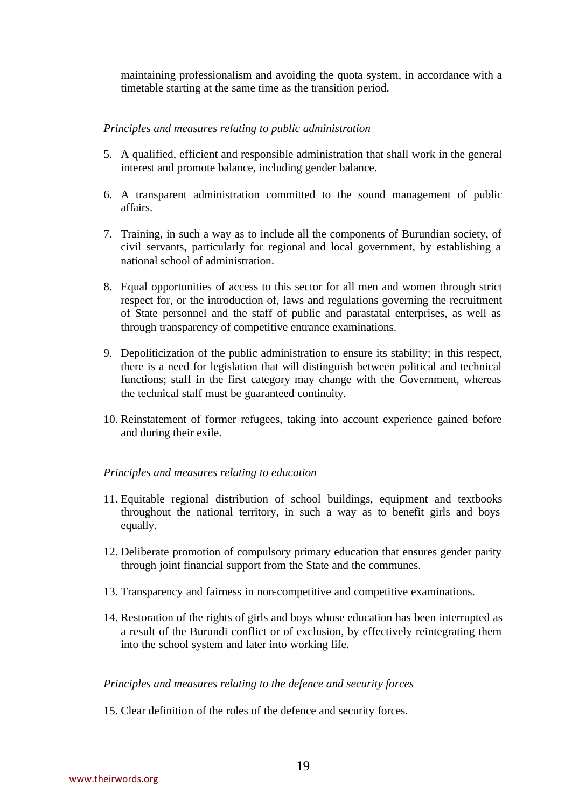maintaining professionalism and avoiding the quota system, in accordance with a timetable starting at the same time as the transition period.

## *Principles and measures relating to public administration*

- 5. A qualified, efficient and responsible administration that shall work in the general interest and promote balance, including gender balance.
- 6. A transparent administration committed to the sound management of public affairs.
- 7. Training, in such a way as to include all the components of Burundian society, of civil servants, particularly for regional and local government, by establishing a national school of administration.
- 8. Equal opportunities of access to this sector for all men and women through strict respect for, or the introduction of, laws and regulations governing the recruitment of State personnel and the staff of public and parastatal enterprises, as well as through transparency of competitive entrance examinations.
- 9. Depoliticization of the public administration to ensure its stability; in this respect, there is a need for legislation that will distinguish between political and technical functions; staff in the first category may change with the Government, whereas the technical staff must be guaranteed continuity.
- 10. Reinstatement of former refugees, taking into account experience gained before and during their exile.

## *Principles and measures relating to education*

- 11. Equitable regional distribution of school buildings, equipment and textbooks throughout the national territory, in such a way as to benefit girls and boys equally.
- 12. Deliberate promotion of compulsory primary education that ensures gender parity through joint financial support from the State and the communes.
- 13. Transparency and fairness in non-competitive and competitive examinations.
- 14. Restoration of the rights of girls and boys whose education has been interrupted as a result of the Burundi conflict or of exclusion, by effectively reintegrating them into the school system and later into working life.

## *Principles and measures relating to the defence and security forces*

15. Clear definition of the roles of the defence and security forces.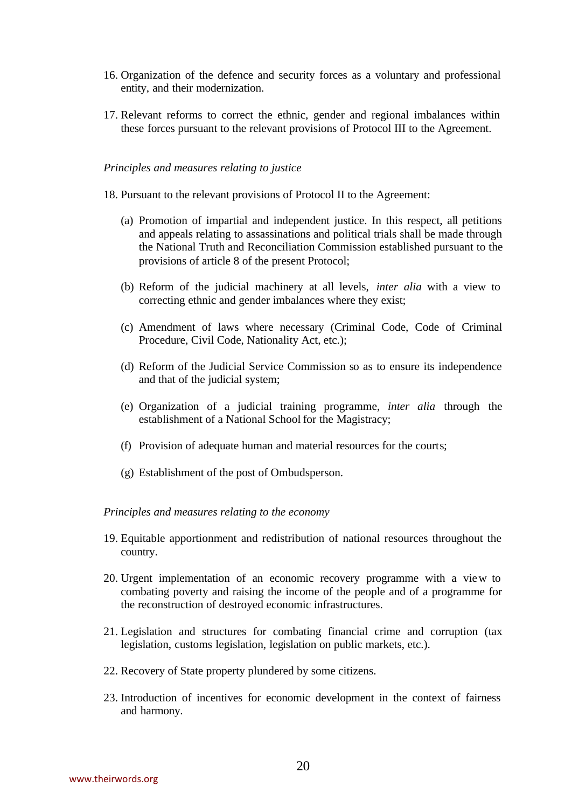- 16. Organization of the defence and security forces as a voluntary and professional entity, and their modernization.
- 17. Relevant reforms to correct the ethnic, gender and regional imbalances within these forces pursuant to the relevant provisions of Protocol III to the Agreement.

#### *Principles and measures relating to justice*

- 18. Pursuant to the relevant provisions of Protocol II to the Agreement:
	- (a) Promotion of impartial and independent justice. In this respect, all petitions and appeals relating to assassinations and political trials shall be made through the National Truth and Reconciliation Commission established pursuant to the provisions of article 8 of the present Protocol;
	- (b) Reform of the judicial machinery at all levels, *inter alia* with a view to correcting ethnic and gender imbalances where they exist;
	- (c) Amendment of laws where necessary (Criminal Code, Code of Criminal Procedure, Civil Code, Nationality Act, etc.);
	- (d) Reform of the Judicial Service Commission so as to ensure its independence and that of the judicial system;
	- (e) Organization of a judicial training programme, *inter alia* through the establishment of a National School for the Magistracy;
	- (f) Provision of adequate human and material resources for the courts;
	- (g) Establishment of the post of Ombudsperson.

#### *Principles and measures relating to the economy*

- 19. Equitable apportionment and redistribution of national resources throughout the country.
- 20. Urgent implementation of an economic recovery programme with a view to combating poverty and raising the income of the people and of a programme for the reconstruction of destroyed economic infrastructures.
- 21. Legislation and structures for combating financial crime and corruption (tax legislation, customs legislation, legislation on public markets, etc.).
- 22. Recovery of State property plundered by some citizens.
- 23. Introduction of incentives for economic development in the context of fairness and harmony.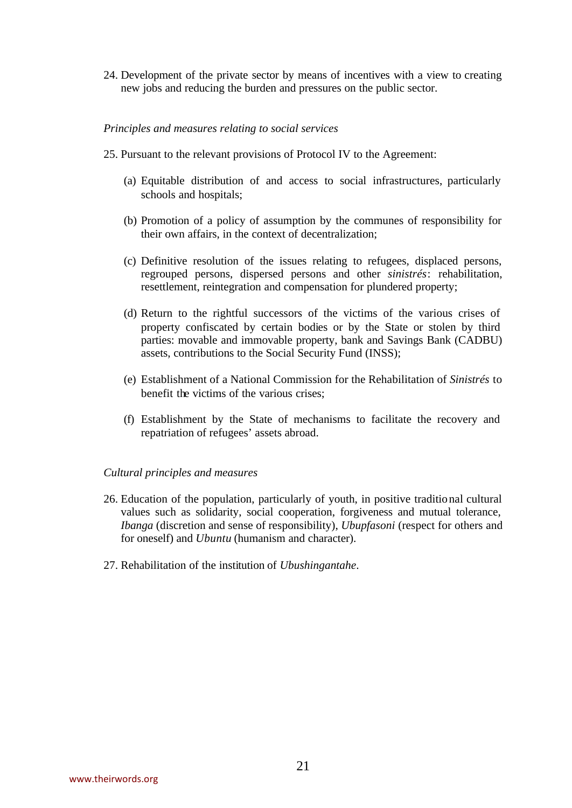24. Development of the private sector by means of incentives with a view to creating new jobs and reducing the burden and pressures on the public sector.

#### *Principles and measures relating to social services*

- 25. Pursuant to the relevant provisions of Protocol IV to the Agreement:
	- (a) Equitable distribution of and access to social infrastructures, particularly schools and hospitals;
	- (b) Promotion of a policy of assumption by the communes of responsibility for their own affairs, in the context of decentralization;
	- (c) Definitive resolution of the issues relating to refugees, displaced persons, regrouped persons, dispersed persons and other *sinistrés*: rehabilitation, resettlement, reintegration and compensation for plundered property;
	- (d) Return to the rightful successors of the victims of the various crises of property confiscated by certain bodies or by the State or stolen by third parties: movable and immovable property, bank and Savings Bank (CADBU) assets, contributions to the Social Security Fund (INSS);
	- (e) Establishment of a National Commission for the Rehabilitation of *Sinistrés* to benefit the victims of the various crises;
	- (f) Establishment by the State of mechanisms to facilitate the recovery and repatriation of refugees' assets abroad.

#### *Cultural principles and measures*

- 26. Education of the population, particularly of youth, in positive traditional cultural values such as solidarity, social cooperation, forgiveness and mutual tolerance, *Ibanga* (discretion and sense of responsibility), *Ubupfasoni* (respect for others and for oneself) and *Ubuntu* (humanism and character).
- 27. Rehabilitation of the institution of *Ubushingantahe*.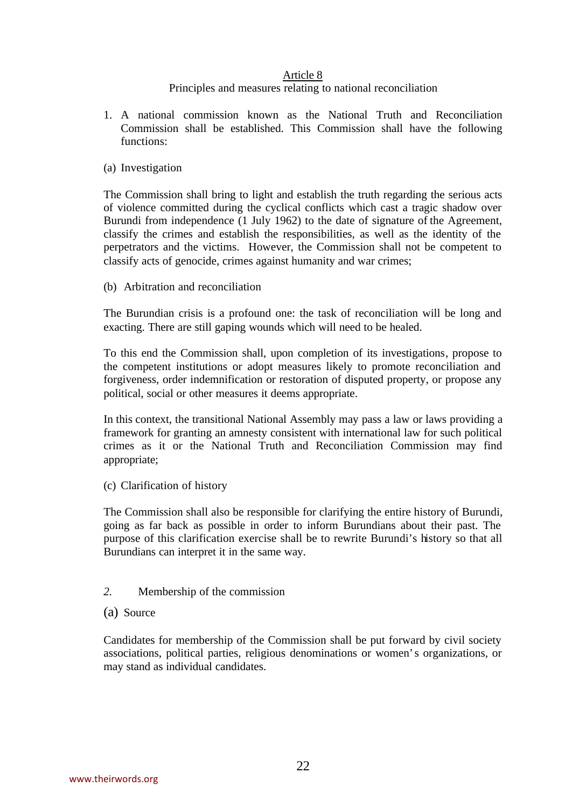#### Article 8

## Principles and measures relating to national reconciliation

- 1. A national commission known as the National Truth and Reconciliation Commission shall be established. This Commission shall have the following functions:
- (a) Investigation

The Commission shall bring to light and establish the truth regarding the serious acts of violence committed during the cyclical conflicts which cast a tragic shadow over Burundi from independence (1 July 1962) to the date of signature of the Agreement, classify the crimes and establish the responsibilities, as well as the identity of the perpetrators and the victims. However, the Commission shall not be competent to classify acts of genocide, crimes against humanity and war crimes;

(b) Arbitration and reconciliation

The Burundian crisis is a profound one: the task of reconciliation will be long and exacting. There are still gaping wounds which will need to be healed.

To this end the Commission shall, upon completion of its investigations, propose to the competent institutions or adopt measures likely to promote reconciliation and forgiveness, order indemnification or restoration of disputed property, or propose any political, social or other measures it deems appropriate.

In this context, the transitional National Assembly may pass a law or laws providing a framework for granting an amnesty consistent with international law for such political crimes as it or the National Truth and Reconciliation Commission may find appropriate;

(c) Clarification of history

The Commission shall also be responsible for clarifying the entire history of Burundi, going as far back as possible in order to inform Burundians about their past. The purpose of this clarification exercise shall be to rewrite Burundi's history so that all Burundians can interpret it in the same way.

- *2.* Membership of the commission
- (a) Source

Candidates for membership of the Commission shall be put forward by civil society associations, political parties, religious denominations or women's organizations, or may stand as individual candidates.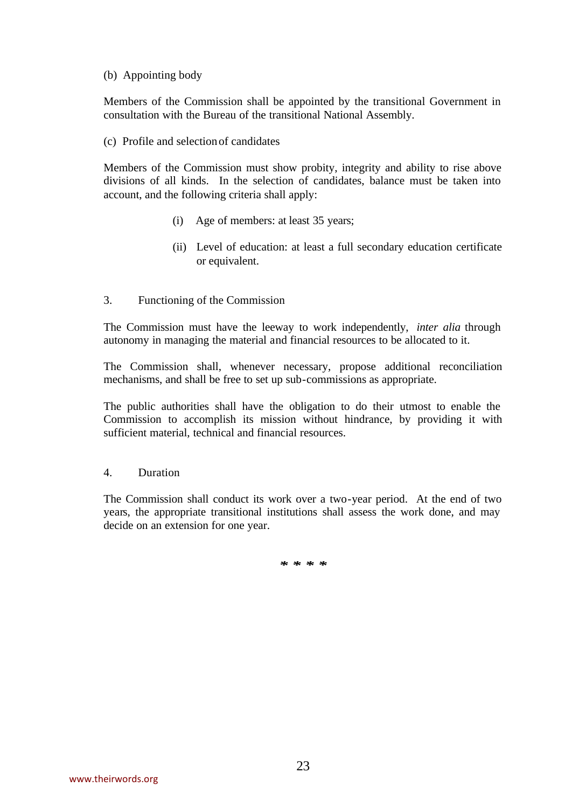#### (b) Appointing body

Members of the Commission shall be appointed by the transitional Government in consultation with the Bureau of the transitional National Assembly.

(c) Profile and selection of candidates

Members of the Commission must show probity, integrity and ability to rise above divisions of all kinds. In the selection of candidates, balance must be taken into account, and the following criteria shall apply:

- (i) Age of members: at least 35 years;
- (ii) Level of education: at least a full secondary education certificate or equivalent.
- 3. Functioning of the Commission

The Commission must have the leeway to work independently, *inter alia* through autonomy in managing the material and financial resources to be allocated to it.

The Commission shall, whenever necessary, propose additional reconciliation mechanisms, and shall be free to set up sub-commissions as appropriate.

The public authorities shall have the obligation to do their utmost to enable the Commission to accomplish its mission without hindrance, by providing it with sufficient material, technical and financial resources.

## 4. Duration

The Commission shall conduct its work over a two-year period. At the end of two years, the appropriate transitional institutions shall assess the work done, and may decide on an extension for one year.

*\* \* \* \**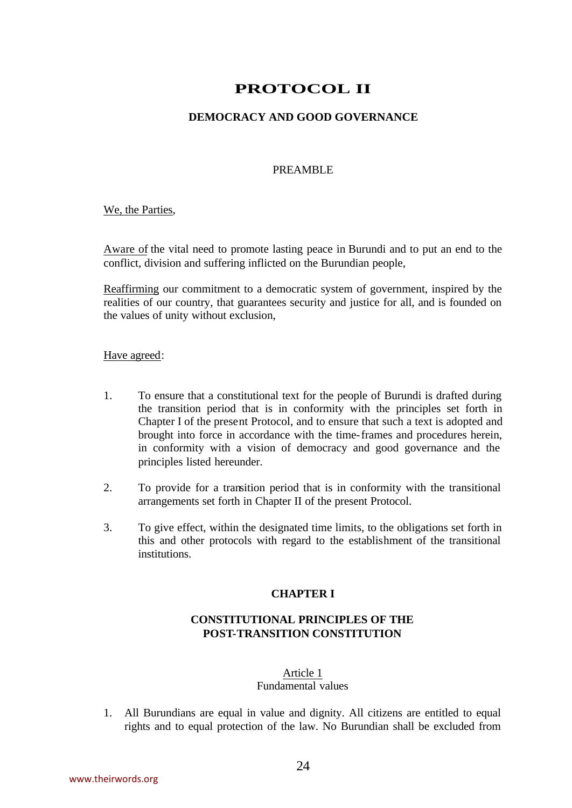# **PROTOCOL II**

# **DEMOCRACY AND GOOD GOVERNANCE**

## PREAMBLE

We, the Parties,

Aware of the vital need to promote lasting peace in Burundi and to put an end to the conflict, division and suffering inflicted on the Burundian people,

Reaffirming our commitment to a democratic system of government, inspired by the realities of our country, that guarantees security and justice for all, and is founded on the values of unity without exclusion,

#### Have agreed:

- 1. To ensure that a constitutional text for the people of Burundi is drafted during the transition period that is in conformity with the principles set forth in Chapter I of the present Protocol, and to ensure that such a text is adopted and brought into force in accordance with the time-frames and procedures herein, in conformity with a vision of democracy and good governance and the principles listed hereunder.
- 2. To provide for a transition period that is in conformity with the transitional arrangements set forth in Chapter II of the present Protocol.
- 3. To give effect, within the designated time limits, to the obligations set forth in this and other protocols with regard to the establishment of the transitional institutions.

## **CHAPTER I**

# **CONSTITUTIONAL PRINCIPLES OF THE POST-TRANSITION CONSTITUTION**

#### Article 1 Fundamental values

1. All Burundians are equal in value and dignity. All citizens are entitled to equal rights and to equal protection of the law. No Burundian shall be excluded from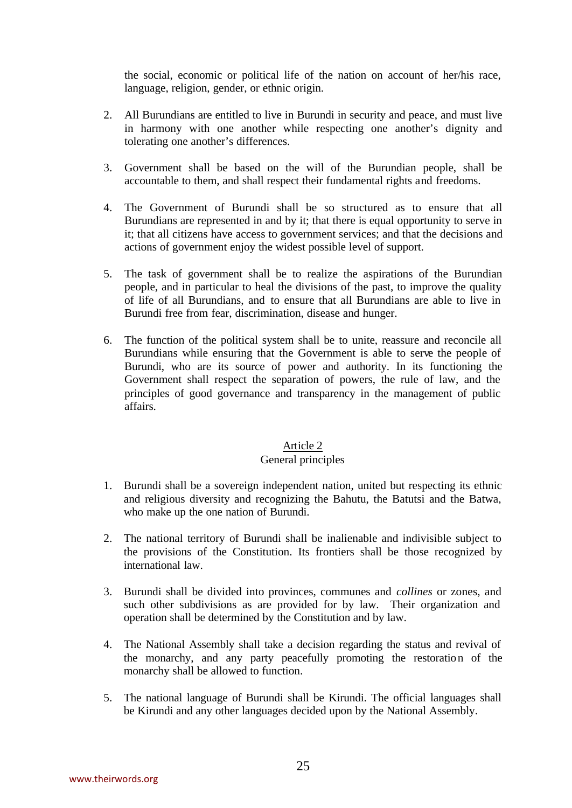the social, economic or political life of the nation on account of her/his race, language, religion, gender, or ethnic origin.

- 2. All Burundians are entitled to live in Burundi in security and peace, and must live in harmony with one another while respecting one another's dignity and tolerating one another's differences.
- 3. Government shall be based on the will of the Burundian people, shall be accountable to them, and shall respect their fundamental rights and freedoms.
- 4. The Government of Burundi shall be so structured as to ensure that all Burundians are represented in and by it; that there is equal opportunity to serve in it; that all citizens have access to government services; and that the decisions and actions of government enjoy the widest possible level of support.
- 5. The task of government shall be to realize the aspirations of the Burundian people, and in particular to heal the divisions of the past, to improve the quality of life of all Burundians, and to ensure that all Burundians are able to live in Burundi free from fear, discrimination, disease and hunger.
- 6. The function of the political system shall be to unite, reassure and reconcile all Burundians while ensuring that the Government is able to serve the people of Burundi, who are its source of power and authority. In its functioning the Government shall respect the separation of powers, the rule of law, and the principles of good governance and transparency in the management of public affairs.

## Article 2

## General principles

- 1. Burundi shall be a sovereign independent nation, united but respecting its ethnic and religious diversity and recognizing the Bahutu, the Batutsi and the Batwa, who make up the one nation of Burundi.
- 2. The national territory of Burundi shall be inalienable and indivisible subject to the provisions of the Constitution. Its frontiers shall be those recognized by international law.
- 3. Burundi shall be divided into provinces, communes and *collines* or zones, and such other subdivisions as are provided for by law. Their organization and operation shall be determined by the Constitution and by law.
- 4. The National Assembly shall take a decision regarding the status and revival of the monarchy, and any party peacefully promoting the restoration of the monarchy shall be allowed to function.
- 5. The national language of Burundi shall be Kirundi. The official languages shall be Kirundi and any other languages decided upon by the National Assembly.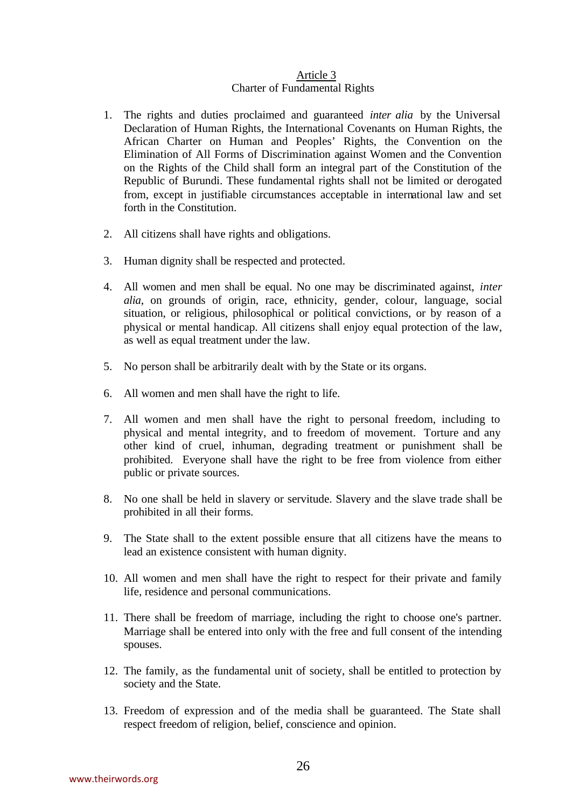#### Article 3 Charter of Fundamental Rights

- 1. The rights and duties proclaimed and guaranteed *inter alia* by the Universal Declaration of Human Rights, the International Covenants on Human Rights, the African Charter on Human and Peoples' Rights, the Convention on the Elimination of All Forms of Discrimination against Women and the Convention on the Rights of the Child shall form an integral part of the Constitution of the Republic of Burundi. These fundamental rights shall not be limited or derogated from, except in justifiable circumstances acceptable in international law and set forth in the Constitution.
- 2. All citizens shall have rights and obligations.
- 3. Human dignity shall be respected and protected.
- 4. All women and men shall be equal. No one may be discriminated against, *inter alia*, on grounds of origin, race, ethnicity, gender, colour, language, social situation, or religious, philosophical or political convictions, or by reason of a physical or mental handicap. All citizens shall enjoy equal protection of the law, as well as equal treatment under the law.
- 5. No person shall be arbitrarily dealt with by the State or its organs.
- 6. All women and men shall have the right to life.
- 7. All women and men shall have the right to personal freedom, including to physical and mental integrity, and to freedom of movement. Torture and any other kind of cruel, inhuman, degrading treatment or punishment shall be prohibited. Everyone shall have the right to be free from violence from either public or private sources.
- 8. No one shall be held in slavery or servitude. Slavery and the slave trade shall be prohibited in all their forms.
- 9. The State shall to the extent possible ensure that all citizens have the means to lead an existence consistent with human dignity.
- 10. All women and men shall have the right to respect for their private and family life, residence and personal communications.
- 11. There shall be freedom of marriage, including the right to choose one's partner. Marriage shall be entered into only with the free and full consent of the intending spouses.
- 12. The family, as the fundamental unit of society, shall be entitled to protection by society and the State.
- 13. Freedom of expression and of the media shall be guaranteed. The State shall respect freedom of religion, belief, conscience and opinion.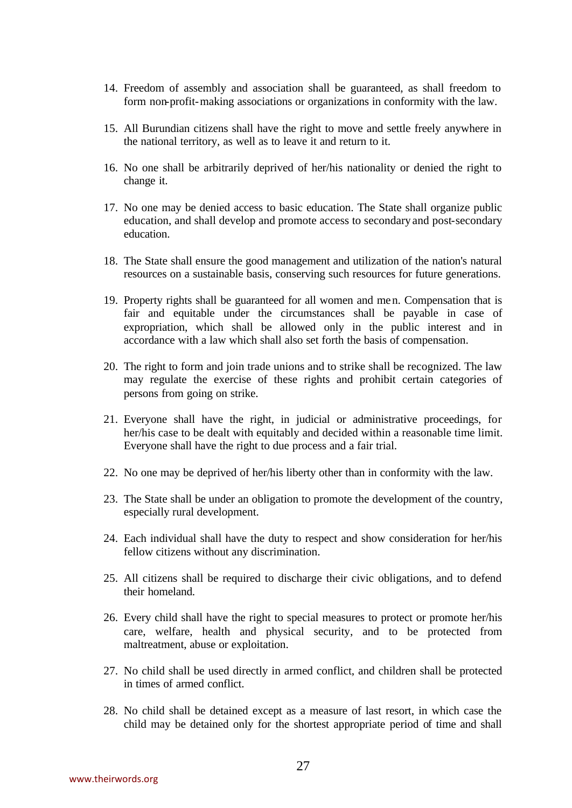- 14. Freedom of assembly and association shall be guaranteed, as shall freedom to form non-profit-making associations or organizations in conformity with the law.
- 15. All Burundian citizens shall have the right to move and settle freely anywhere in the national territory, as well as to leave it and return to it.
- 16. No one shall be arbitrarily deprived of her/his nationality or denied the right to change it.
- 17. No one may be denied access to basic education. The State shall organize public education, and shall develop and promote access to secondary and post-secondary education.
- 18. The State shall ensure the good management and utilization of the nation's natural resources on a sustainable basis, conserving such resources for future generations.
- 19. Property rights shall be guaranteed for all women and men. Compensation that is fair and equitable under the circumstances shall be payable in case of expropriation, which shall be allowed only in the public interest and in accordance with a law which shall also set forth the basis of compensation.
- 20. The right to form and join trade unions and to strike shall be recognized. The law may regulate the exercise of these rights and prohibit certain categories of persons from going on strike.
- 21. Everyone shall have the right, in judicial or administrative proceedings, for her/his case to be dealt with equitably and decided within a reasonable time limit. Everyone shall have the right to due process and a fair trial.
- 22. No one may be deprived of her/his liberty other than in conformity with the law.
- 23. The State shall be under an obligation to promote the development of the country, especially rural development.
- 24. Each individual shall have the duty to respect and show consideration for her/his fellow citizens without any discrimination.
- 25. All citizens shall be required to discharge their civic obligations, and to defend their homeland.
- 26. Every child shall have the right to special measures to protect or promote her/his care, welfare, health and physical security, and to be protected from maltreatment, abuse or exploitation.
- 27. No child shall be used directly in armed conflict, and children shall be protected in times of armed conflict.
- 28. No child shall be detained except as a measure of last resort, in which case the child may be detained only for the shortest appropriate period of time and shall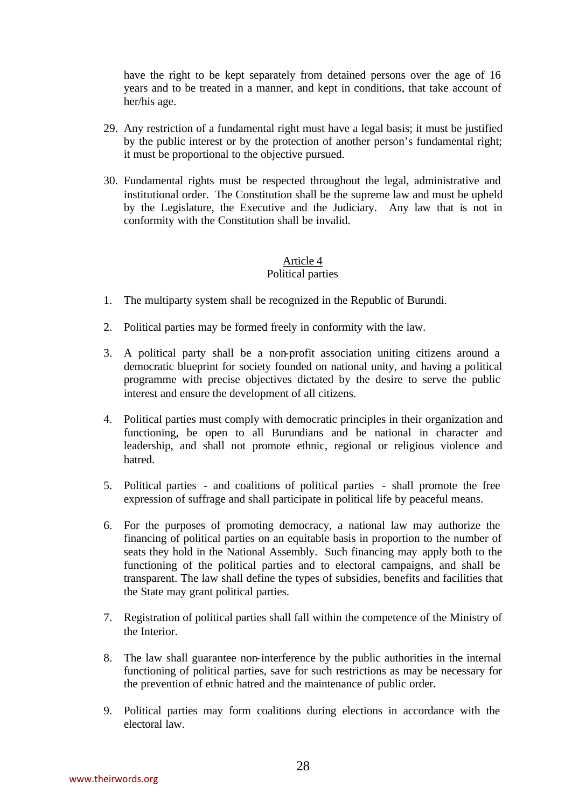have the right to be kept separately from detained persons over the age of 16 years and to be treated in a manner, and kept in conditions, that take account of her/his age.

- 29. Any restriction of a fundamental right must have a legal basis; it must be justified by the public interest or by the protection of another person's fundamental right; it must be proportional to the objective pursued.
- 30. Fundamental rights must be respected throughout the legal, administrative and institutional order. The Constitution shall be the supreme law and must be upheld by the Legislature, the Executive and the Judiciary. Any law that is not in conformity with the Constitution shall be invalid.

# Article 4

# Political parties

- 1. The multiparty system shall be recognized in the Republic of Burundi.
- 2. Political parties may be formed freely in conformity with the law.
- 3. A political party shall be a non-profit association uniting citizens around a democratic blueprint for society founded on national unity, and having a political programme with precise objectives dictated by the desire to serve the public interest and ensure the development of all citizens.
- 4. Political parties must comply with democratic principles in their organization and functioning, be open to all Burundians and be national in character and leadership, and shall not promote ethnic, regional or religious violence and hatred.
- 5. Political parties and coalitions of political parties shall promote the free expression of suffrage and shall participate in political life by peaceful means.
- 6. For the purposes of promoting democracy, a national law may authorize the financing of political parties on an equitable basis in proportion to the number of seats they hold in the National Assembly. Such financing may apply both to the functioning of the political parties and to electoral campaigns, and shall be transparent. The law shall define the types of subsidies, benefits and facilities that the State may grant political parties.
- 7. Registration of political parties shall fall within the competence of the Ministry of the Interior.
- 8. The law shall guarantee non-interference by the public authorities in the internal functioning of political parties, save for such restrictions as may be necessary for the prevention of ethnic hatred and the maintenance of public order.
- 9. Political parties may form coalitions during elections in accordance with the electoral law.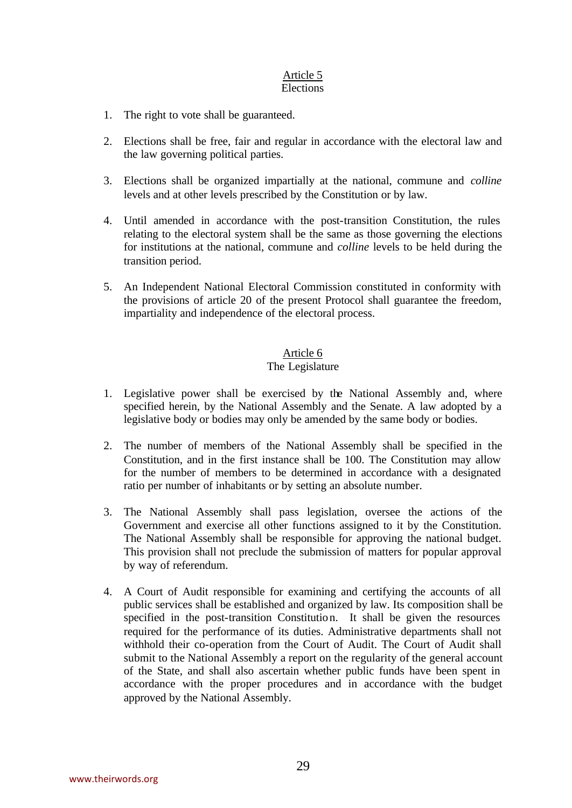#### Article 5 Elections

- 1. The right to vote shall be guaranteed.
- 2. Elections shall be free, fair and regular in accordance with the electoral law and the law governing political parties.
- 3. Elections shall be organized impartially at the national, commune and *colline* levels and at other levels prescribed by the Constitution or by law.
- 4. Until amended in accordance with the post-transition Constitution, the rules relating to the electoral system shall be the same as those governing the elections for institutions at the national, commune and *colline* levels to be held during the transition period.
- 5. An Independent National Electoral Commission constituted in conformity with the provisions of article 20 of the present Protocol shall guarantee the freedom, impartiality and independence of the electoral process.

## Article 6

## The Legislature

- 1. Legislative power shall be exercised by the National Assembly and, where specified herein, by the National Assembly and the Senate. A law adopted by a legislative body or bodies may only be amended by the same body or bodies.
- 2. The number of members of the National Assembly shall be specified in the Constitution, and in the first instance shall be 100. The Constitution may allow for the number of members to be determined in accordance with a designated ratio per number of inhabitants or by setting an absolute number.
- 3. The National Assembly shall pass legislation, oversee the actions of the Government and exercise all other functions assigned to it by the Constitution. The National Assembly shall be responsible for approving the national budget. This provision shall not preclude the submission of matters for popular approval by way of referendum.
- 4. A Court of Audit responsible for examining and certifying the accounts of all public services shall be established and organized by law. Its composition shall be specified in the post-transition Constitution. It shall be given the resources required for the performance of its duties. Administrative departments shall not withhold their co-operation from the Court of Audit. The Court of Audit shall submit to the National Assembly a report on the regularity of the general account of the State, and shall also ascertain whether public funds have been spent in accordance with the proper procedures and in accordance with the budget approved by the National Assembly.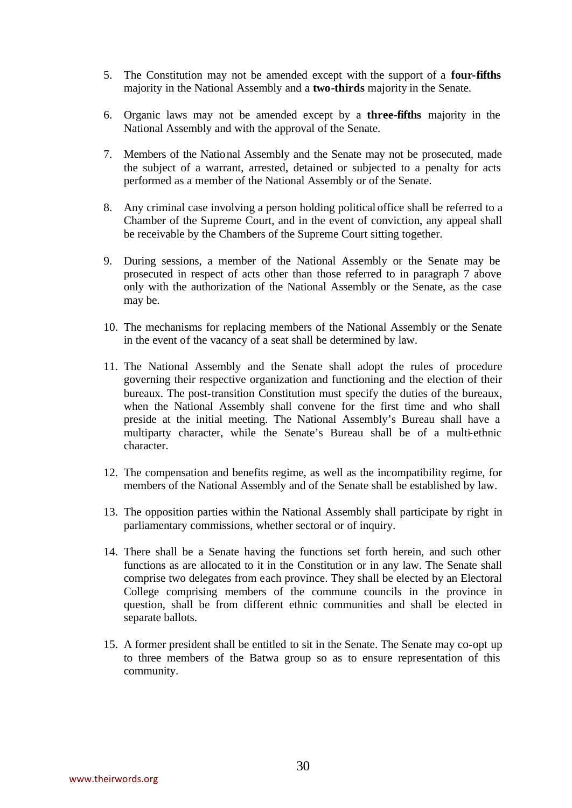- 5. The Constitution may not be amended except with the support of a **four-fifths** majority in the National Assembly and a **two-thirds** majority in the Senate.
- 6. Organic laws may not be amended except by a **three-fifths** majority in the National Assembly and with the approval of the Senate.
- 7. Members of the National Assembly and the Senate may not be prosecuted, made the subject of a warrant, arrested, detained or subjected to a penalty for acts performed as a member of the National Assembly or of the Senate.
- 8. Any criminal case involving a person holding political office shall be referred to a Chamber of the Supreme Court, and in the event of conviction, any appeal shall be receivable by the Chambers of the Supreme Court sitting together.
- 9. During sessions, a member of the National Assembly or the Senate may be prosecuted in respect of acts other than those referred to in paragraph 7 above only with the authorization of the National Assembly or the Senate, as the case may be.
- 10. The mechanisms for replacing members of the National Assembly or the Senate in the event of the vacancy of a seat shall be determined by law.
- 11. The National Assembly and the Senate shall adopt the rules of procedure governing their respective organization and functioning and the election of their bureaux. The post-transition Constitution must specify the duties of the bureaux, when the National Assembly shall convene for the first time and who shall preside at the initial meeting. The National Assembly's Bureau shall have a multiparty character, while the Senate's Bureau shall be of a multi-ethnic character.
- 12. The compensation and benefits regime, as well as the incompatibility regime, for members of the National Assembly and of the Senate shall be established by law.
- 13. The opposition parties within the National Assembly shall participate by right in parliamentary commissions, whether sectoral or of inquiry.
- 14. There shall be a Senate having the functions set forth herein, and such other functions as are allocated to it in the Constitution or in any law. The Senate shall comprise two delegates from each province. They shall be elected by an Electoral College comprising members of the commune councils in the province in question, shall be from different ethnic communities and shall be elected in separate ballots.
- 15. A former president shall be entitled to sit in the Senate. The Senate may co-opt up to three members of the Batwa group so as to ensure representation of this community.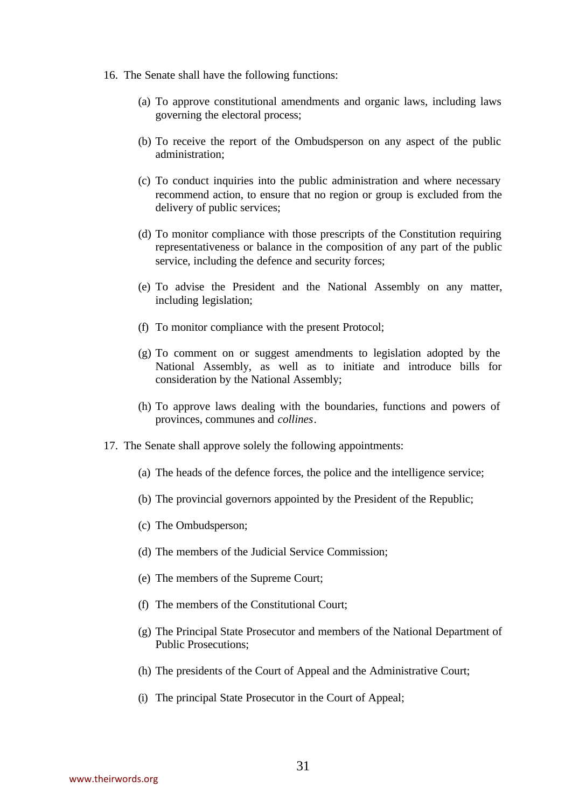- 16. The Senate shall have the following functions:
	- (a) To approve constitutional amendments and organic laws, including laws governing the electoral process;
	- (b) To receive the report of the Ombudsperson on any aspect of the public administration;
	- (c) To conduct inquiries into the public administration and where necessary recommend action, to ensure that no region or group is excluded from the delivery of public services;
	- (d) To monitor compliance with those prescripts of the Constitution requiring representativeness or balance in the composition of any part of the public service, including the defence and security forces;
	- (e) To advise the President and the National Assembly on any matter, including legislation;
	- (f) To monitor compliance with the present Protocol;
	- (g) To comment on or suggest amendments to legislation adopted by the National Assembly, as well as to initiate and introduce bills for consideration by the National Assembly;
	- (h) To approve laws dealing with the boundaries, functions and powers of provinces, communes and *collines*.
- 17. The Senate shall approve solely the following appointments:
	- (a) The heads of the defence forces, the police and the intelligence service;
	- (b) The provincial governors appointed by the President of the Republic;
	- (c) The Ombudsperson;
	- (d) The members of the Judicial Service Commission;
	- (e) The members of the Supreme Court;
	- (f) The members of the Constitutional Court;
	- (g) The Principal State Prosecutor and members of the National Department of Public Prosecutions;
	- (h) The presidents of the Court of Appeal and the Administrative Court;
	- (i) The principal State Prosecutor in the Court of Appeal;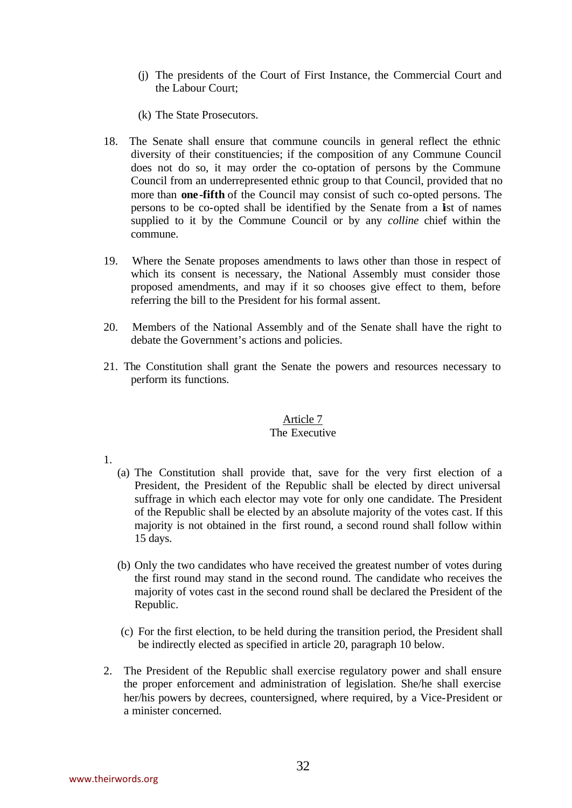- (j) The presidents of the Court of First Instance, the Commercial Court and the Labour Court;
- (k) The State Prosecutors.
- 18. The Senate shall ensure that commune councils in general reflect the ethnic diversity of their constituencies; if the composition of any Commune Council does not do so, it may order the co-optation of persons by the Commune Council from an underrepresented ethnic group to that Council, provided that no more than **one-fifth** of the Council may consist of such co-opted persons. The persons to be co-opted shall be identified by the Senate from a list of names supplied to it by the Commune Council or by any *colline* chief within the commune.
- 19. Where the Senate proposes amendments to laws other than those in respect of which its consent is necessary, the National Assembly must consider those proposed amendments, and may if it so chooses give effect to them, before referring the bill to the President for his formal assent.
- 20. Members of the National Assembly and of the Senate shall have the right to debate the Government's actions and policies.
- 21. The Constitution shall grant the Senate the powers and resources necessary to perform its functions.

# Article 7

## The Executive

- 1.
- (a) The Constitution shall provide that, save for the very first election of a President, the President of the Republic shall be elected by direct universal suffrage in which each elector may vote for only one candidate. The President of the Republic shall be elected by an absolute majority of the votes cast. If this majority is not obtained in the first round, a second round shall follow within 15 days.
- (b) Only the two candidates who have received the greatest number of votes during the first round may stand in the second round. The candidate who receives the majority of votes cast in the second round shall be declared the President of the Republic.
- (c) For the first election, to be held during the transition period, the President shall be indirectly elected as specified in article 20, paragraph 10 below.
- 2. The President of the Republic shall exercise regulatory power and shall ensure the proper enforcement and administration of legislation. She/he shall exercise her/his powers by decrees, countersigned, where required, by a Vice-President or a minister concerned.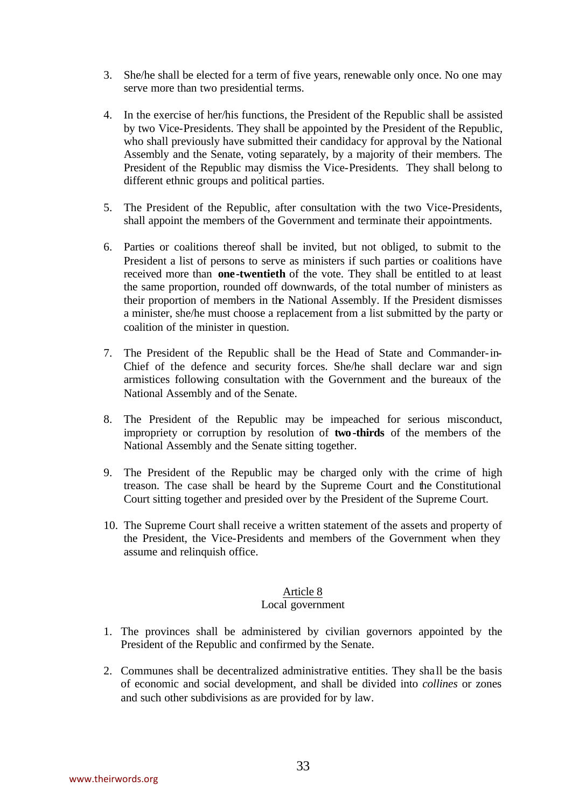- 3. She/he shall be elected for a term of five years, renewable only once. No one may serve more than two presidential terms.
- 4. In the exercise of her/his functions, the President of the Republic shall be assisted by two Vice-Presidents. They shall be appointed by the President of the Republic, who shall previously have submitted their candidacy for approval by the National Assembly and the Senate, voting separately, by a majority of their members. The President of the Republic may dismiss the Vice-Presidents. They shall belong to different ethnic groups and political parties.
- 5. The President of the Republic, after consultation with the two Vice-Presidents, shall appoint the members of the Government and terminate their appointments.
- 6. Parties or coalitions thereof shall be invited, but not obliged, to submit to the President a list of persons to serve as ministers if such parties or coalitions have received more than **one-twentieth** of the vote. They shall be entitled to at least the same proportion, rounded off downwards, of the total number of ministers as their proportion of members in the National Assembly. If the President dismisses a minister, she/he must choose a replacement from a list submitted by the party or coalition of the minister in question.
- 7. The President of the Republic shall be the Head of State and Commander-in-Chief of the defence and security forces. She/he shall declare war and sign armistices following consultation with the Government and the bureaux of the National Assembly and of the Senate.
- 8. The President of the Republic may be impeached for serious misconduct, impropriety or corruption by resolution of **two -thirds** of the members of the National Assembly and the Senate sitting together.
- 9. The President of the Republic may be charged only with the crime of high treason. The case shall be heard by the Supreme Court and the Constitutional Court sitting together and presided over by the President of the Supreme Court.
- 10. The Supreme Court shall receive a written statement of the assets and property of the President, the Vice-Presidents and members of the Government when they assume and relinquish office.

## Article 8

## Local government

- 1. The provinces shall be administered by civilian governors appointed by the President of the Republic and confirmed by the Senate.
- 2. Communes shall be decentralized administrative entities. They sha ll be the basis of economic and social development, and shall be divided into *collines* or zones and such other subdivisions as are provided for by law.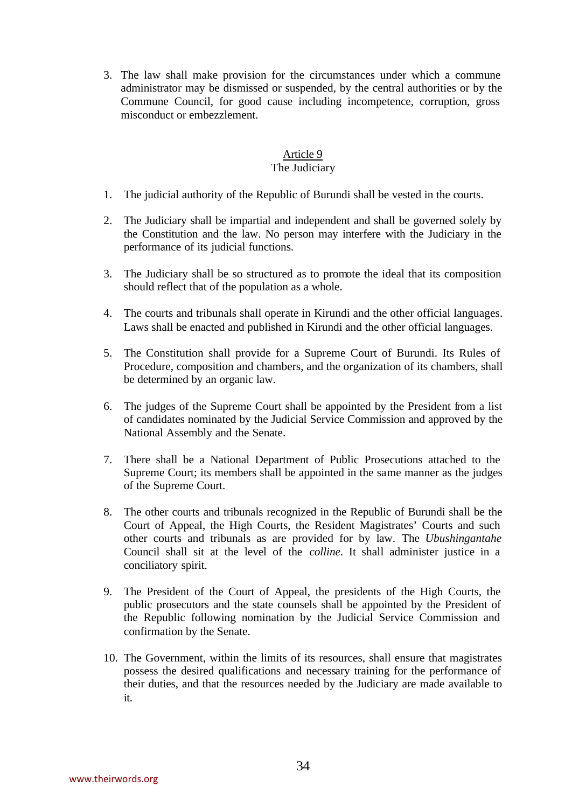3. The law shall make provision for the circumstances under which a commune administrator may be dismissed or suspended, by the central authorities or by the Commune Council, for good cause including incompetence, corruption, gross misconduct or embezzlement.

## Article 9

# The Judiciary

- 1. The judicial authority of the Republic of Burundi shall be vested in the courts.
- 2. The Judiciary shall be impartial and independent and shall be governed solely by the Constitution and the law. No person may interfere with the Judiciary in the performance of its judicial functions.
- 3. The Judiciary shall be so structured as to promote the ideal that its composition should reflect that of the population as a whole.
- 4. The courts and tribunals shall operate in Kirundi and the other official languages. Laws shall be enacted and published in Kirundi and the other official languages.
- 5. The Constitution shall provide for a Supreme Court of Burundi. Its Rules of Procedure, composition and chambers, and the organization of its chambers, shall be determined by an organic law.
- 6. The judges of the Supreme Court shall be appointed by the President from a list of candidates nominated by the Judicial Service Commission and approved by the National Assembly and the Senate.
- 7. There shall be a National Department of Public Prosecutions attached to the Supreme Court; its members shall be appointed in the same manner as the judges of the Supreme Court.
- 8. The other courts and tribunals recognized in the Republic of Burundi shall be the Court of Appeal, the High Courts, the Resident Magistrates' Courts and such other courts and tribunals as are provided for by law. The *Ubushingantahe* Council shall sit at the level of the *colline*. It shall administer justice in a conciliatory spirit.
- 9. The President of the Court of Appeal, the presidents of the High Courts, the public prosecutors and the state counsels shall be appointed by the President of the Republic following nomination by the Judicial Service Commission and confirmation by the Senate.
- 10. The Government, within the limits of its resources, shall ensure that magistrates possess the desired qualifications and necessary training for the performance of their duties, and that the resources needed by the Judiciary are made available to it.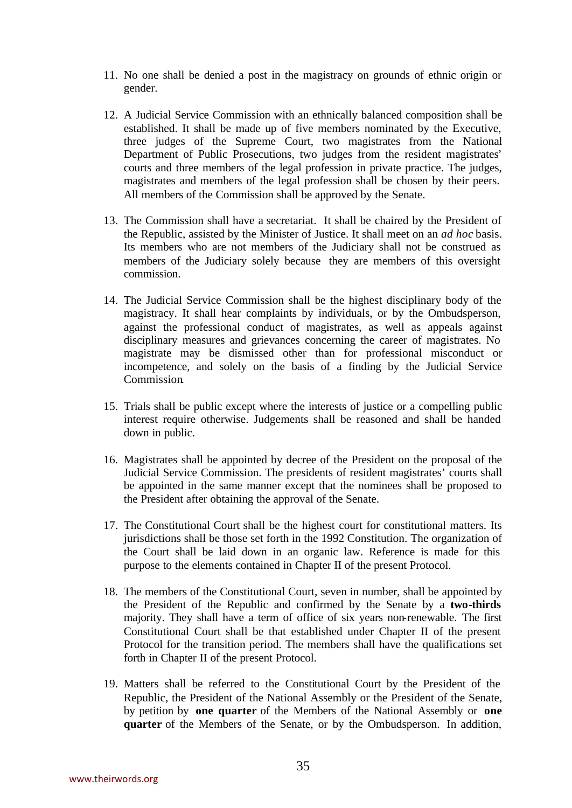- 11. No one shall be denied a post in the magistracy on grounds of ethnic origin or gender.
- 12. A Judicial Service Commission with an ethnically balanced composition shall be established. It shall be made up of five members nominated by the Executive, three judges of the Supreme Court, two magistrates from the National Department of Public Prosecutions, two judges from the resident magistrates' courts and three members of the legal profession in private practice. The judges, magistrates and members of the legal profession shall be chosen by their peers. All members of the Commission shall be approved by the Senate.
- 13. The Commission shall have a secretariat. It shall be chaired by the President of the Republic, assisted by the Minister of Justice. It shall meet on an *ad hoc* basis. Its members who are not members of the Judiciary shall not be construed as members of the Judiciary solely because they are members of this oversight commission.
- 14. The Judicial Service Commission shall be the highest disciplinary body of the magistracy. It shall hear complaints by individuals, or by the Ombudsperson, against the professional conduct of magistrates, as well as appeals against disciplinary measures and grievances concerning the career of magistrates. No magistrate may be dismissed other than for professional misconduct or incompetence, and solely on the basis of a finding by the Judicial Service Commission.
- 15. Trials shall be public except where the interests of justice or a compelling public interest require otherwise. Judgements shall be reasoned and shall be handed down in public.
- 16. Magistrates shall be appointed by decree of the President on the proposal of the Judicial Service Commission. The presidents of resident magistrates' courts shall be appointed in the same manner except that the nominees shall be proposed to the President after obtaining the approval of the Senate.
- 17. The Constitutional Court shall be the highest court for constitutional matters. Its jurisdictions shall be those set forth in the 1992 Constitution. The organization of the Court shall be laid down in an organic law. Reference is made for this purpose to the elements contained in Chapter II of the present Protocol.
- 18. The members of the Constitutional Court, seven in number, shall be appointed by the President of the Republic and confirmed by the Senate by a **two-thirds** majority. They shall have a term of office of six years non-renewable. The first Constitutional Court shall be that established under Chapter II of the present Protocol for the transition period. The members shall have the qualifications set forth in Chapter II of the present Protocol.
- 19. Matters shall be referred to the Constitutional Court by the President of the Republic, the President of the National Assembly or the President of the Senate, by petition by **one quarter** of the Members of the National Assembly or **one quarter** of the Members of the Senate, or by the Ombudsperson. In addition,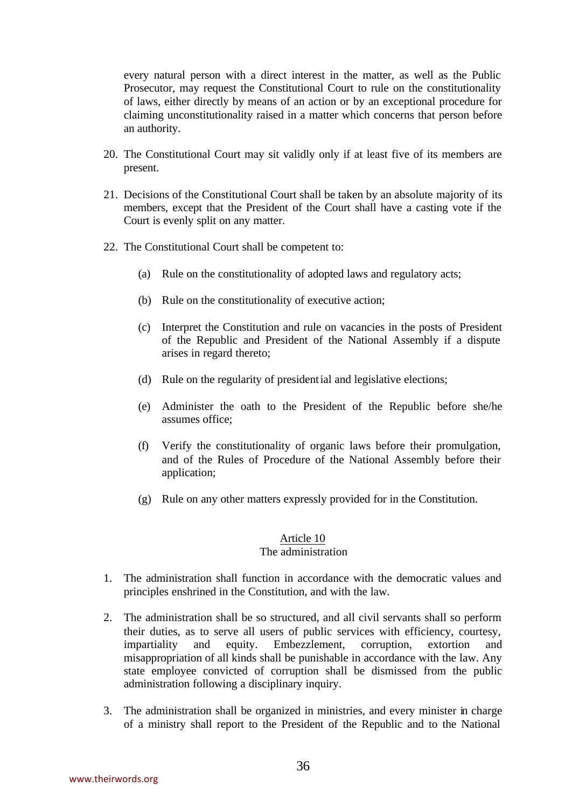every natural person with a direct interest in the matter, as well as the Public Prosecutor, may request the Constitutional Court to rule on the constitutionality of laws, either directly by means of an action or by an exceptional procedure for claiming unconstitutionality raised in a matter which concerns that person before an authority.

- 20. The Constitutional Court may sit validly only if at least five of its members are present.
- 21. Decisions of the Constitutional Court shall be taken by an absolute majority of its members, except that the President of the Court shall have a casting vote if the Court is evenly split on any matter.
- 22. The Constitutional Court shall be competent to:
	- (a) Rule on the constitutionality of adopted laws and regulatory acts;
	- (b) Rule on the constitutionality of executive action;
	- (c) Interpret the Constitution and rule on vacancies in the posts of President of the Republic and President of the National Assembly if a dispute arises in regard thereto;
	- (d) Rule on the regularity of presidential and legislative elections;
	- (e) Administer the oath to the President of the Republic before she/he assumes office;
	- (f) Verify the constitutionality of organic laws before their promulgation, and of the Rules of Procedure of the National Assembly before their application;
	- (g) Rule on any other matters expressly provided for in the Constitution.

#### Article 10 The administration

- 1. The administration shall function in accordance with the democratic values and principles enshrined in the Constitution, and with the law.
- 2. The administration shall be so structured, and all civil servants shall so perform their duties, as to serve all users of public services with efficiency, courtesy, impartiality and equity. Embezzlement, corruption, extortion and misappropriation of all kinds shall be punishable in accordance with the law. Any state employee convicted of corruption shall be dismissed from the public administration following a disciplinary inquiry.
- 3. The administration shall be organized in ministries, and every minister in charge of a ministry shall report to the President of the Republic and to the National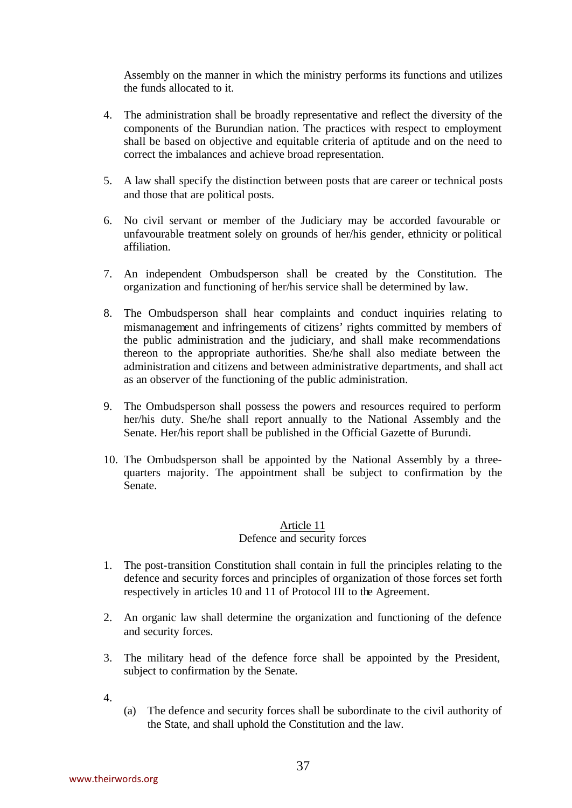Assembly on the manner in which the ministry performs its functions and utilizes the funds allocated to it.

- 4. The administration shall be broadly representative and reflect the diversity of the components of the Burundian nation. The practices with respect to employment shall be based on objective and equitable criteria of aptitude and on the need to correct the imbalances and achieve broad representation.
- 5. A law shall specify the distinction between posts that are career or technical posts and those that are political posts.
- 6. No civil servant or member of the Judiciary may be accorded favourable or unfavourable treatment solely on grounds of her/his gender, ethnicity or political affiliation.
- 7. An independent Ombudsperson shall be created by the Constitution. The organization and functioning of her/his service shall be determined by law.
- 8. The Ombudsperson shall hear complaints and conduct inquiries relating to mismanagement and infringements of citizens' rights committed by members of the public administration and the judiciary, and shall make recommendations thereon to the appropriate authorities. She/he shall also mediate between the administration and citizens and between administrative departments, and shall act as an observer of the functioning of the public administration.
- 9. The Ombudsperson shall possess the powers and resources required to perform her/his duty. She/he shall report annually to the National Assembly and the Senate. Her/his report shall be published in the Official Gazette of Burundi.
- 10. The Ombudsperson shall be appointed by the National Assembly by a threequarters majority. The appointment shall be subject to confirmation by the Senate.

## Article 11 Defence and security forces

- 1. The post-transition Constitution shall contain in full the principles relating to the defence and security forces and principles of organization of those forces set forth respectively in articles 10 and 11 of Protocol III to the Agreement.
- 2. An organic law shall determine the organization and functioning of the defence and security forces.
- 3. The military head of the defence force shall be appointed by the President, subject to confirmation by the Senate.
- 4.
- (a) The defence and security forces shall be subordinate to the civil authority of the State, and shall uphold the Constitution and the law.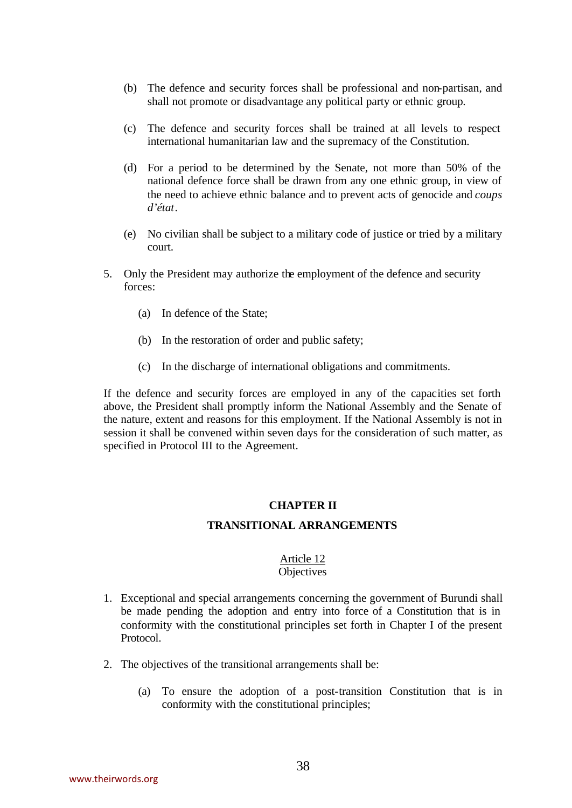- (b) The defence and security forces shall be professional and non-partisan, and shall not promote or disadvantage any political party or ethnic group.
- (c) The defence and security forces shall be trained at all levels to respect international humanitarian law and the supremacy of the Constitution.
- (d) For a period to be determined by the Senate, not more than 50% of the national defence force shall be drawn from any one ethnic group, in view of the need to achieve ethnic balance and to prevent acts of genocide and *coups d'état*.
- (e) No civilian shall be subject to a military code of justice or tried by a military court.
- 5. Only the President may authorize the employment of the defence and security forces:
	- (a) In defence of the State;
	- (b) In the restoration of order and public safety;
	- (c) In the discharge of international obligations and commitments.

If the defence and security forces are employed in any of the capacities set forth above, the President shall promptly inform the National Assembly and the Senate of the nature, extent and reasons for this employment. If the National Assembly is not in session it shall be convened within seven days for the consideration of such matter, as specified in Protocol III to the Agreement.

#### **CHAPTER II**

#### **TRANSITIONAL ARRANGEMENTS**

#### Article 12 **Objectives**

- 1. Exceptional and special arrangements concerning the government of Burundi shall be made pending the adoption and entry into force of a Constitution that is in conformity with the constitutional principles set forth in Chapter I of the present Protocol.
- 2. The objectives of the transitional arrangements shall be:
	- (a) To ensure the adoption of a post-transition Constitution that is in conformity with the constitutional principles;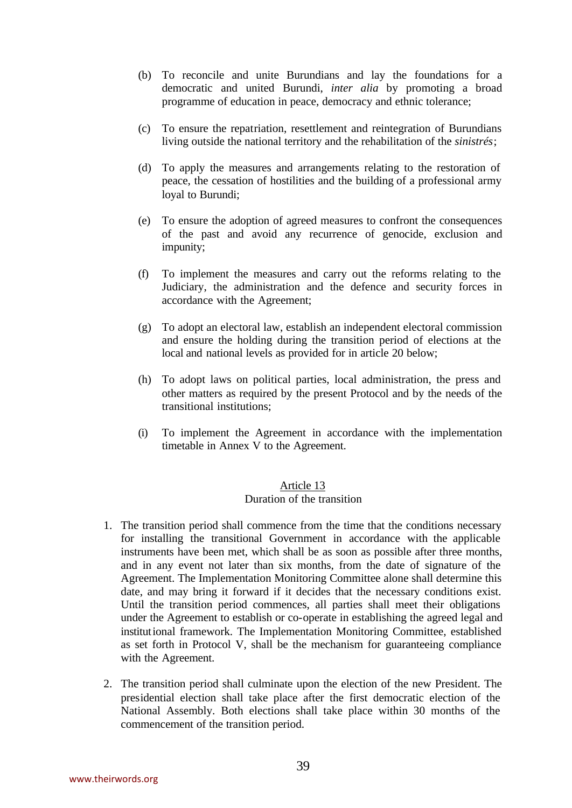- (b) To reconcile and unite Burundians and lay the foundations for a democratic and united Burundi, *inter alia* by promoting a broad programme of education in peace, democracy and ethnic tolerance;
- (c) To ensure the repatriation, resettlement and reintegration of Burundians living outside the national territory and the rehabilitation of the *sinistrés*;
- (d) To apply the measures and arrangements relating to the restoration of peace, the cessation of hostilities and the building of a professional army loyal to Burundi;
- (e) To ensure the adoption of agreed measures to confront the consequences of the past and avoid any recurrence of genocide, exclusion and impunity;
- (f) To implement the measures and carry out the reforms relating to the Judiciary, the administration and the defence and security forces in accordance with the Agreement;
- (g) To adopt an electoral law, establish an independent electoral commission and ensure the holding during the transition period of elections at the local and national levels as provided for in article 20 below;
- (h) To adopt laws on political parties, local administration, the press and other matters as required by the present Protocol and by the needs of the transitional institutions;
- (i) To implement the Agreement in accordance with the implementation timetable in Annex V to the Agreement.

# Duration of the transition

- 1. The transition period shall commence from the time that the conditions necessary for installing the transitional Government in accordance with the applicable instruments have been met, which shall be as soon as possible after three months, and in any event not later than six months, from the date of signature of the Agreement. The Implementation Monitoring Committee alone shall determine this date, and may bring it forward if it decides that the necessary conditions exist. Until the transition period commences, all parties shall meet their obligations under the Agreement to establish or co-operate in establishing the agreed legal and institutional framework. The Implementation Monitoring Committee, established as set forth in Protocol V, shall be the mechanism for guaranteeing compliance with the Agreement.
- 2. The transition period shall culminate upon the election of the new President. The presidential election shall take place after the first democratic election of the National Assembly. Both elections shall take place within 30 months of the commencement of the transition period.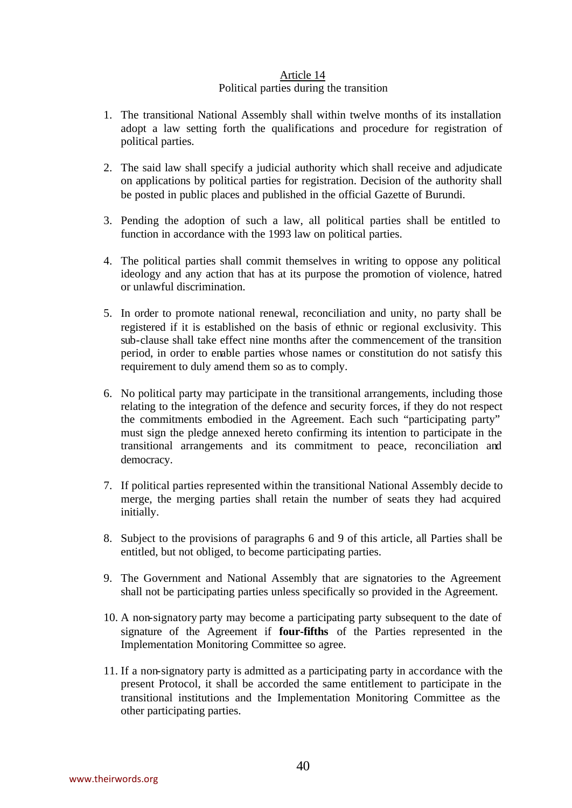#### Article 14 Political parties during the transition

- 1. The transitional National Assembly shall within twelve months of its installation adopt a law setting forth the qualifications and procedure for registration of political parties.
- 2. The said law shall specify a judicial authority which shall receive and adjudicate on applications by political parties for registration. Decision of the authority shall be posted in public places and published in the official Gazette of Burundi.
- 3. Pending the adoption of such a law, all political parties shall be entitled to function in accordance with the 1993 law on political parties.
- 4. The political parties shall commit themselves in writing to oppose any political ideology and any action that has at its purpose the promotion of violence, hatred or unlawful discrimination.
- 5. In order to promote national renewal, reconciliation and unity, no party shall be registered if it is established on the basis of ethnic or regional exclusivity. This sub-clause shall take effect nine months after the commencement of the transition period, in order to enable parties whose names or constitution do not satisfy this requirement to duly amend them so as to comply.
- 6. No political party may participate in the transitional arrangements, including those relating to the integration of the defence and security forces, if they do not respect the commitments embodied in the Agreement. Each such "participating party" must sign the pledge annexed hereto confirming its intention to participate in the transitional arrangements and its commitment to peace, reconciliation and democracy.
- 7. If political parties represented within the transitional National Assembly decide to merge, the merging parties shall retain the number of seats they had acquired initially.
- 8. Subject to the provisions of paragraphs 6 and 9 of this article, all Parties shall be entitled, but not obliged, to become participating parties.
- 9. The Government and National Assembly that are signatories to the Agreement shall not be participating parties unless specifically so provided in the Agreement.
- 10. A non-signatory party may become a participating party subsequent to the date of signature of the Agreement if **four-fifths** of the Parties represented in the Implementation Monitoring Committee so agree.
- 11. If a non-signatory party is admitted as a participating party in accordance with the present Protocol, it shall be accorded the same entitlement to participate in the transitional institutions and the Implementation Monitoring Committee as the other participating parties.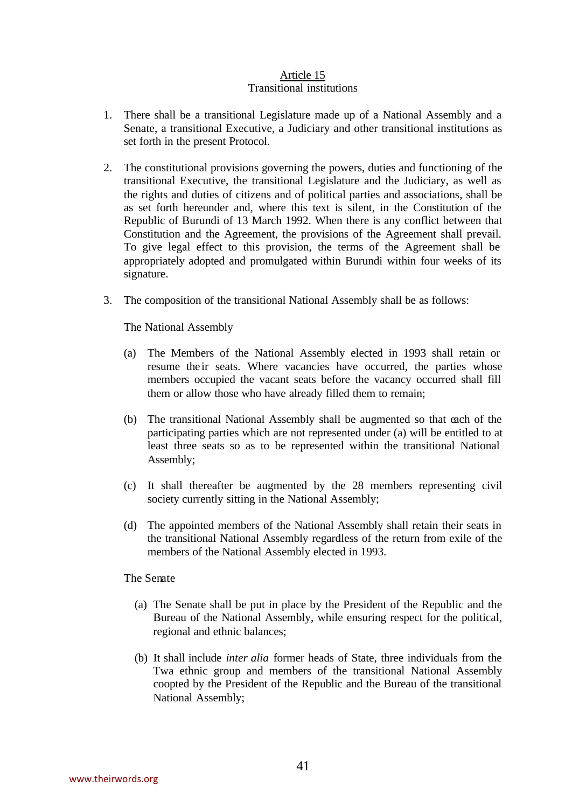#### Article 15 Transitional institutions

- 1. There shall be a transitional Legislature made up of a National Assembly and a Senate, a transitional Executive, a Judiciary and other transitional institutions as set forth in the present Protocol.
- 2. The constitutional provisions governing the powers, duties and functioning of the transitional Executive, the transitional Legislature and the Judiciary, as well as the rights and duties of citizens and of political parties and associations, shall be as set forth hereunder and, where this text is silent, in the Constitution of the Republic of Burundi of 13 March 1992. When there is any conflict between that Constitution and the Agreement, the provisions of the Agreement shall prevail. To give legal effect to this provision, the terms of the Agreement shall be appropriately adopted and promulgated within Burundi within four weeks of its signature.
- 3. The composition of the transitional National Assembly shall be as follows:

The National Assembly

- (a) The Members of the National Assembly elected in 1993 shall retain or resume their seats. Where vacancies have occurred, the parties whose members occupied the vacant seats before the vacancy occurred shall fill them or allow those who have already filled them to remain;
- (b) The transitional National Assembly shall be augmented so that each of the participating parties which are not represented under (a) will be entitled to at least three seats so as to be represented within the transitional National Assembly;
- (c) It shall thereafter be augmented by the 28 members representing civil society currently sitting in the National Assembly;
- (d) The appointed members of the National Assembly shall retain their seats in the transitional National Assembly regardless of the return from exile of the members of the National Assembly elected in 1993.

The Senate

- (a) The Senate shall be put in place by the President of the Republic and the Bureau of the National Assembly, while ensuring respect for the political, regional and ethnic balances;
- (b) It shall include *inter alia* former heads of State, three individuals from the Twa ethnic group and members of the transitional National Assembly coopted by the President of the Republic and the Bureau of the transitional National Assembly;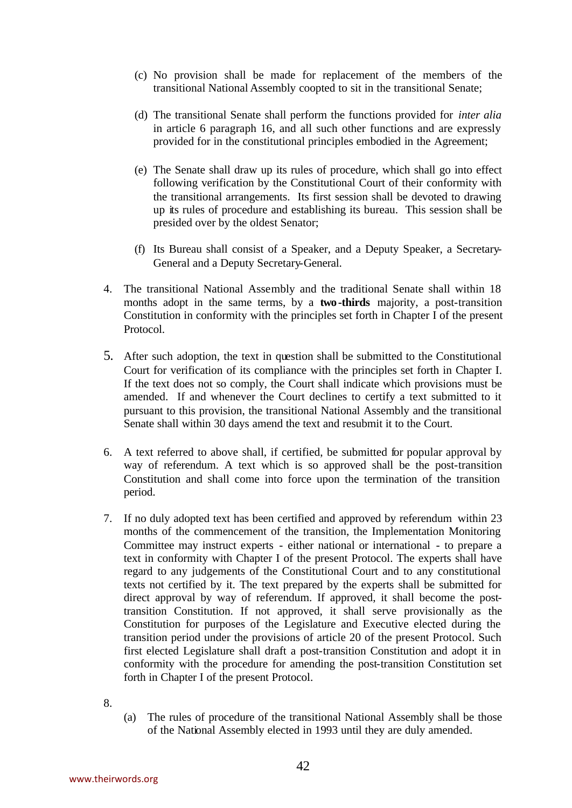- (c) No provision shall be made for replacement of the members of the transitional National Assembly coopted to sit in the transitional Senate;
- (d) The transitional Senate shall perform the functions provided for *inter alia* in article 6 paragraph 16, and all such other functions and are expressly provided for in the constitutional principles embodied in the Agreement;
- (e) The Senate shall draw up its rules of procedure, which shall go into effect following verification by the Constitutional Court of their conformity with the transitional arrangements. Its first session shall be devoted to drawing up its rules of procedure and establishing its bureau. This session shall be presided over by the oldest Senator;
- (f) Its Bureau shall consist of a Speaker, and a Deputy Speaker, a Secretary-General and a Deputy Secretary-General.
- 4. The transitional National Assembly and the traditional Senate shall within 18 months adopt in the same terms, by a **two -thirds** majority, a post-transition Constitution in conformity with the principles set forth in Chapter I of the present Protocol.
- 5. After such adoption, the text in question shall be submitted to the Constitutional Court for verification of its compliance with the principles set forth in Chapter I. If the text does not so comply, the Court shall indicate which provisions must be amended. If and whenever the Court declines to certify a text submitted to it pursuant to this provision, the transitional National Assembly and the transitional Senate shall within 30 days amend the text and resubmit it to the Court.
- 6. A text referred to above shall, if certified, be submitted for popular approval by way of referendum. A text which is so approved shall be the post-transition Constitution and shall come into force upon the termination of the transition period.
- 7. If no duly adopted text has been certified and approved by referendum within 23 months of the commencement of the transition, the Implementation Monitoring Committee may instruct experts - either national or international - to prepare a text in conformity with Chapter I of the present Protocol. The experts shall have regard to any judgements of the Constitutional Court and to any constitutional texts not certified by it. The text prepared by the experts shall be submitted for direct approval by way of referendum. If approved, it shall become the posttransition Constitution. If not approved, it shall serve provisionally as the Constitution for purposes of the Legislature and Executive elected during the transition period under the provisions of article 20 of the present Protocol. Such first elected Legislature shall draft a post-transition Constitution and adopt it in conformity with the procedure for amending the post-transition Constitution set forth in Chapter I of the present Protocol.
- 8.
- (a) The rules of procedure of the transitional National Assembly shall be those of the National Assembly elected in 1993 until they are duly amended.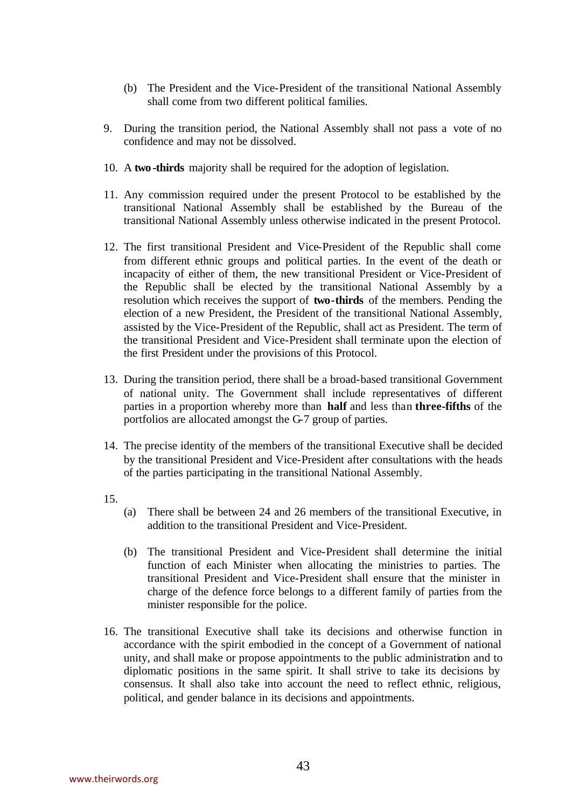- (b) The President and the Vice-President of the transitional National Assembly shall come from two different political families.
- 9. During the transition period, the National Assembly shall not pass a vote of no confidence and may not be dissolved.
- 10. A **two -thirds** majority shall be required for the adoption of legislation.
- 11. Any commission required under the present Protocol to be established by the transitional National Assembly shall be established by the Bureau of the transitional National Assembly unless otherwise indicated in the present Protocol.
- 12. The first transitional President and Vice-President of the Republic shall come from different ethnic groups and political parties. In the event of the death or incapacity of either of them, the new transitional President or Vice-President of the Republic shall be elected by the transitional National Assembly by a resolution which receives the support of **two-thirds** of the members. Pending the election of a new President, the President of the transitional National Assembly, assisted by the Vice-President of the Republic, shall act as President. The term of the transitional President and Vice-President shall terminate upon the election of the first President under the provisions of this Protocol.
- 13. During the transition period, there shall be a broad-based transitional Government of national unity. The Government shall include representatives of different parties in a proportion whereby more than **half** and less than **three-fifths** of the portfolios are allocated amongst the G-7 group of parties.
- 14. The precise identity of the members of the transitional Executive shall be decided by the transitional President and Vice-President after consultations with the heads of the parties participating in the transitional National Assembly.
- 15.
- (a) There shall be between 24 and 26 members of the transitional Executive, in addition to the transitional President and Vice-President.
- (b) The transitional President and Vice-President shall determine the initial function of each Minister when allocating the ministries to parties. The transitional President and Vice-President shall ensure that the minister in charge of the defence force belongs to a different family of parties from the minister responsible for the police.
- 16. The transitional Executive shall take its decisions and otherwise function in accordance with the spirit embodied in the concept of a Government of national unity, and shall make or propose appointments to the public administration and to diplomatic positions in the same spirit. It shall strive to take its decisions by consensus. It shall also take into account the need to reflect ethnic, religious, political, and gender balance in its decisions and appointments.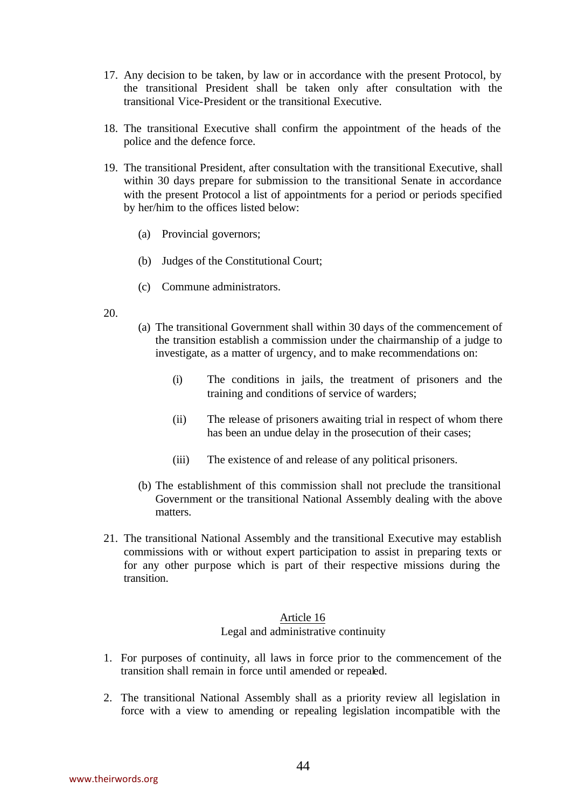- 17. Any decision to be taken, by law or in accordance with the present Protocol, by the transitional President shall be taken only after consultation with the transitional Vice-President or the transitional Executive.
- 18. The transitional Executive shall confirm the appointment of the heads of the police and the defence force.
- 19. The transitional President, after consultation with the transitional Executive, shall within 30 days prepare for submission to the transitional Senate in accordance with the present Protocol a list of appointments for a period or periods specified by her/him to the offices listed below:
	- (a) Provincial governors;
	- (b) Judges of the Constitutional Court;
	- (c) Commune administrators.
- 20.
- (a) The transitional Government shall within 30 days of the commencement of the transition establish a commission under the chairmanship of a judge to investigate, as a matter of urgency, and to make recommendations on:
	- (i) The conditions in jails, the treatment of prisoners and the training and conditions of service of warders;
	- (ii) The release of prisoners awaiting trial in respect of whom there has been an undue delay in the prosecution of their cases;
	- (iii) The existence of and release of any political prisoners.
- (b) The establishment of this commission shall not preclude the transitional Government or the transitional National Assembly dealing with the above matters.
- 21. The transitional National Assembly and the transitional Executive may establish commissions with or without expert participation to assist in preparing texts or for any other purpose which is part of their respective missions during the transition.

## Legal and administrative continuity

- 1. For purposes of continuity, all laws in force prior to the commencement of the transition shall remain in force until amended or repealed.
- 2. The transitional National Assembly shall as a priority review all legislation in force with a view to amending or repealing legislation incompatible with the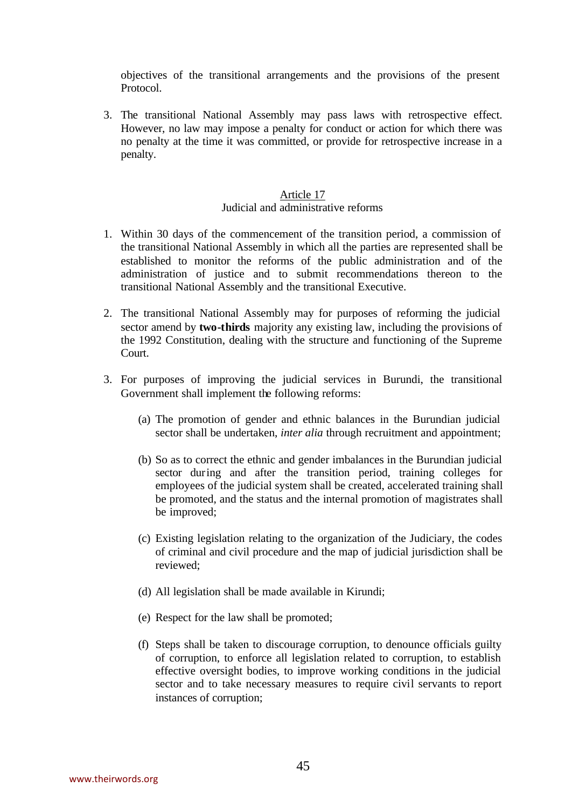objectives of the transitional arrangements and the provisions of the present Protocol.

3. The transitional National Assembly may pass laws with retrospective effect. However, no law may impose a penalty for conduct or action for which there was no penalty at the time it was committed, or provide for retrospective increase in a penalty.

#### Article 17 Judicial and administrative reforms

- 1. Within 30 days of the commencement of the transition period, a commission of the transitional National Assembly in which all the parties are represented shall be established to monitor the reforms of the public administration and of the administration of justice and to submit recommendations thereon to the transitional National Assembly and the transitional Executive.
- 2. The transitional National Assembly may for purposes of reforming the judicial sector amend by **two-thirds** majority any existing law, including the provisions of the 1992 Constitution, dealing with the structure and functioning of the Supreme Court.
- 3. For purposes of improving the judicial services in Burundi, the transitional Government shall implement the following reforms:
	- (a) The promotion of gender and ethnic balances in the Burundian judicial sector shall be undertaken, *inter alia* through recruitment and appointment;
	- (b) So as to correct the ethnic and gender imbalances in the Burundian judicial sector during and after the transition period, training colleges for employees of the judicial system shall be created, accelerated training shall be promoted, and the status and the internal promotion of magistrates shall be improved;
	- (c) Existing legislation relating to the organization of the Judiciary, the codes of criminal and civil procedure and the map of judicial jurisdiction shall be reviewed;
	- (d) All legislation shall be made available in Kirundi;
	- (e) Respect for the law shall be promoted;
	- (f) Steps shall be taken to discourage corruption, to denounce officials guilty of corruption, to enforce all legislation related to corruption, to establish effective oversight bodies, to improve working conditions in the judicial sector and to take necessary measures to require civil servants to report instances of corruption;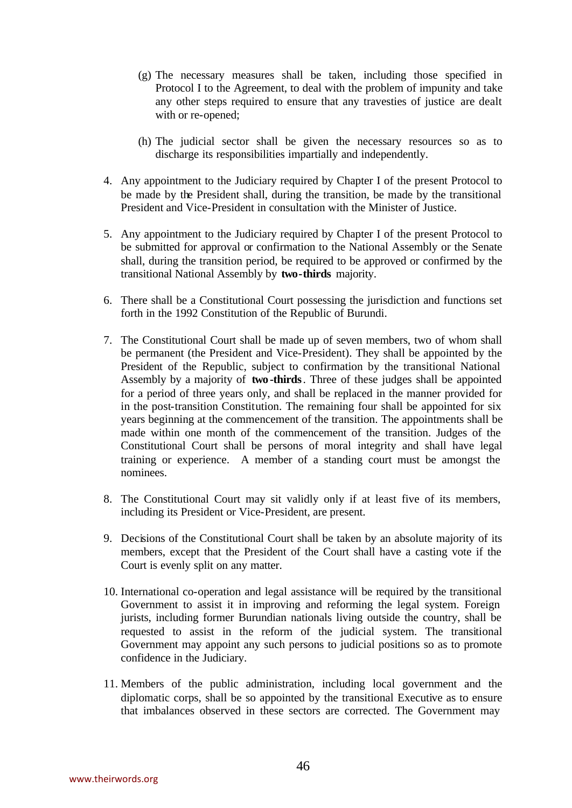- (g) The necessary measures shall be taken, including those specified in Protocol I to the Agreement, to deal with the problem of impunity and take any other steps required to ensure that any travesties of justice are dealt with or re-opened;
- (h) The judicial sector shall be given the necessary resources so as to discharge its responsibilities impartially and independently.
- 4. Any appointment to the Judiciary required by Chapter I of the present Protocol to be made by the President shall, during the transition, be made by the transitional President and Vice-President in consultation with the Minister of Justice.
- 5. Any appointment to the Judiciary required by Chapter I of the present Protocol to be submitted for approval or confirmation to the National Assembly or the Senate shall, during the transition period, be required to be approved or confirmed by the transitional National Assembly by **two-thirds** majority.
- 6. There shall be a Constitutional Court possessing the jurisdiction and functions set forth in the 1992 Constitution of the Republic of Burundi.
- 7. The Constitutional Court shall be made up of seven members, two of whom shall be permanent (the President and Vice-President). They shall be appointed by the President of the Republic, subject to confirmation by the transitional National Assembly by a majority of **two -thirds**. Three of these judges shall be appointed for a period of three years only, and shall be replaced in the manner provided for in the post-transition Constitution. The remaining four shall be appointed for six years beginning at the commencement of the transition. The appointments shall be made within one month of the commencement of the transition. Judges of the Constitutional Court shall be persons of moral integrity and shall have legal training or experience. A member of a standing court must be amongst the nominees.
- 8. The Constitutional Court may sit validly only if at least five of its members, including its President or Vice-President, are present.
- 9. Decisions of the Constitutional Court shall be taken by an absolute majority of its members, except that the President of the Court shall have a casting vote if the Court is evenly split on any matter.
- 10. International co-operation and legal assistance will be required by the transitional Government to assist it in improving and reforming the legal system. Foreign jurists, including former Burundian nationals living outside the country, shall be requested to assist in the reform of the judicial system. The transitional Government may appoint any such persons to judicial positions so as to promote confidence in the Judiciary.
- 11. Members of the public administration, including local government and the diplomatic corps, shall be so appointed by the transitional Executive as to ensure that imbalances observed in these sectors are corrected. The Government may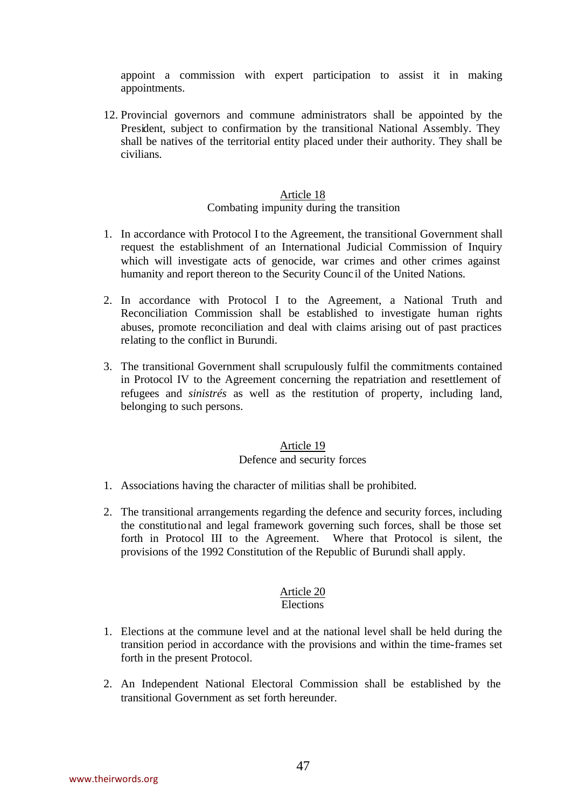appoint a commission with expert participation to assist it in making appointments.

12. Provincial governors and commune administrators shall be appointed by the President, subject to confirmation by the transitional National Assembly. They shall be natives of the territorial entity placed under their authority. They shall be civilians.

#### Article 18 Combating impunity during the transition

- 1. In accordance with Protocol I to the Agreement, the transitional Government shall request the establishment of an International Judicial Commission of Inquiry which will investigate acts of genocide, war crimes and other crimes against humanity and report thereon to the Security Counc il of the United Nations.
- 2. In accordance with Protocol I to the Agreement, a National Truth and Reconciliation Commission shall be established to investigate human rights abuses, promote reconciliation and deal with claims arising out of past practices relating to the conflict in Burundi.
- 3. The transitional Government shall scrupulously fulfil the commitments contained in Protocol IV to the Agreement concerning the repatriation and resettlement of refugees and *sinistrés* as well as the restitution of property, including land, belonging to such persons.

# Article 19

# Defence and security forces

- 1. Associations having the character of militias shall be prohibited.
- 2. The transitional arrangements regarding the defence and security forces, including the constitutional and legal framework governing such forces, shall be those set forth in Protocol III to the Agreement. Where that Protocol is silent, the provisions of the 1992 Constitution of the Republic of Burundi shall apply.

# Article 20

## **Elections**

- 1. Elections at the commune level and at the national level shall be held during the transition period in accordance with the provisions and within the time-frames set forth in the present Protocol.
- 2. An Independent National Electoral Commission shall be established by the transitional Government as set forth hereunder.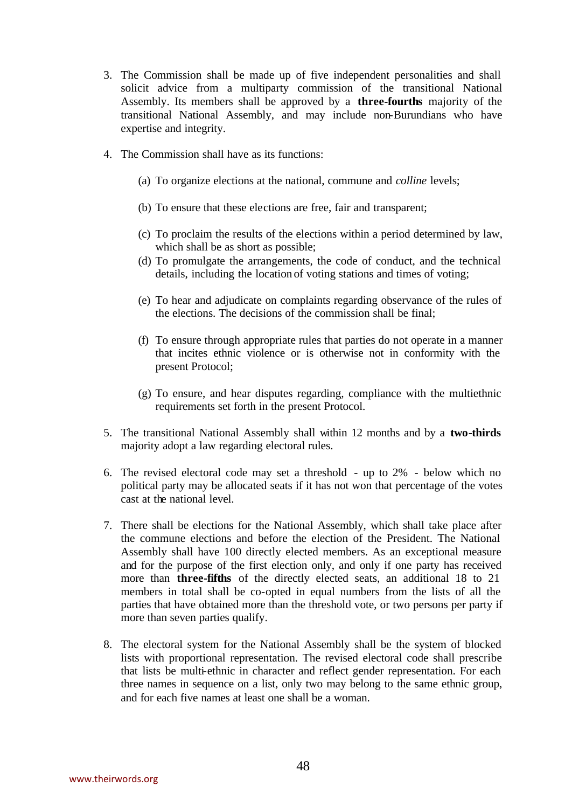- 3. The Commission shall be made up of five independent personalities and shall solicit advice from a multiparty commission of the transitional National Assembly. Its members shall be approved by a **three-fourths** majority of the transitional National Assembly, and may include non-Burundians who have expertise and integrity.
- 4. The Commission shall have as its functions:
	- (a) To organize elections at the national, commune and *colline* levels;
	- (b) To ensure that these elections are free, fair and transparent;
	- (c) To proclaim the results of the elections within a period determined by law, which shall be as short as possible;
	- (d) To promulgate the arrangements, the code of conduct, and the technical details, including the location of voting stations and times of voting;
	- (e) To hear and adjudicate on complaints regarding observance of the rules of the elections. The decisions of the commission shall be final;
	- (f) To ensure through appropriate rules that parties do not operate in a manner that incites ethnic violence or is otherwise not in conformity with the present Protocol;
	- (g) To ensure, and hear disputes regarding, compliance with the multiethnic requirements set forth in the present Protocol.
- 5. The transitional National Assembly shall within 12 months and by a **two-thirds** majority adopt a law regarding electoral rules.
- 6. The revised electoral code may set a threshold up to 2% below which no political party may be allocated seats if it has not won that percentage of the votes cast at the national level.
- 7. There shall be elections for the National Assembly, which shall take place after the commune elections and before the election of the President. The National Assembly shall have 100 directly elected members. As an exceptional measure and for the purpose of the first election only, and only if one party has received more than **three-fifths** of the directly elected seats, an additional 18 to 21 members in total shall be co-opted in equal numbers from the lists of all the parties that have obtained more than the threshold vote, or two persons per party if more than seven parties qualify.
- 8. The electoral system for the National Assembly shall be the system of blocked lists with proportional representation. The revised electoral code shall prescribe that lists be multi-ethnic in character and reflect gender representation. For each three names in sequence on a list, only two may belong to the same ethnic group, and for each five names at least one shall be a woman.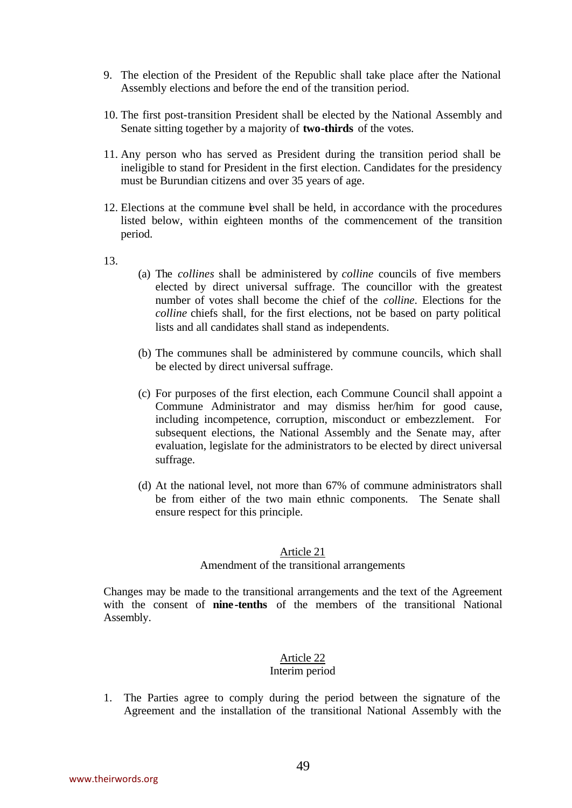- 9. The election of the President of the Republic shall take place after the National Assembly elections and before the end of the transition period.
- 10. The first post-transition President shall be elected by the National Assembly and Senate sitting together by a majority of **two-thirds** of the votes.
- 11. Any person who has served as President during the transition period shall be ineligible to stand for President in the first election. Candidates for the presidency must be Burundian citizens and over 35 years of age.
- 12. Elections at the commune level shall be held, in accordance with the procedures listed below, within eighteen months of the commencement of the transition period.
- 13.
- (a) The *collines* shall be administered by *colline* councils of five members elected by direct universal suffrage. The councillor with the greatest number of votes shall become the chief of the *colline*. Elections for the *colline* chiefs shall, for the first elections, not be based on party political lists and all candidates shall stand as independents.
- (b) The communes shall be administered by commune councils, which shall be elected by direct universal suffrage.
- (c) For purposes of the first election, each Commune Council shall appoint a Commune Administrator and may dismiss her/him for good cause, including incompetence, corruption, misconduct or embezzlement. For subsequent elections, the National Assembly and the Senate may, after evaluation, legislate for the administrators to be elected by direct universal suffrage.
- (d) At the national level, not more than 67% of commune administrators shall be from either of the two main ethnic components. The Senate shall ensure respect for this principle.

#### Amendment of the transitional arrangements

Changes may be made to the transitional arrangements and the text of the Agreement with the consent of **nine-tenths** of the members of the transitional National Assembly.

## Article 22

#### Interim period

1. The Parties agree to comply during the period between the signature of the Agreement and the installation of the transitional National Assembly with the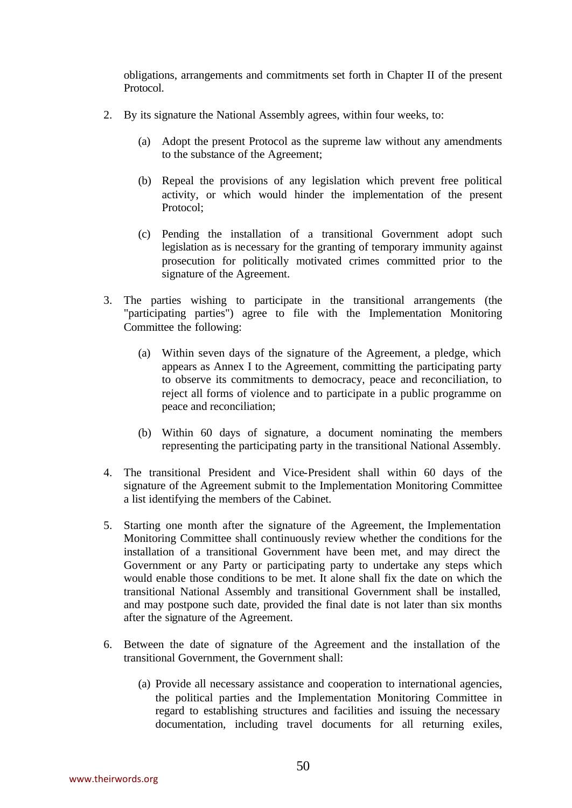obligations, arrangements and commitments set forth in Chapter II of the present Protocol.

- 2. By its signature the National Assembly agrees, within four weeks, to:
	- (a) Adopt the present Protocol as the supreme law without any amendments to the substance of the Agreement;
	- (b) Repeal the provisions of any legislation which prevent free political activity, or which would hinder the implementation of the present Protocol;
	- (c) Pending the installation of a transitional Government adopt such legislation as is necessary for the granting of temporary immunity against prosecution for politically motivated crimes committed prior to the signature of the Agreement.
- 3. The parties wishing to participate in the transitional arrangements (the "participating parties") agree to file with the Implementation Monitoring Committee the following:
	- (a) Within seven days of the signature of the Agreement, a pledge, which appears as Annex I to the Agreement, committing the participating party to observe its commitments to democracy, peace and reconciliation, to reject all forms of violence and to participate in a public programme on peace and reconciliation;
	- (b) Within 60 days of signature, a document nominating the members representing the participating party in the transitional National Assembly.
- 4. The transitional President and Vice-President shall within 60 days of the signature of the Agreement submit to the Implementation Monitoring Committee a list identifying the members of the Cabinet.
- 5. Starting one month after the signature of the Agreement, the Implementation Monitoring Committee shall continuously review whether the conditions for the installation of a transitional Government have been met, and may direct the Government or any Party or participating party to undertake any steps which would enable those conditions to be met. It alone shall fix the date on which the transitional National Assembly and transitional Government shall be installed, and may postpone such date, provided the final date is not later than six months after the signature of the Agreement.
- 6. Between the date of signature of the Agreement and the installation of the transitional Government, the Government shall:
	- (a) Provide all necessary assistance and cooperation to international agencies, the political parties and the Implementation Monitoring Committee in regard to establishing structures and facilities and issuing the necessary documentation, including travel documents for all returning exiles,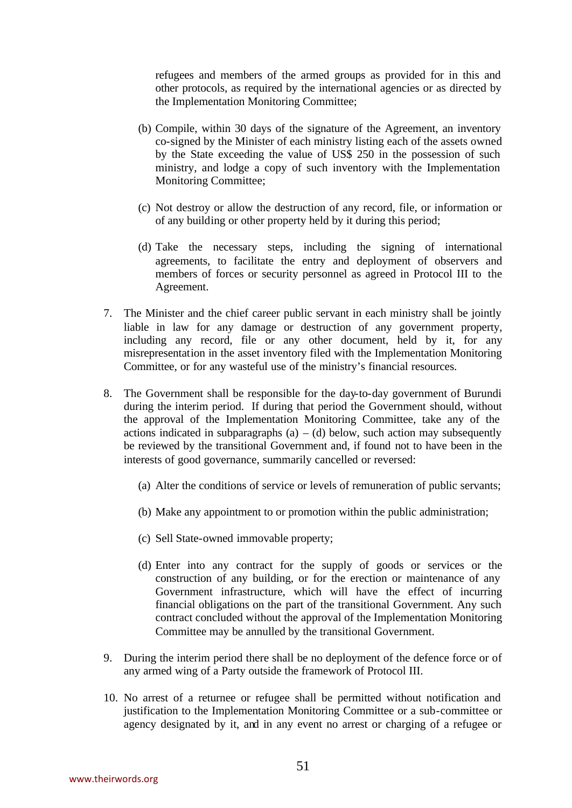refugees and members of the armed groups as provided for in this and other protocols, as required by the international agencies or as directed by the Implementation Monitoring Committee;

- (b) Compile, within 30 days of the signature of the Agreement, an inventory co-signed by the Minister of each ministry listing each of the assets owned by the State exceeding the value of US\$ 250 in the possession of such ministry, and lodge a copy of such inventory with the Implementation Monitoring Committee;
- (c) Not destroy or allow the destruction of any record, file, or information or of any building or other property held by it during this period;
- (d) Take the necessary steps, including the signing of international agreements, to facilitate the entry and deployment of observers and members of forces or security personnel as agreed in Protocol III to the Agreement.
- 7. The Minister and the chief career public servant in each ministry shall be jointly liable in law for any damage or destruction of any government property, including any record, file or any other document, held by it, for any misrepresentation in the asset inventory filed with the Implementation Monitoring Committee, or for any wasteful use of the ministry's financial resources.
- 8. The Government shall be responsible for the day-to-day government of Burundi during the interim period. If during that period the Government should, without the approval of the Implementation Monitoring Committee, take any of the actions indicated in subparagraphs (a) – (d) below, such action may subsequently be reviewed by the transitional Government and, if found not to have been in the interests of good governance, summarily cancelled or reversed:
	- (a) Alter the conditions of service or levels of remuneration of public servants;
	- (b) Make any appointment to or promotion within the public administration;
	- (c) Sell State-owned immovable property;
	- (d) Enter into any contract for the supply of goods or services or the construction of any building, or for the erection or maintenance of any Government infrastructure, which will have the effect of incurring financial obligations on the part of the transitional Government. Any such contract concluded without the approval of the Implementation Monitoring Committee may be annulled by the transitional Government.
- 9. During the interim period there shall be no deployment of the defence force or of any armed wing of a Party outside the framework of Protocol III.
- 10. No arrest of a returnee or refugee shall be permitted without notification and justification to the Implementation Monitoring Committee or a sub-committee or agency designated by it, and in any event no arrest or charging of a refugee or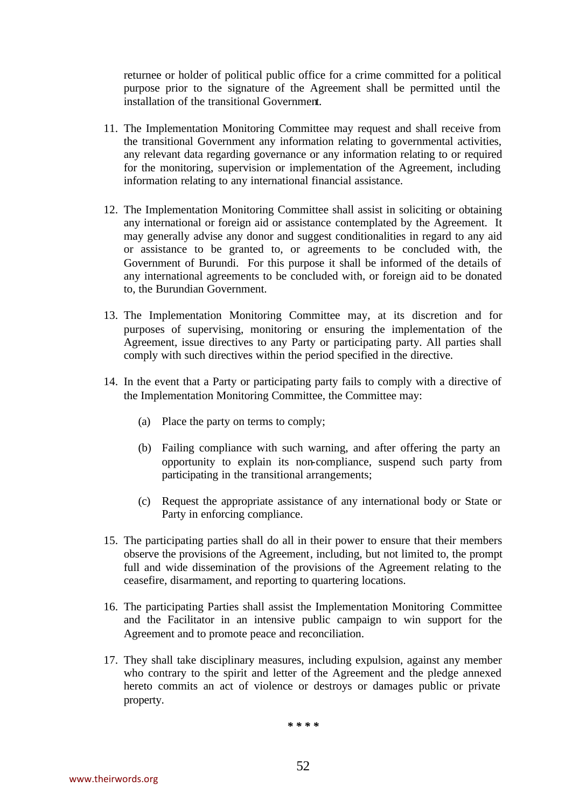returnee or holder of political public office for a crime committed for a political purpose prior to the signature of the Agreement shall be permitted until the installation of the transitional Government.

- 11. The Implementation Monitoring Committee may request and shall receive from the transitional Government any information relating to governmental activities, any relevant data regarding governance or any information relating to or required for the monitoring, supervision or implementation of the Agreement, including information relating to any international financial assistance.
- 12. The Implementation Monitoring Committee shall assist in soliciting or obtaining any international or foreign aid or assistance contemplated by the Agreement. It may generally advise any donor and suggest conditionalities in regard to any aid or assistance to be granted to, or agreements to be concluded with, the Government of Burundi. For this purpose it shall be informed of the details of any international agreements to be concluded with, or foreign aid to be donated to, the Burundian Government.
- 13. The Implementation Monitoring Committee may, at its discretion and for purposes of supervising, monitoring or ensuring the implementation of the Agreement, issue directives to any Party or participating party. All parties shall comply with such directives within the period specified in the directive.
- 14. In the event that a Party or participating party fails to comply with a directive of the Implementation Monitoring Committee, the Committee may:
	- (a) Place the party on terms to comply;
	- (b) Failing compliance with such warning, and after offering the party an opportunity to explain its non-compliance, suspend such party from participating in the transitional arrangements;
	- (c) Request the appropriate assistance of any international body or State or Party in enforcing compliance.
- 15. The participating parties shall do all in their power to ensure that their members observe the provisions of the Agreement, including, but not limited to, the prompt full and wide dissemination of the provisions of the Agreement relating to the ceasefire, disarmament, and reporting to quartering locations.
- 16. The participating Parties shall assist the Implementation Monitoring Committee and the Facilitator in an intensive public campaign to win support for the Agreement and to promote peace and reconciliation.
- 17. They shall take disciplinary measures, including expulsion, against any member who contrary to the spirit and letter of the Agreement and the pledge annexed hereto commits an act of violence or destroys or damages public or private property.

*\* \* \* \**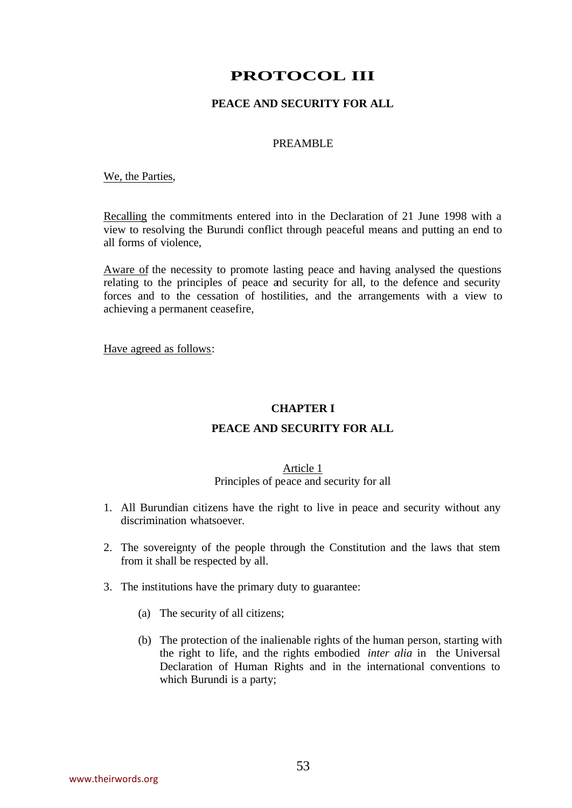# **PROTOCOL III**

## **PEACE AND SECURITY FOR ALL**

#### PREAMBLE

#### We, the Parties,

Recalling the commitments entered into in the Declaration of 21 June 1998 with a view to resolving the Burundi conflict through peaceful means and putting an end to all forms of violence,

Aware of the necessity to promote lasting peace and having analysed the questions relating to the principles of peace and security for all, to the defence and security forces and to the cessation of hostilities, and the arrangements with a view to achieving a permanent ceasefire,

Have agreed as follows:

#### **CHAPTER I**

#### **PEACE AND SECURITY FOR ALL**

#### Article 1 Principles of peace and security for all

- 1. All Burundian citizens have the right to live in peace and security without any discrimination whatsoever.
- 2. The sovereignty of the people through the Constitution and the laws that stem from it shall be respected by all.
- 3. The institutions have the primary duty to guarantee:
	- (a) The security of all citizens;
	- (b) The protection of the inalienable rights of the human person, starting with the right to life, and the rights embodied *inter alia* in the Universal Declaration of Human Rights and in the international conventions to which Burundi is a party;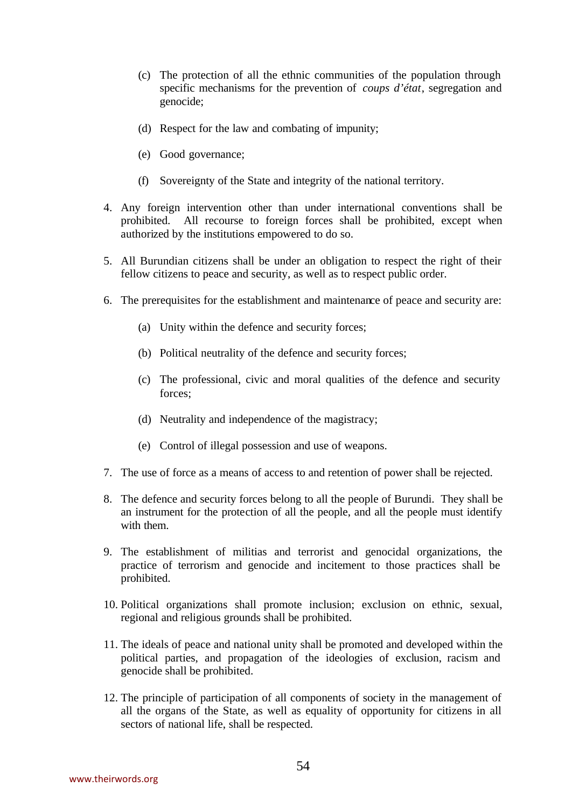- (c) The protection of all the ethnic communities of the population through specific mechanisms for the prevention of *coups d'état*, segregation and genocide;
- (d) Respect for the law and combating of impunity;
- (e) Good governance;
- (f) Sovereignty of the State and integrity of the national territory.
- 4. Any foreign intervention other than under international conventions shall be prohibited. All recourse to foreign forces shall be prohibited, except when authorized by the institutions empowered to do so.
- 5. All Burundian citizens shall be under an obligation to respect the right of their fellow citizens to peace and security, as well as to respect public order.
- 6. The prerequisites for the establishment and maintenance of peace and security are:
	- (a) Unity within the defence and security forces;
	- (b) Political neutrality of the defence and security forces;
	- (c) The professional, civic and moral qualities of the defence and security forces;
	- (d) Neutrality and independence of the magistracy;
	- (e) Control of illegal possession and use of weapons.
- 7. The use of force as a means of access to and retention of power shall be rejected.
- 8. The defence and security forces belong to all the people of Burundi. They shall be an instrument for the protection of all the people, and all the people must identify with them.
- 9. The establishment of militias and terrorist and genocidal organizations, the practice of terrorism and genocide and incitement to those practices shall be prohibited.
- 10. Political organizations shall promote inclusion; exclusion on ethnic, sexual, regional and religious grounds shall be prohibited.
- 11. The ideals of peace and national unity shall be promoted and developed within the political parties, and propagation of the ideologies of exclusion, racism and genocide shall be prohibited.
- 12. The principle of participation of all components of society in the management of all the organs of the State, as well as equality of opportunity for citizens in all sectors of national life, shall be respected.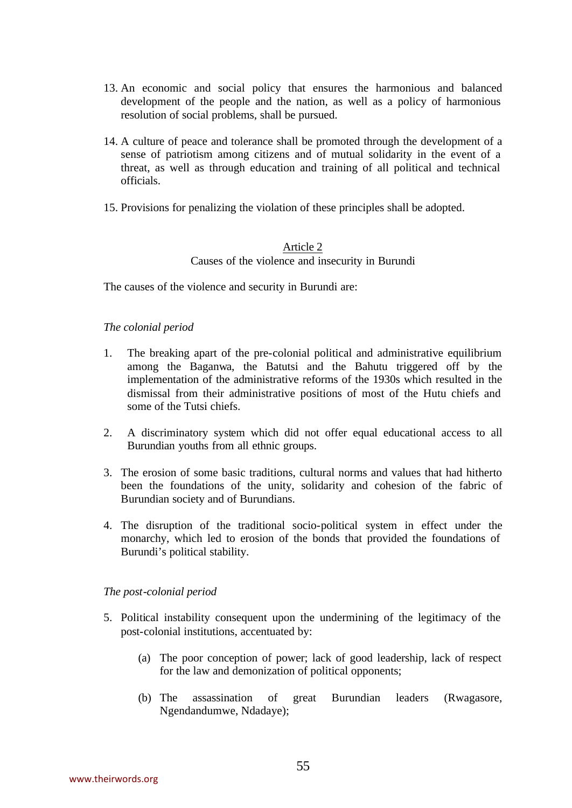- 13. An economic and social policy that ensures the harmonious and balanced development of the people and the nation, as well as a policy of harmonious resolution of social problems, shall be pursued.
- 14. A culture of peace and tolerance shall be promoted through the development of a sense of patriotism among citizens and of mutual solidarity in the event of a threat, as well as through education and training of all political and technical officials.
- 15. Provisions for penalizing the violation of these principles shall be adopted.

## Article 2 Causes of the violence and insecurity in Burundi

The causes of the violence and security in Burundi are:

### *The colonial period*

- 1. The breaking apart of the pre-colonial political and administrative equilibrium among the Baganwa, the Batutsi and the Bahutu triggered off by the implementation of the administrative reforms of the 1930s which resulted in the dismissal from their administrative positions of most of the Hutu chiefs and some of the Tutsi chiefs.
- 2. A discriminatory system which did not offer equal educational access to all Burundian youths from all ethnic groups.
- 3. The erosion of some basic traditions, cultural norms and values that had hitherto been the foundations of the unity, solidarity and cohesion of the fabric of Burundian society and of Burundians.
- 4. The disruption of the traditional socio-political system in effect under the monarchy, which led to erosion of the bonds that provided the foundations of Burundi's political stability.

### *The post-colonial period*

- 5. Political instability consequent upon the undermining of the legitimacy of the post-colonial institutions, accentuated by:
	- (a) The poor conception of power; lack of good leadership, lack of respect for the law and demonization of political opponents;
	- (b) The assassination of great Burundian leaders (Rwagasore, Ngendandumwe, Ndadaye);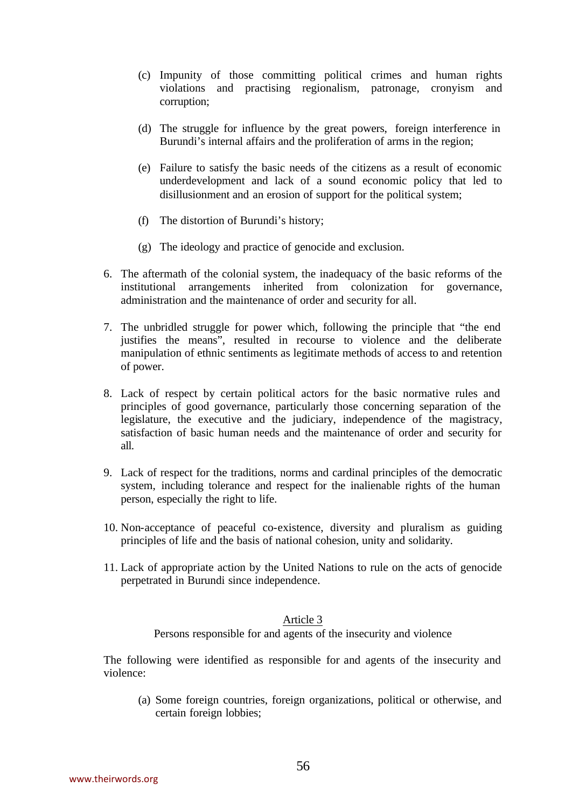- (c) Impunity of those committing political crimes and human rights violations and practising regionalism, patronage, cronyism and corruption;
- (d) The struggle for influence by the great powers, foreign interference in Burundi's internal affairs and the proliferation of arms in the region;
- (e) Failure to satisfy the basic needs of the citizens as a result of economic underdevelopment and lack of a sound economic policy that led to disillusionment and an erosion of support for the political system;
- (f) The distortion of Burundi's history;
- (g) The ideology and practice of genocide and exclusion.
- 6. The aftermath of the colonial system, the inadequacy of the basic reforms of the institutional arrangements inherited from colonization for governance, administration and the maintenance of order and security for all.
- 7. The unbridled struggle for power which, following the principle that "the end justifies the means", resulted in recourse to violence and the deliberate manipulation of ethnic sentiments as legitimate methods of access to and retention of power.
- 8. Lack of respect by certain political actors for the basic normative rules and principles of good governance, particularly those concerning separation of the legislature, the executive and the judiciary, independence of the magistracy, satisfaction of basic human needs and the maintenance of order and security for all.
- 9. Lack of respect for the traditions, norms and cardinal principles of the democratic system, including tolerance and respect for the inalienable rights of the human person, especially the right to life.
- 10. Non-acceptance of peaceful co-existence, diversity and pluralism as guiding principles of life and the basis of national cohesion, unity and solidarity.
- 11. Lack of appropriate action by the United Nations to rule on the acts of genocide perpetrated in Burundi since independence.

Persons responsible for and agents of the insecurity and violence

The following were identified as responsible for and agents of the insecurity and violence:

(a) Some foreign countries, foreign organizations, political or otherwise, and certain foreign lobbies;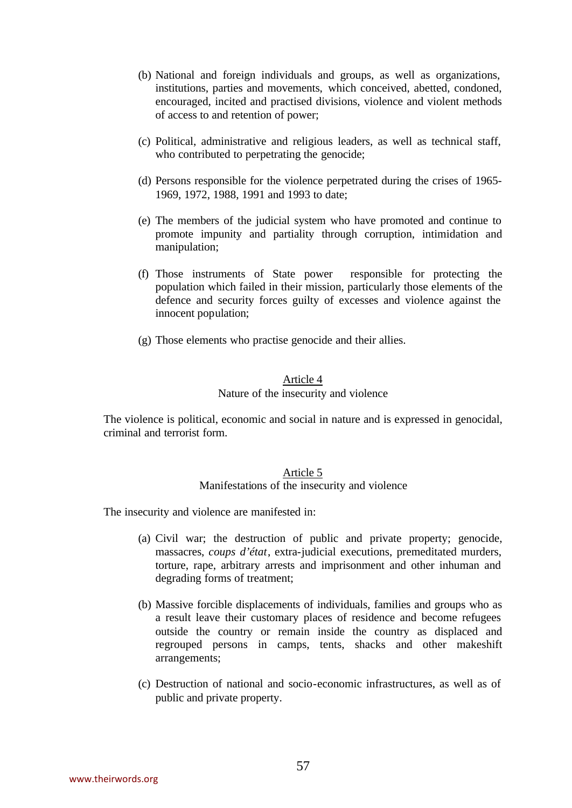- (b) National and foreign individuals and groups, as well as organizations, institutions, parties and movements, which conceived, abetted, condoned, encouraged, incited and practised divisions, violence and violent methods of access to and retention of power;
- (c) Political, administrative and religious leaders, as well as technical staff, who contributed to perpetrating the genocide;
- (d) Persons responsible for the violence perpetrated during the crises of 1965- 1969, 1972, 1988, 1991 and 1993 to date;
- (e) The members of the judicial system who have promoted and continue to promote impunity and partiality through corruption, intimidation and manipulation;
- (f) Those instruments of State power responsible for protecting the population which failed in their mission, particularly those elements of the defence and security forces guilty of excesses and violence against the innocent population;
- (g) Those elements who practise genocide and their allies.

### Nature of the insecurity and violence

The violence is political, economic and social in nature and is expressed in genocidal, criminal and terrorist form.

## Article 5 Manifestations of the insecurity and violence

The insecurity and violence are manifested in:

- (a) Civil war; the destruction of public and private property; genocide, massacres, *coups d'état*, extra-judicial executions, premeditated murders, torture, rape, arbitrary arrests and imprisonment and other inhuman and degrading forms of treatment;
- (b) Massive forcible displacements of individuals, families and groups who as a result leave their customary places of residence and become refugees outside the country or remain inside the country as displaced and regrouped persons in camps, tents, shacks and other makeshift arrangements;
- (c) Destruction of national and socio-economic infrastructures, as well as of public and private property.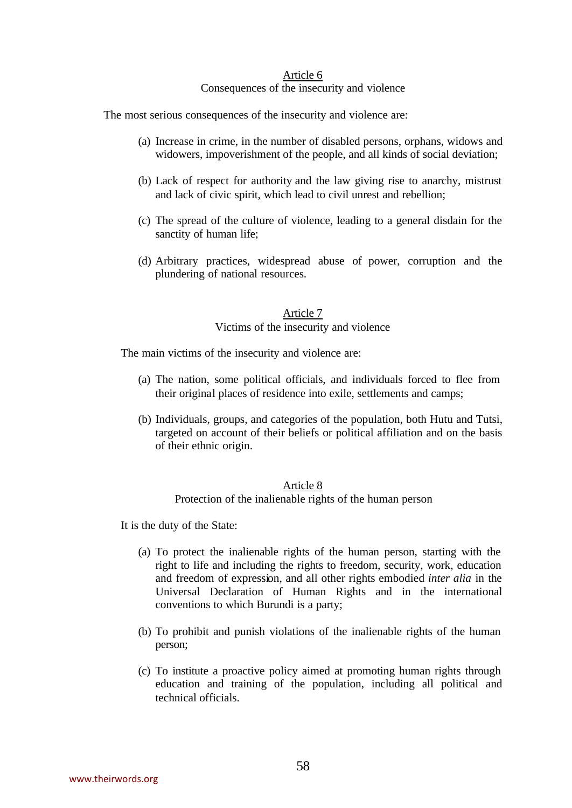## Consequences of the insecurity and violence

The most serious consequences of the insecurity and violence are:

- (a) Increase in crime, in the number of disabled persons, orphans, widows and widowers, impoverishment of the people, and all kinds of social deviation;
- (b) Lack of respect for authority and the law giving rise to anarchy, mistrust and lack of civic spirit, which lead to civil unrest and rebellion;
- (c) The spread of the culture of violence, leading to a general disdain for the sanctity of human life;
- (d) Arbitrary practices, widespread abuse of power, corruption and the plundering of national resources.

# Article 7

### Victims of the insecurity and violence

The main victims of the insecurity and violence are:

- (a) The nation, some political officials, and individuals forced to flee from their original places of residence into exile, settlements and camps;
- (b) Individuals, groups, and categories of the population, both Hutu and Tutsi, targeted on account of their beliefs or political affiliation and on the basis of their ethnic origin.

### Article 8

Protection of the inalienable rights of the human person

It is the duty of the State:

- (a) To protect the inalienable rights of the human person, starting with the right to life and including the rights to freedom, security, work, education and freedom of expression, and all other rights embodied *inter alia* in the Universal Declaration of Human Rights and in the international conventions to which Burundi is a party;
- (b) To prohibit and punish violations of the inalienable rights of the human person;
- (c) To institute a proactive policy aimed at promoting human rights through education and training of the population, including all political and technical officials.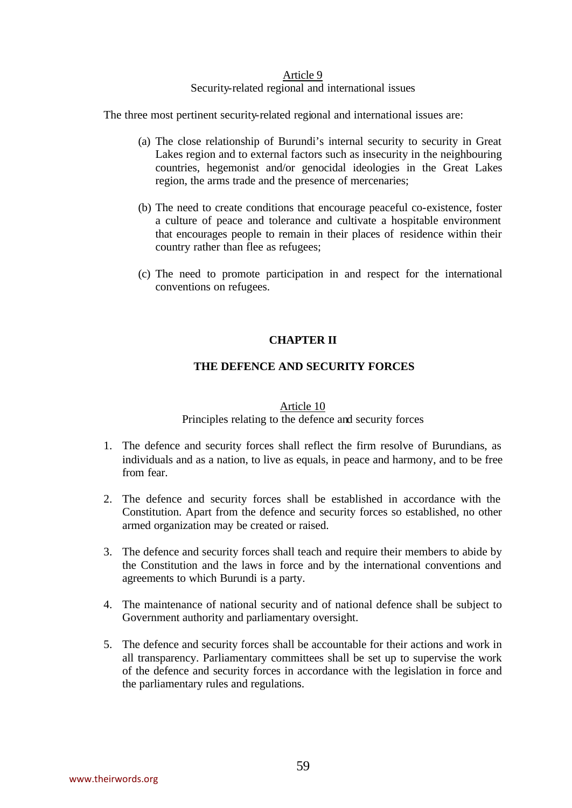#### Security-related regional and international issues

The three most pertinent security-related regional and international issues are:

- (a) The close relationship of Burundi's internal security to security in Great Lakes region and to external factors such as insecurity in the neighbouring countries, hegemonist and/or genocidal ideologies in the Great Lakes region, the arms trade and the presence of mercenaries;
- (b) The need to create conditions that encourage peaceful co-existence, foster a culture of peace and tolerance and cultivate a hospitable environment that encourages people to remain in their places of residence within their country rather than flee as refugees;
- (c) The need to promote participation in and respect for the international conventions on refugees.

## **CHAPTER II**

### **THE DEFENCE AND SECURITY FORCES**

#### Article 10

#### Principles relating to the defence and security forces

- 1. The defence and security forces shall reflect the firm resolve of Burundians, as individuals and as a nation, to live as equals, in peace and harmony, and to be free from fear.
- 2. The defence and security forces shall be established in accordance with the Constitution. Apart from the defence and security forces so established, no other armed organization may be created or raised.
- 3. The defence and security forces shall teach and require their members to abide by the Constitution and the laws in force and by the international conventions and agreements to which Burundi is a party.
- 4. The maintenance of national security and of national defence shall be subject to Government authority and parliamentary oversight.
- 5. The defence and security forces shall be accountable for their actions and work in all transparency. Parliamentary committees shall be set up to supervise the work of the defence and security forces in accordance with the legislation in force and the parliamentary rules and regulations.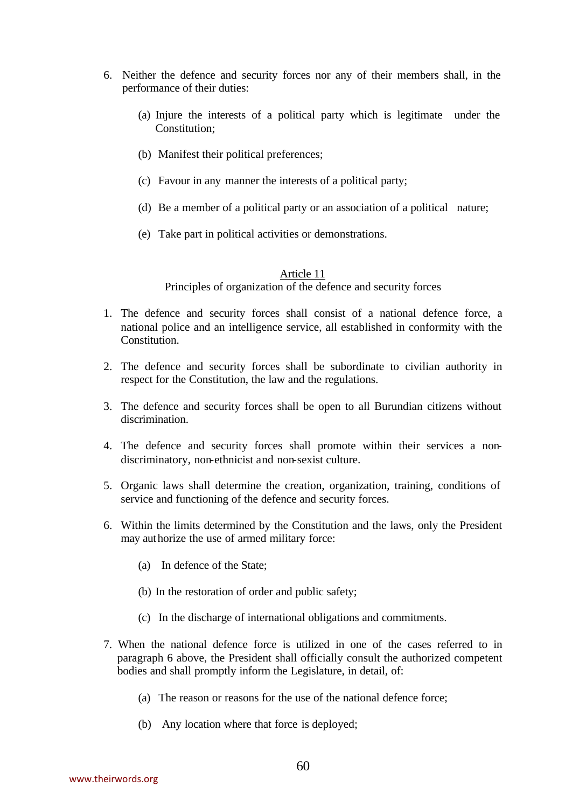- 6. Neither the defence and security forces nor any of their members shall, in the performance of their duties:
	- (a) Injure the interests of a political party which is legitimate under the Constitution;
	- (b) Manifest their political preferences;
	- (c) Favour in any manner the interests of a political party;
	- (d) Be a member of a political party or an association of a political nature;
	- (e) Take part in political activities or demonstrations.

Principles of organization of the defence and security forces

- 1. The defence and security forces shall consist of a national defence force, a national police and an intelligence service, all established in conformity with the Constitution.
- 2. The defence and security forces shall be subordinate to civilian authority in respect for the Constitution, the law and the regulations.
- 3. The defence and security forces shall be open to all Burundian citizens without discrimination.
- 4. The defence and security forces shall promote within their services a nondiscriminatory, non-ethnicist and non-sexist culture.
- 5. Organic laws shall determine the creation, organization, training, conditions of service and functioning of the defence and security forces.
- 6. Within the limits determined by the Constitution and the laws, only the President may authorize the use of armed military force:
	- (a) In defence of the State;
	- (b) In the restoration of order and public safety;
	- (c) In the discharge of international obligations and commitments.
- 7. When the national defence force is utilized in one of the cases referred to in paragraph 6 above, the President shall officially consult the authorized competent bodies and shall promptly inform the Legislature, in detail, of:
	- (a) The reason or reasons for the use of the national defence force;
	- (b) Any location where that force is deployed;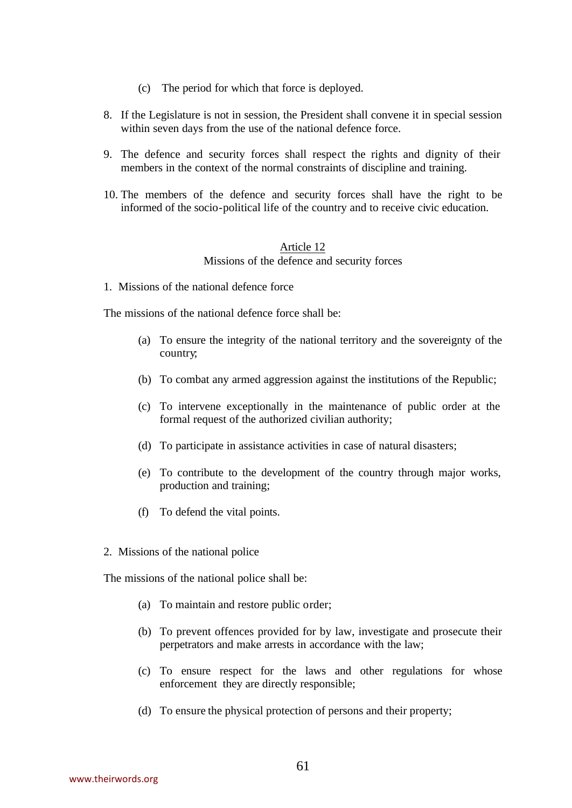- (c) The period for which that force is deployed.
- 8. If the Legislature is not in session, the President shall convene it in special session within seven days from the use of the national defence force.
- 9. The defence and security forces shall respect the rights and dignity of their members in the context of the normal constraints of discipline and training.
- 10. The members of the defence and security forces shall have the right to be informed of the socio-political life of the country and to receive civic education.

#### Article 12 Missions of the defence and security forces

1. Missions of the national defence force

The missions of the national defence force shall be:

- (a) To ensure the integrity of the national territory and the sovereignty of the country;
- (b) To combat any armed aggression against the institutions of the Republic;
- (c) To intervene exceptionally in the maintenance of public order at the formal request of the authorized civilian authority;
- (d) To participate in assistance activities in case of natural disasters;
- (e) To contribute to the development of the country through major works, production and training;
- (f) To defend the vital points.
- 2. Missions of the national police

The missions of the national police shall be:

- (a) To maintain and restore public order;
- (b) To prevent offences provided for by law, investigate and prosecute their perpetrators and make arrests in accordance with the law;
- (c) To ensure respect for the laws and other regulations for whose enforcement they are directly responsible;
- (d) To ensure the physical protection of persons and their property;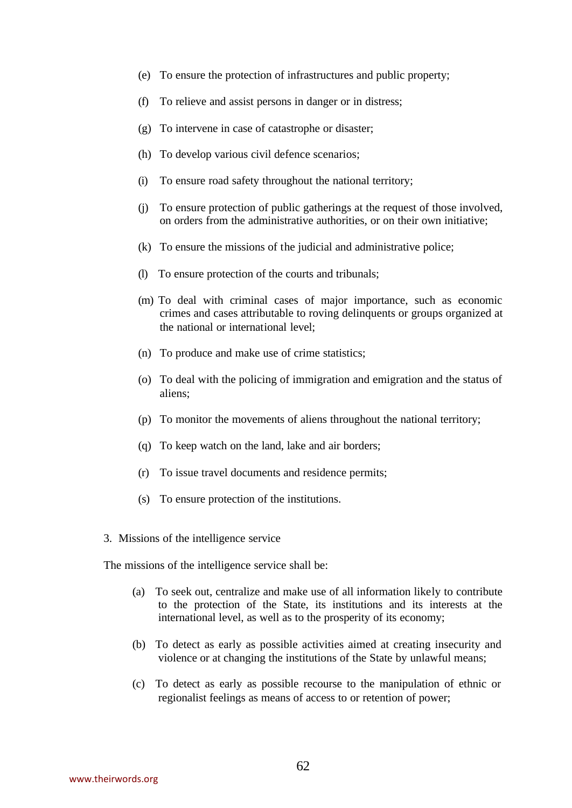- (e) To ensure the protection of infrastructures and public property;
- (f) To relieve and assist persons in danger or in distress;
- (g) To intervene in case of catastrophe or disaster;
- (h) To develop various civil defence scenarios;
- (i) To ensure road safety throughout the national territory;
- (j) To ensure protection of public gatherings at the request of those involved, on orders from the administrative authorities, or on their own initiative;
- (k) To ensure the missions of the judicial and administrative police;
- (l) To ensure protection of the courts and tribunals;
- (m) To deal with criminal cases of major importance, such as economic crimes and cases attributable to roving delinquents or groups organized at the national or international level;
- (n) To produce and make use of crime statistics;
- (o) To deal with the policing of immigration and emigration and the status of aliens;
- (p) To monitor the movements of aliens throughout the national territory;
- (q) To keep watch on the land, lake and air borders;
- (r) To issue travel documents and residence permits;
- (s) To ensure protection of the institutions.
- 3. Missions of the intelligence service

The missions of the intelligence service shall be:

- (a) To seek out, centralize and make use of all information likely to contribute to the protection of the State, its institutions and its interests at the international level, as well as to the prosperity of its economy;
- (b) To detect as early as possible activities aimed at creating insecurity and violence or at changing the institutions of the State by unlawful means;
- (c) To detect as early as possible recourse to the manipulation of ethnic or regionalist feelings as means of access to or retention of power;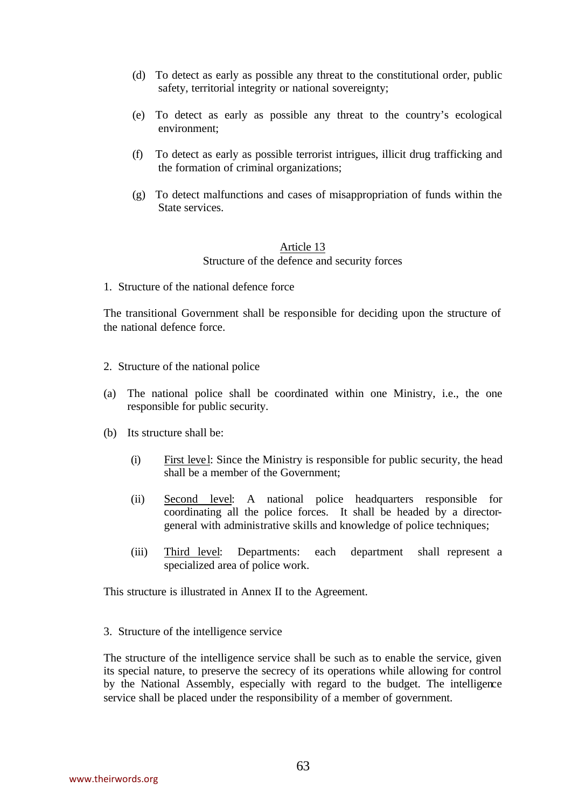- (d) To detect as early as possible any threat to the constitutional order, public safety, territorial integrity or national sovereignty;
- (e) To detect as early as possible any threat to the country's ecological environment;
- (f) To detect as early as possible terrorist intrigues, illicit drug trafficking and the formation of criminal organizations;
- (g) To detect malfunctions and cases of misappropriation of funds within the State services.

## Article 13 Structure of the defence and security forces

1. Structure of the national defence force

The transitional Government shall be responsible for deciding upon the structure of the national defence force.

- 2. Structure of the national police
- (a) The national police shall be coordinated within one Ministry, i.e., the one responsible for public security.
- (b) Its structure shall be:
	- (i) First level: Since the Ministry is responsible for public security, the head shall be a member of the Government;
	- (ii) Second level: A national police headquarters responsible for coordinating all the police forces. It shall be headed by a directorgeneral with administrative skills and knowledge of police techniques;
	- (iii) Third level: Departments: each department shall represent a specialized area of police work.

This structure is illustrated in Annex II to the Agreement.

3. Structure of the intelligence service

The structure of the intelligence service shall be such as to enable the service, given its special nature, to preserve the secrecy of its operations while allowing for control by the National Assembly, especially with regard to the budget. The intelligence service shall be placed under the responsibility of a member of government.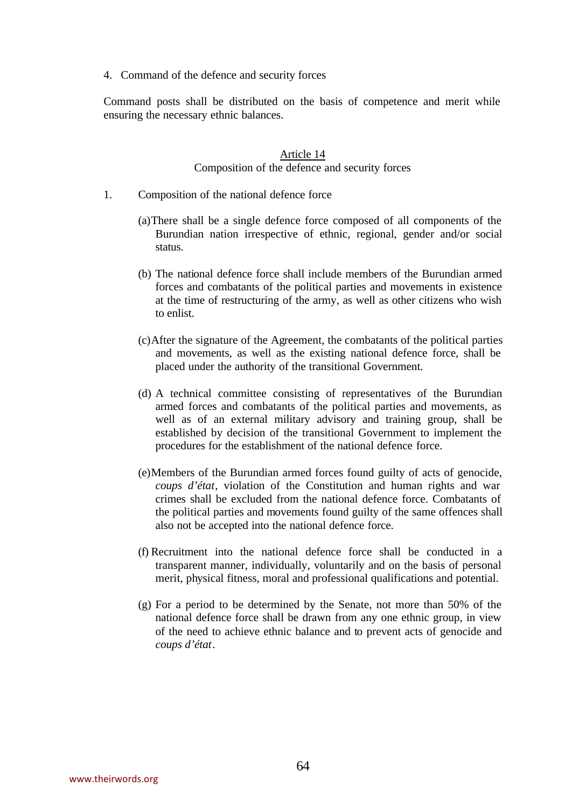4. Command of the defence and security forces

Command posts shall be distributed on the basis of competence and merit while ensuring the necessary ethnic balances.

# Article 14

## Composition of the defence and security forces

- 1. Composition of the national defence force
	- (a)There shall be a single defence force composed of all components of the Burundian nation irrespective of ethnic, regional, gender and/or social status.
	- (b) The national defence force shall include members of the Burundian armed forces and combatants of the political parties and movements in existence at the time of restructuring of the army, as well as other citizens who wish to enlist.
	- (c)After the signature of the Agreement, the combatants of the political parties and movements, as well as the existing national defence force, shall be placed under the authority of the transitional Government.
	- (d) A technical committee consisting of representatives of the Burundian armed forces and combatants of the political parties and movements, as well as of an external military advisory and training group, shall be established by decision of the transitional Government to implement the procedures for the establishment of the national defence force.
	- (e)Members of the Burundian armed forces found guilty of acts of genocide, *coups d'état*, violation of the Constitution and human rights and war crimes shall be excluded from the national defence force. Combatants of the political parties and movements found guilty of the same offences shall also not be accepted into the national defence force.
	- (f) Recruitment into the national defence force shall be conducted in a transparent manner, individually, voluntarily and on the basis of personal merit, physical fitness, moral and professional qualifications and potential.
	- (g) For a period to be determined by the Senate, not more than 50% of the national defence force shall be drawn from any one ethnic group, in view of the need to achieve ethnic balance and to prevent acts of genocide and *coups d'état*.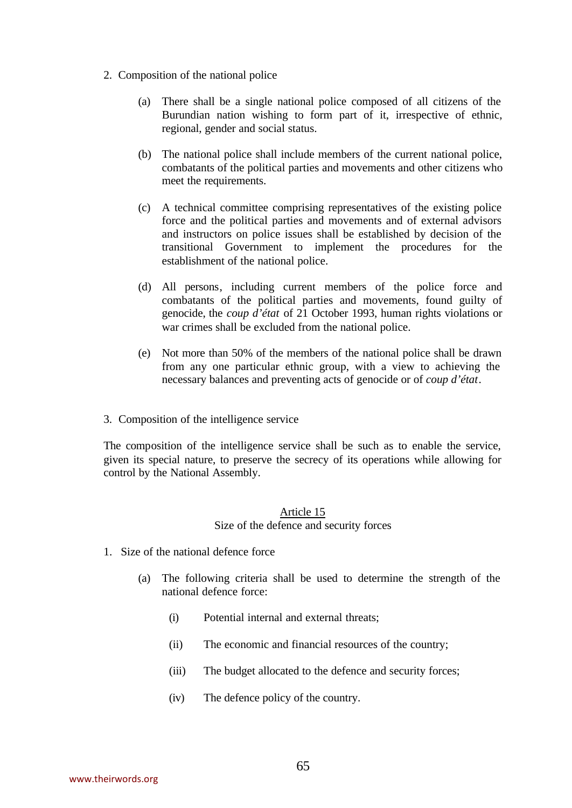- 2. Composition of the national police
	- (a) There shall be a single national police composed of all citizens of the Burundian nation wishing to form part of it, irrespective of ethnic, regional, gender and social status.
	- (b) The national police shall include members of the current national police, combatants of the political parties and movements and other citizens who meet the requirements.
	- (c) A technical committee comprising representatives of the existing police force and the political parties and movements and of external advisors and instructors on police issues shall be established by decision of the transitional Government to implement the procedures for the establishment of the national police.
	- (d) All persons, including current members of the police force and combatants of the political parties and movements, found guilty of genocide, the *coup d'état* of 21 October 1993, human rights violations or war crimes shall be excluded from the national police.
	- (e) Not more than 50% of the members of the national police shall be drawn from any one particular ethnic group, with a view to achieving the necessary balances and preventing acts of genocide or of *coup d'état*.
- 3. Composition of the intelligence service

The composition of the intelligence service shall be such as to enable the service, given its special nature, to preserve the secrecy of its operations while allowing for control by the National Assembly.

#### Article 15 Size of the defence and security forces

- 1. Size of the national defence force
	- (a) The following criteria shall be used to determine the strength of the national defence force:
		- (i) Potential internal and external threats;
		- (ii) The economic and financial resources of the country;
		- (iii) The budget allocated to the defence and security forces;
		- (iv) The defence policy of the country.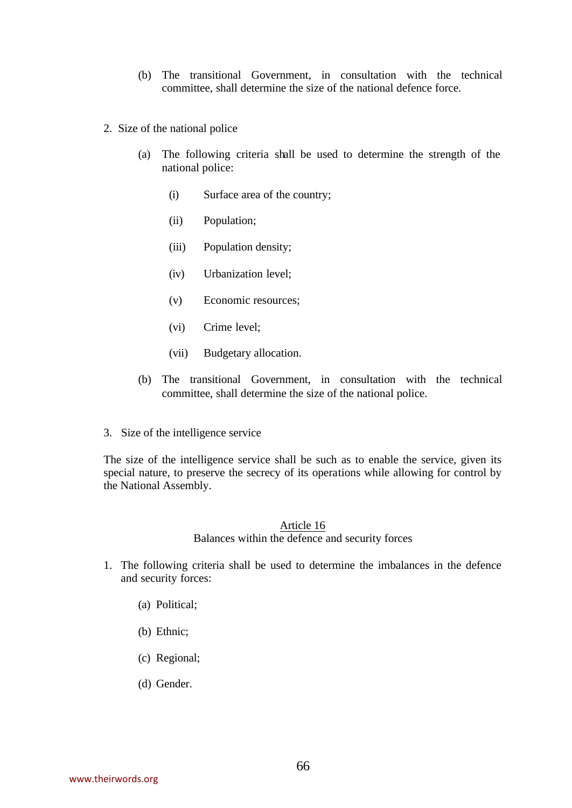- (b) The transitional Government, in consultation with the technical committee, shall determine the size of the national defence force.
- 2. Size of the national police
	- (a) The following criteria shall be used to determine the strength of the national police:
		- (i) Surface area of the country;
		- (ii) Population;
		- (iii) Population density;
		- (iv) Urbanization level;
		- (v) Economic resources;
		- (vi) Crime level;
		- (vii) Budgetary allocation.
	- (b) The transitional Government, in consultation with the technical committee, shall determine the size of the national police.
- 3. Size of the intelligence service

The size of the intelligence service shall be such as to enable the service, given its special nature, to preserve the secrecy of its operations while allowing for control by the National Assembly.

#### Article 16

Balances within the defence and security forces

- 1. The following criteria shall be used to determine the imbalances in the defence and security forces:
	- (a) Political;
	- (b) Ethnic;
	- (c) Regional;
	- (d) Gender.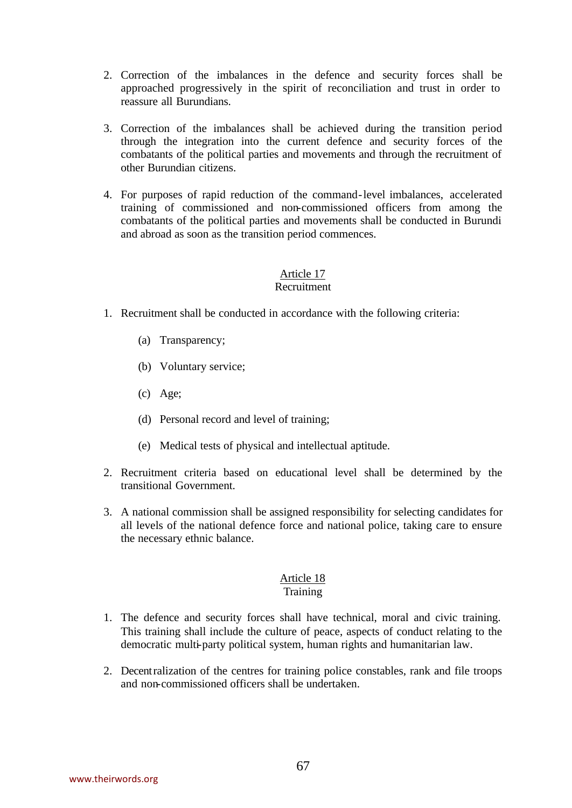- 2. Correction of the imbalances in the defence and security forces shall be approached progressively in the spirit of reconciliation and trust in order to reassure all Burundians.
- 3. Correction of the imbalances shall be achieved during the transition period through the integration into the current defence and security forces of the combatants of the political parties and movements and through the recruitment of other Burundian citizens.
- 4. For purposes of rapid reduction of the command-level imbalances, accelerated training of commissioned and non-commissioned officers from among the combatants of the political parties and movements shall be conducted in Burundi and abroad as soon as the transition period commences.

## Recruitment

- 1. Recruitment shall be conducted in accordance with the following criteria:
	- (a) Transparency;
	- (b) Voluntary service;
	- (c) Age;
	- (d) Personal record and level of training;
	- (e) Medical tests of physical and intellectual aptitude.
- 2. Recruitment criteria based on educational level shall be determined by the transitional Government.
- 3. A national commission shall be assigned responsibility for selecting candidates for all levels of the national defence force and national police, taking care to ensure the necessary ethnic balance.

# Article 18

# Training

- 1. The defence and security forces shall have technical, moral and civic training. This training shall include the culture of peace, aspects of conduct relating to the democratic multi-party political system, human rights and humanitarian law.
- 2. Decentralization of the centres for training police constables, rank and file troops and non-commissioned officers shall be undertaken.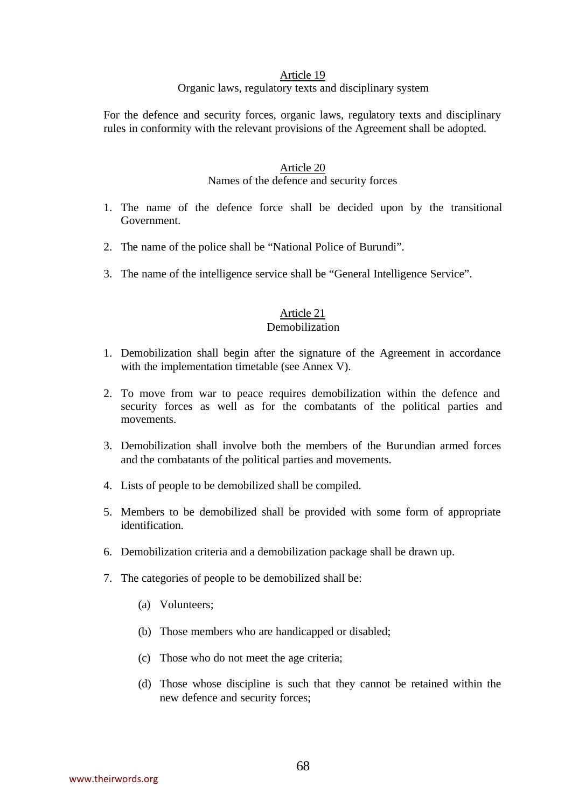#### Organic laws, regulatory texts and disciplinary system

For the defence and security forces, organic laws, regulatory texts and disciplinary rules in conformity with the relevant provisions of the Agreement shall be adopted.

#### Article 20

## Names of the defence and security forces

- 1. The name of the defence force shall be decided upon by the transitional Government.
- 2. The name of the police shall be "National Police of Burundi".
- 3. The name of the intelligence service shall be "General Intelligence Service".

# Article 21

# Demobilization

- 1. Demobilization shall begin after the signature of the Agreement in accordance with the implementation timetable (see Annex V).
- 2. To move from war to peace requires demobilization within the defence and security forces as well as for the combatants of the political parties and movements.
- 3. Demobilization shall involve both the members of the Burundian armed forces and the combatants of the political parties and movements.
- 4. Lists of people to be demobilized shall be compiled.
- 5. Members to be demobilized shall be provided with some form of appropriate identification.
- 6. Demobilization criteria and a demobilization package shall be drawn up.
- 7. The categories of people to be demobilized shall be:
	- (a) Volunteers;
	- (b) Those members who are handicapped or disabled;
	- (c) Those who do not meet the age criteria;
	- (d) Those whose discipline is such that they cannot be retained within the new defence and security forces;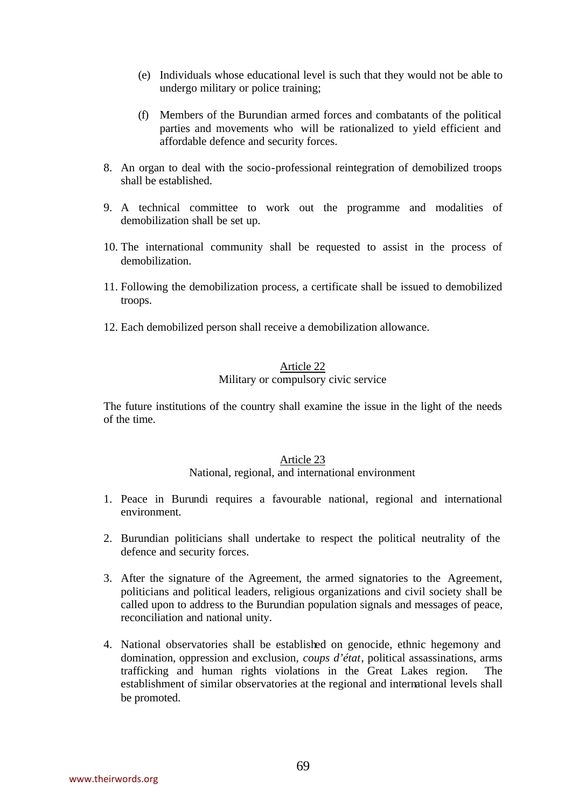- (e) Individuals whose educational level is such that they would not be able to undergo military or police training;
- (f) Members of the Burundian armed forces and combatants of the political parties and movements who will be rationalized to yield efficient and affordable defence and security forces.
- 8. An organ to deal with the socio-professional reintegration of demobilized troops shall be established.
- 9. A technical committee to work out the programme and modalities of demobilization shall be set up.
- 10. The international community shall be requested to assist in the process of demobilization.
- 11. Following the demobilization process, a certificate shall be issued to demobilized troops.
- 12. Each demobilized person shall receive a demobilization allowance.

#### Article 22 Military or compulsory civic service

The future institutions of the country shall examine the issue in the light of the needs of the time.

#### Article 23

National, regional, and international environment

- 1. Peace in Burundi requires a favourable national, regional and international environment.
- 2. Burundian politicians shall undertake to respect the political neutrality of the defence and security forces.
- 3. After the signature of the Agreement, the armed signatories to the Agreement, politicians and political leaders, religious organizations and civil society shall be called upon to address to the Burundian population signals and messages of peace, reconciliation and national unity.
- 4. National observatories shall be established on genocide, ethnic hegemony and domination, oppression and exclusion, *coups d'état*, political assassinations, arms trafficking and human rights violations in the Great Lakes region. The establishment of similar observatories at the regional and international levels shall be promoted.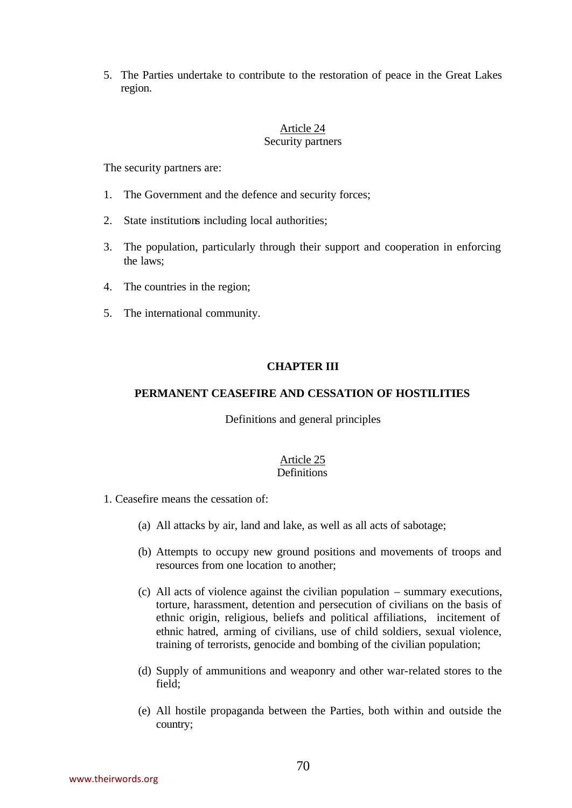5. The Parties undertake to contribute to the restoration of peace in the Great Lakes region.

#### Article 24 Security partners

The security partners are:

- 1. The Government and the defence and security forces;
- 2. State institutions including local authorities;
- 3. The population, particularly through their support and cooperation in enforcing the laws;
- 4. The countries in the region;
- 5. The international community.

### **CHAPTER III**

#### **PERMANENT CEASEFIRE AND CESSATION OF HOSTILITIES**

Definitions and general principles

#### Article 25 **Definitions**

#### 1. Ceasefire means the cessation of:

- (a) All attacks by air, land and lake, as well as all acts of sabotage;
- (b) Attempts to occupy new ground positions and movements of troops and resources from one location to another;
- (c) All acts of violence against the civilian population summary executions, torture, harassment, detention and persecution of civilians on the basis of ethnic origin, religious, beliefs and political affiliations, incitement of ethnic hatred, arming of civilians, use of child soldiers, sexual violence, training of terrorists, genocide and bombing of the civilian population;
- (d) Supply of ammunitions and weaponry and other war-related stores to the field;
- (e) All hostile propaganda between the Parties, both within and outside the country;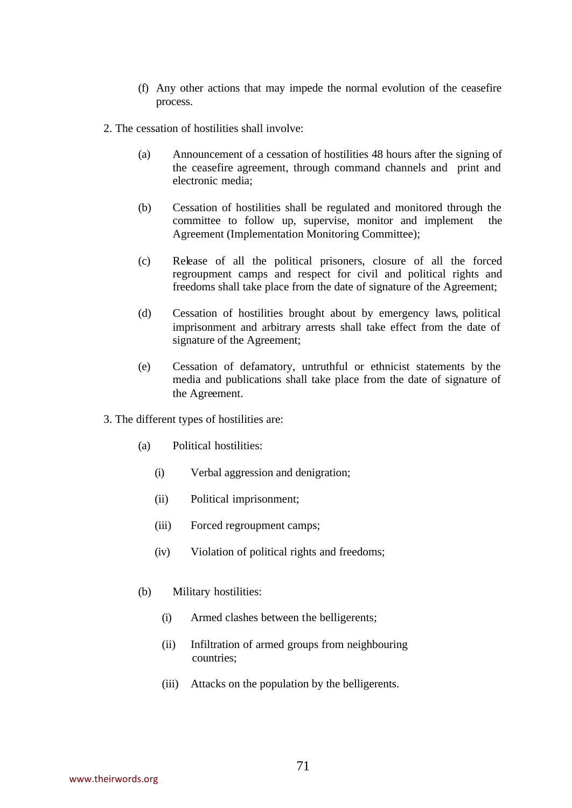- (f) Any other actions that may impede the normal evolution of the ceasefire process.
- 2. The cessation of hostilities shall involve:
	- (a) Announcement of a cessation of hostilities 48 hours after the signing of the ceasefire agreement, through command channels and print and electronic media;
	- (b) Cessation of hostilities shall be regulated and monitored through the committee to follow up, supervise, monitor and implement the Agreement (Implementation Monitoring Committee);
	- (c) Release of all the political prisoners, closure of all the forced regroupment camps and respect for civil and political rights and freedoms shall take place from the date of signature of the Agreement;
	- (d) Cessation of hostilities brought about by emergency laws, political imprisonment and arbitrary arrests shall take effect from the date of signature of the Agreement;
	- (e) Cessation of defamatory, untruthful or ethnicist statements by the media and publications shall take place from the date of signature of the Agreement.
- 3. The different types of hostilities are:
	- (a) Political hostilities:
		- (i) Verbal aggression and denigration;
		- (ii) Political imprisonment;
		- (iii) Forced regroupment camps;
		- (iv) Violation of political rights and freedoms;
	- (b) Military hostilities:
		- (i) Armed clashes between the belligerents;
		- (ii) Infiltration of armed groups from neighbouring countries;
		- (iii) Attacks on the population by the belligerents.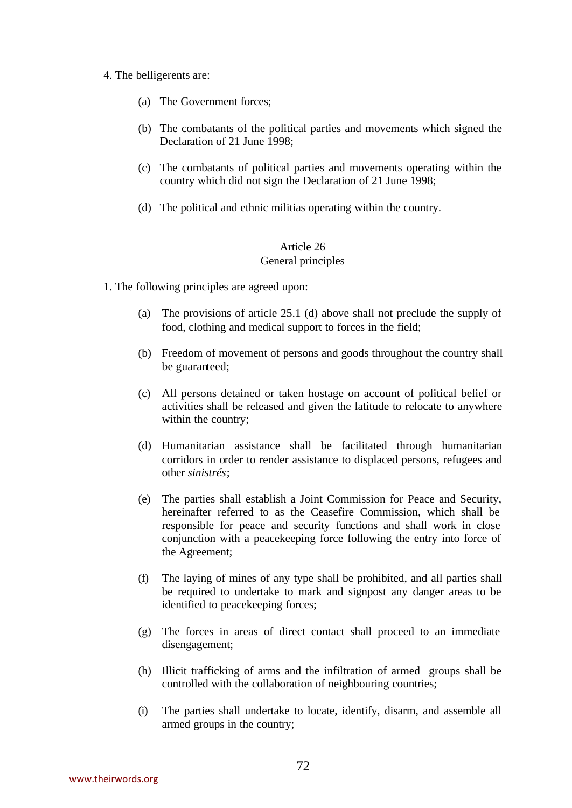#### 4. The belligerents are:

- (a) The Government forces;
- (b) The combatants of the political parties and movements which signed the Declaration of 21 June 1998;
- (c) The combatants of political parties and movements operating within the country which did not sign the Declaration of 21 June 1998;
- (d) The political and ethnic militias operating within the country.

### Article 26 General principles

- 1. The following principles are agreed upon:
	- (a) The provisions of article 25.1 (d) above shall not preclude the supply of food, clothing and medical support to forces in the field;
	- (b) Freedom of movement of persons and goods throughout the country shall be guaranteed;
	- (c) All persons detained or taken hostage on account of political belief or activities shall be released and given the latitude to relocate to anywhere within the country;
	- (d) Humanitarian assistance shall be facilitated through humanitarian corridors in order to render assistance to displaced persons, refugees and other *sinistrés*;
	- (e) The parties shall establish a Joint Commission for Peace and Security, hereinafter referred to as the Ceasefire Commission, which shall be responsible for peace and security functions and shall work in close conjunction with a peacekeeping force following the entry into force of the Agreement;
	- (f) The laying of mines of any type shall be prohibited, and all parties shall be required to undertake to mark and signpost any danger areas to be identified to peacekeeping forces;
	- (g) The forces in areas of direct contact shall proceed to an immediate disengagement;
	- (h) Illicit trafficking of arms and the infiltration of armed groups shall be controlled with the collaboration of neighbouring countries;
	- (i) The parties shall undertake to locate, identify, disarm, and assemble all armed groups in the country;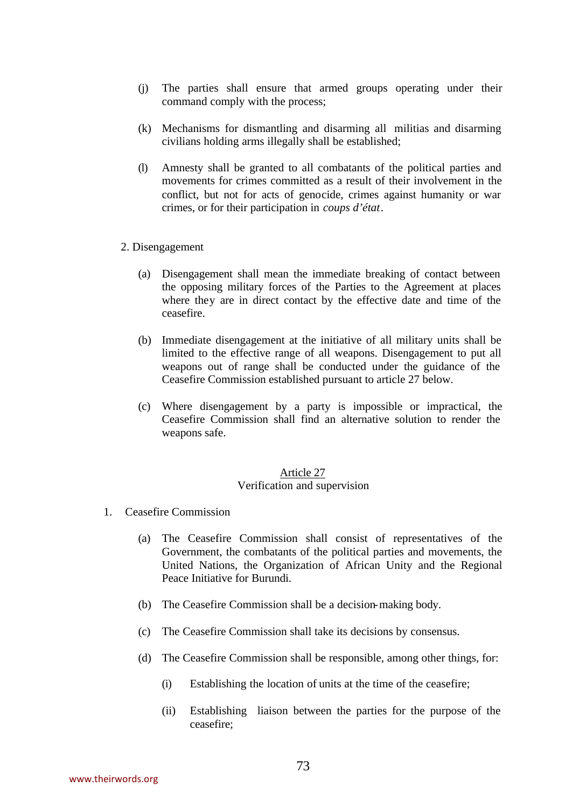- (j) The parties shall ensure that armed groups operating under their command comply with the process;
- (k) Mechanisms for dismantling and disarming all militias and disarming civilians holding arms illegally shall be established;
- (l) Amnesty shall be granted to all combatants of the political parties and movements for crimes committed as a result of their involvement in the conflict, but not for acts of genocide, crimes against humanity or war crimes, or for their participation in *coups d'état*.

#### 2. Disengagement

- (a) Disengagement shall mean the immediate breaking of contact between the opposing military forces of the Parties to the Agreement at places where they are in direct contact by the effective date and time of the ceasefire.
- (b) Immediate disengagement at the initiative of all military units shall be limited to the effective range of all weapons. Disengagement to put all weapons out of range shall be conducted under the guidance of the Ceasefire Commission established pursuant to article 27 below.
- (c) Where disengagement by a party is impossible or impractical, the Ceasefire Commission shall find an alternative solution to render the weapons safe.

#### Article 27 Verification and supervision

- 1. Ceasefire Commission
	- (a) The Ceasefire Commission shall consist of representatives of the Government, the combatants of the political parties and movements, the United Nations, the Organization of African Unity and the Regional Peace Initiative for Burundi.
	- (b) The Ceasefire Commission shall be a decision-making body.
	- (c) The Ceasefire Commission shall take its decisions by consensus.
	- (d) The Ceasefire Commission shall be responsible, among other things, for:
		- (i) Establishing the location of units at the time of the ceasefire;
		- (ii) Establishing liaison between the parties for the purpose of the ceasefire;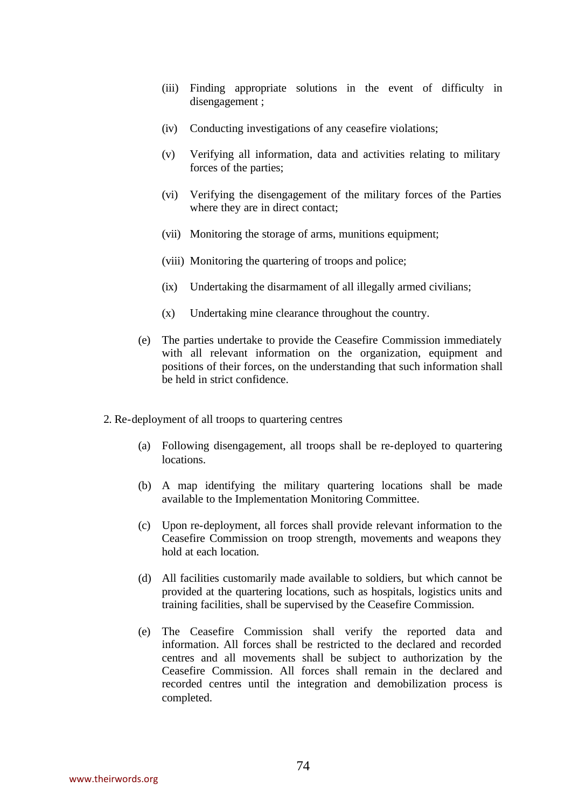- (iii) Finding appropriate solutions in the event of difficulty in disengagement ;
- (iv) Conducting investigations of any ceasefire violations;
- (v) Verifying all information, data and activities relating to military forces of the parties;
- (vi) Verifying the disengagement of the military forces of the Parties where they are in direct contact;
- (vii) Monitoring the storage of arms, munitions equipment;
- (viii) Monitoring the quartering of troops and police;
- (ix) Undertaking the disarmament of all illegally armed civilians;
- (x) Undertaking mine clearance throughout the country.
- (e) The parties undertake to provide the Ceasefire Commission immediately with all relevant information on the organization, equipment and positions of their forces, on the understanding that such information shall be held in strict confidence.
- 2. Re-deployment of all troops to quartering centres
	- (a) Following disengagement, all troops shall be re-deployed to quartering locations.
	- (b) A map identifying the military quartering locations shall be made available to the Implementation Monitoring Committee.
	- (c) Upon re-deployment, all forces shall provide relevant information to the Ceasefire Commission on troop strength, movements and weapons they hold at each location.
	- (d) All facilities customarily made available to soldiers, but which cannot be provided at the quartering locations, such as hospitals, logistics units and training facilities, shall be supervised by the Ceasefire Commission.
	- (e) The Ceasefire Commission shall verify the reported data and information. All forces shall be restricted to the declared and recorded centres and all movements shall be subject to authorization by the Ceasefire Commission. All forces shall remain in the declared and recorded centres until the integration and demobilization process is completed.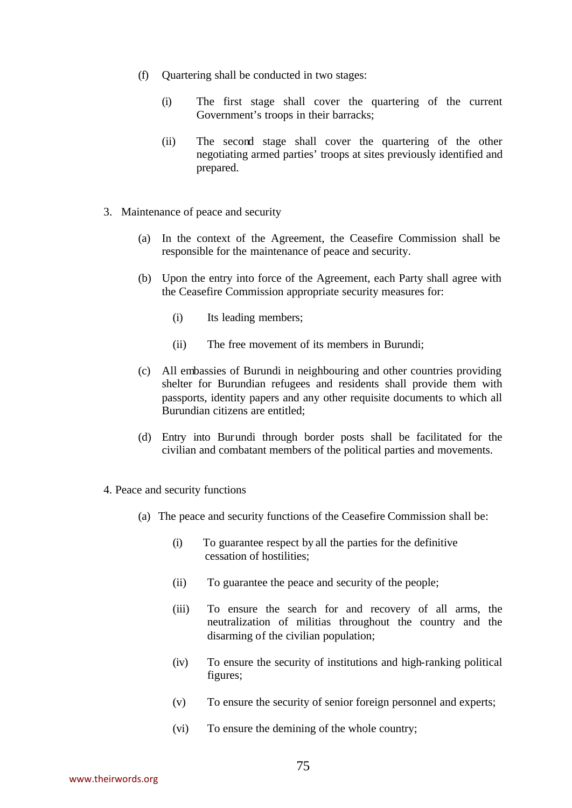- (f) Quartering shall be conducted in two stages:
	- (i) The first stage shall cover the quartering of the current Government's troops in their barracks;
	- (ii) The second stage shall cover the quartering of the other negotiating armed parties' troops at sites previously identified and prepared.
- 3. Maintenance of peace and security
	- (a) In the context of the Agreement, the Ceasefire Commission shall be responsible for the maintenance of peace and security.
	- (b) Upon the entry into force of the Agreement, each Party shall agree with the Ceasefire Commission appropriate security measures for:
		- (i) Its leading members;
		- (ii) The free movement of its members in Burundi;
	- (c) All embassies of Burundi in neighbouring and other countries providing shelter for Burundian refugees and residents shall provide them with passports, identity papers and any other requisite documents to which all Burundian citizens are entitled;
	- (d) Entry into Burundi through border posts shall be facilitated for the civilian and combatant members of the political parties and movements.
- 4. Peace and security functions
	- (a) The peace and security functions of the Ceasefire Commission shall be:
		- (i) To guarantee respect by all the parties for the definitive cessation of hostilities;
		- (ii) To guarantee the peace and security of the people;
		- (iii) To ensure the search for and recovery of all arms, the neutralization of militias throughout the country and the disarming of the civilian population;
		- (iv) To ensure the security of institutions and high-ranking political figures;
		- (v) To ensure the security of senior foreign personnel and experts;
		- (vi) To ensure the demining of the whole country;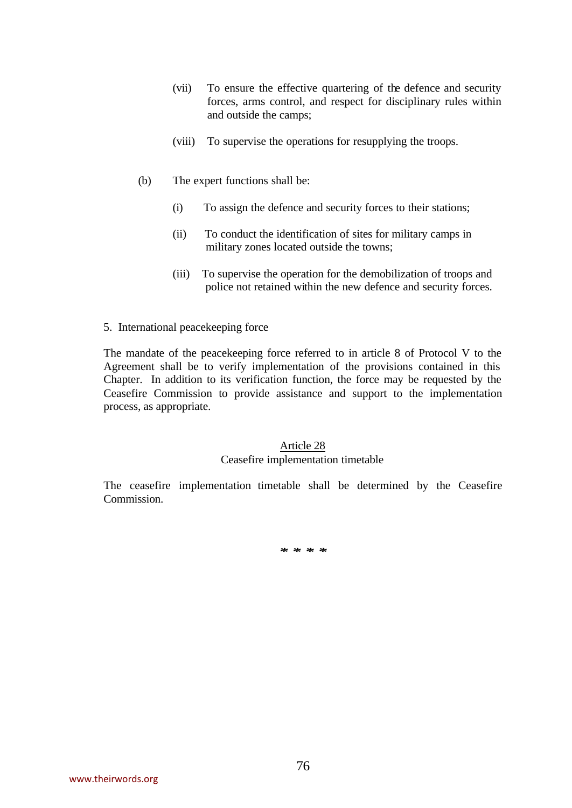- (vii) To ensure the effective quartering of the defence and security forces, arms control, and respect for disciplinary rules within and outside the camps;
- (viii) To supervise the operations for resupplying the troops.
- (b) The expert functions shall be:
	- (i) To assign the defence and security forces to their stations;
	- (ii) To conduct the identification of sites for military camps in military zones located outside the towns;
	- (iii) To supervise the operation for the demobilization of troops and police not retained within the new defence and security forces.
- 5. International peacekeeping force

The mandate of the peacekeeping force referred to in article 8 of Protocol V to the Agreement shall be to verify implementation of the provisions contained in this Chapter. In addition to its verification function, the force may be requested by the Ceasefire Commission to provide assistance and support to the implementation process, as appropriate.

## Article 28

### Ceasefire implementation timetable

The ceasefire implementation timetable shall be determined by the Ceasefire Commission.

*\* \* \* \**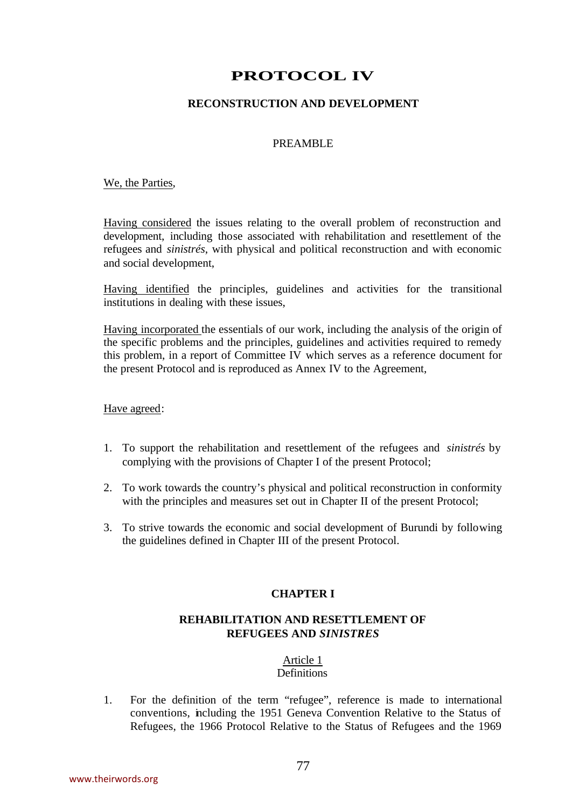# **PROTOCOL IV**

## **RECONSTRUCTION AND DEVELOPMENT**

### PREAMBLE

#### We, the Parties,

Having considered the issues relating to the overall problem of reconstruction and development, including those associated with rehabilitation and resettlement of the refugees and *sinistrés*, with physical and political reconstruction and with economic and social development,

Having identified the principles, guidelines and activities for the transitional institutions in dealing with these issues,

Having incorporated the essentials of our work, including the analysis of the origin of the specific problems and the principles, guidelines and activities required to remedy this problem, in a report of Committee IV which serves as a reference document for the present Protocol and is reproduced as Annex IV to the Agreement,

### Have agreed:

- 1. To support the rehabilitation and resettlement of the refugees and *sinistrés* by complying with the provisions of Chapter I of the present Protocol;
- 2. To work towards the country's physical and political reconstruction in conformity with the principles and measures set out in Chapter II of the present Protocol;
- 3. To strive towards the economic and social development of Burundi by following the guidelines defined in Chapter III of the present Protocol.

### **CHAPTER I**

## **REHABILITATION AND RESETTLEMENT OF REFUGEES AND** *SINISTRES*

### Article 1

### Definitions

1. For the definition of the term "refugee", reference is made to international conventions, including the 1951 Geneva Convention Relative to the Status of Refugees, the 1966 Protocol Relative to the Status of Refugees and the 1969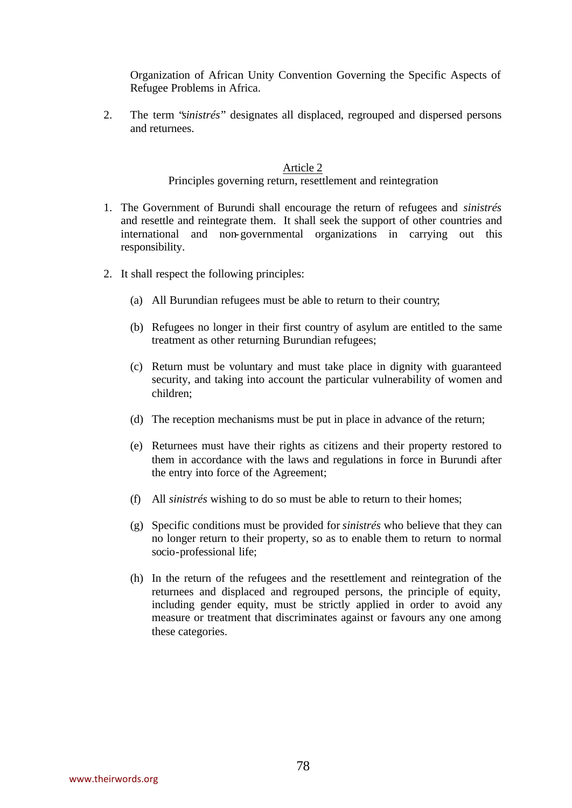Organization of African Unity Convention Governing the Specific Aspects of Refugee Problems in Africa.

2. The term "*sinistrés*" designates all displaced, regrouped and dispersed persons and returnees.

#### Article 2

Principles governing return, resettlement and reintegration

- 1. The Government of Burundi shall encourage the return of refugees and *sinistrés* and resettle and reintegrate them. It shall seek the support of other countries and international and non-governmental organizations in carrying out this responsibility.
- 2. It shall respect the following principles:
	- (a) All Burundian refugees must be able to return to their country;
	- (b) Refugees no longer in their first country of asylum are entitled to the same treatment as other returning Burundian refugees;
	- (c) Return must be voluntary and must take place in dignity with guaranteed security, and taking into account the particular vulnerability of women and children;
	- (d) The reception mechanisms must be put in place in advance of the return;
	- (e) Returnees must have their rights as citizens and their property restored to them in accordance with the laws and regulations in force in Burundi after the entry into force of the Agreement;
	- (f) All *sinistrés* wishing to do so must be able to return to their homes;
	- (g) Specific conditions must be provided for *sinistrés* who believe that they can no longer return to their property, so as to enable them to return to normal socio-professional life;
	- (h) In the return of the refugees and the resettlement and reintegration of the returnees and displaced and regrouped persons, the principle of equity, including gender equity, must be strictly applied in order to avoid any measure or treatment that discriminates against or favours any one among these categories.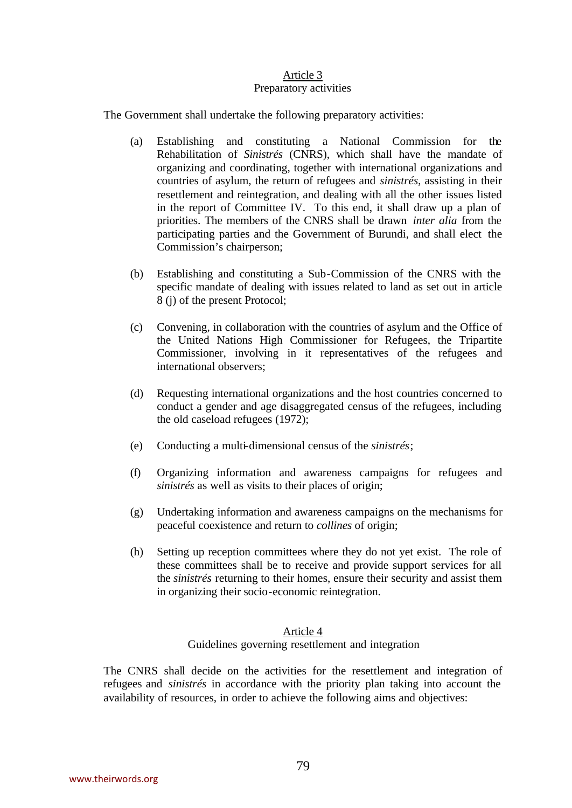## Article 3 Preparatory activities

The Government shall undertake the following preparatory activities:

- (a) Establishing and constituting a National Commission for the Rehabilitation of *Sinistrés* (CNRS), which shall have the mandate of organizing and coordinating, together with international organizations and countries of asylum, the return of refugees and *sinistrés*, assisting in their resettlement and reintegration, and dealing with all the other issues listed in the report of Committee IV. To this end, it shall draw up a plan of priorities. The members of the CNRS shall be drawn *inter alia* from the participating parties and the Government of Burundi, and shall elect the Commission's chairperson;
- (b) Establishing and constituting a Sub-Commission of the CNRS with the specific mandate of dealing with issues related to land as set out in article 8 (j) of the present Protocol;
- (c) Convening, in collaboration with the countries of asylum and the Office of the United Nations High Commissioner for Refugees, the Tripartite Commissioner, involving in it representatives of the refugees and international observers;
- (d) Requesting international organizations and the host countries concerned to conduct a gender and age disaggregated census of the refugees, including the old caseload refugees (1972);
- (e) Conducting a multi-dimensional census of the *sinistrés*;
- (f) Organizing information and awareness campaigns for refugees and *sinistrés* as well as visits to their places of origin;
- (g) Undertaking information and awareness campaigns on the mechanisms for peaceful coexistence and return to *collines* of origin;
- (h) Setting up reception committees where they do not yet exist. The role of these committees shall be to receive and provide support services for all the *sinistrés* returning to their homes, ensure their security and assist them in organizing their socio-economic reintegration.

### Article 4

Guidelines governing resettlement and integration

The CNRS shall decide on the activities for the resettlement and integration of refugees and *sinistrés* in accordance with the priority plan taking into account the availability of resources, in order to achieve the following aims and objectives: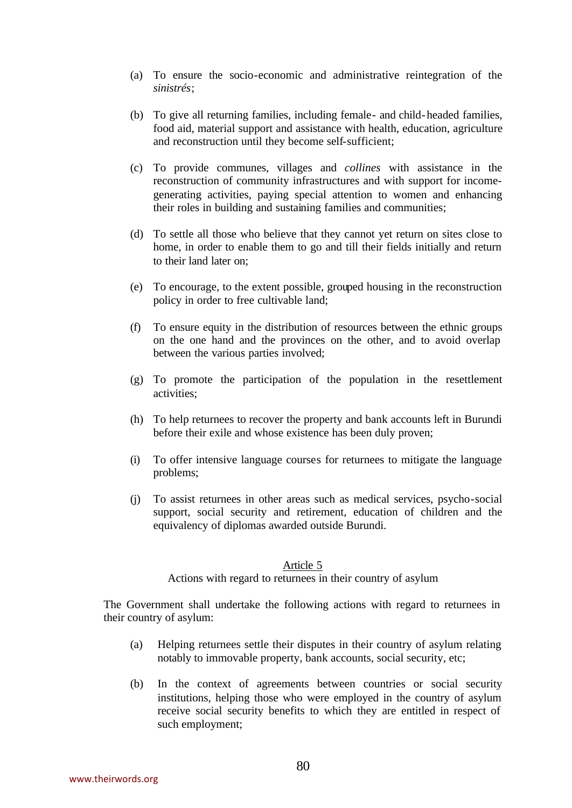- (a) To ensure the socio-economic and administrative reintegration of the *sinistrés*;
- (b) To give all returning families, including female- and child-headed families, food aid, material support and assistance with health, education, agriculture and reconstruction until they become self-sufficient;
- (c) To provide communes, villages and *collines* with assistance in the reconstruction of community infrastructures and with support for incomegenerating activities, paying special attention to women and enhancing their roles in building and sustaining families and communities;
- (d) To settle all those who believe that they cannot yet return on sites close to home, in order to enable them to go and till their fields initially and return to their land later on;
- (e) To encourage, to the extent possible, grouped housing in the reconstruction policy in order to free cultivable land;
- (f) To ensure equity in the distribution of resources between the ethnic groups on the one hand and the provinces on the other, and to avoid overlap between the various parties involved;
- (g) To promote the participation of the population in the resettlement activities;
- (h) To help returnees to recover the property and bank accounts left in Burundi before their exile and whose existence has been duly proven;
- (i) To offer intensive language courses for returnees to mitigate the language problems;
- (j) To assist returnees in other areas such as medical services, psycho-social support, social security and retirement, education of children and the equivalency of diplomas awarded outside Burundi.

Actions with regard to returnees in their country of asylum

The Government shall undertake the following actions with regard to returnees in their country of asylum:

- (a) Helping returnees settle their disputes in their country of asylum relating notably to immovable property, bank accounts, social security, etc;
- (b) In the context of agreements between countries or social security institutions, helping those who were employed in the country of asylum receive social security benefits to which they are entitled in respect of such employment;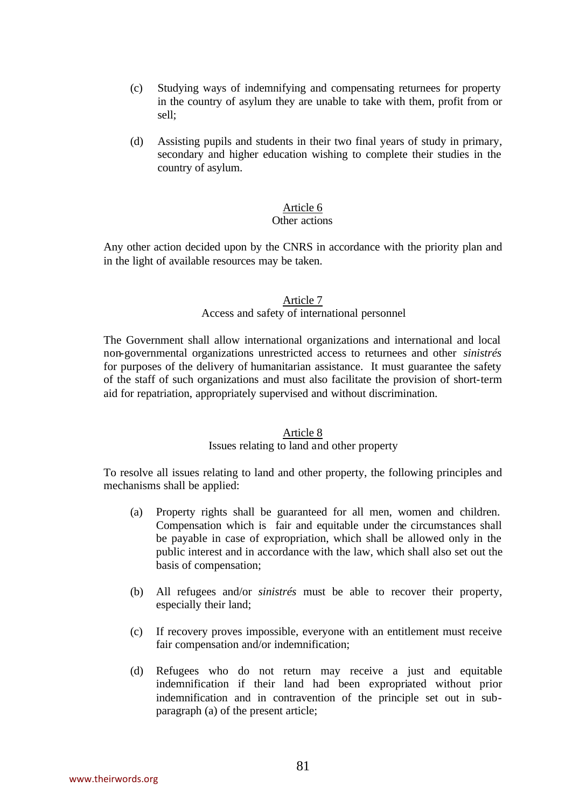- (c) Studying ways of indemnifying and compensating returnees for property in the country of asylum they are unable to take with them, profit from or sell;
- (d) Assisting pupils and students in their two final years of study in primary, secondary and higher education wishing to complete their studies in the country of asylum.

## Other actions

Any other action decided upon by the CNRS in accordance with the priority plan and in the light of available resources may be taken.

### Article 7 Access and safety of international personnel

The Government shall allow international organizations and international and local non-governmental organizations unrestricted access to returnees and other *sinistrés* for purposes of the delivery of humanitarian assistance. It must guarantee the safety of the staff of such organizations and must also facilitate the provision of short-term aid for repatriation, appropriately supervised and without discrimination.

#### Article 8

### Issues relating to land and other property

To resolve all issues relating to land and other property, the following principles and mechanisms shall be applied:

- (a) Property rights shall be guaranteed for all men, women and children. Compensation which is fair and equitable under the circumstances shall be payable in case of expropriation, which shall be allowed only in the public interest and in accordance with the law, which shall also set out the basis of compensation;
- (b) All refugees and/or *sinistrés* must be able to recover their property, especially their land;
- (c) If recovery proves impossible, everyone with an entitlement must receive fair compensation and/or indemnification;
- (d) Refugees who do not return may receive a just and equitable indemnification if their land had been expropriated without prior indemnification and in contravention of the principle set out in subparagraph (a) of the present article;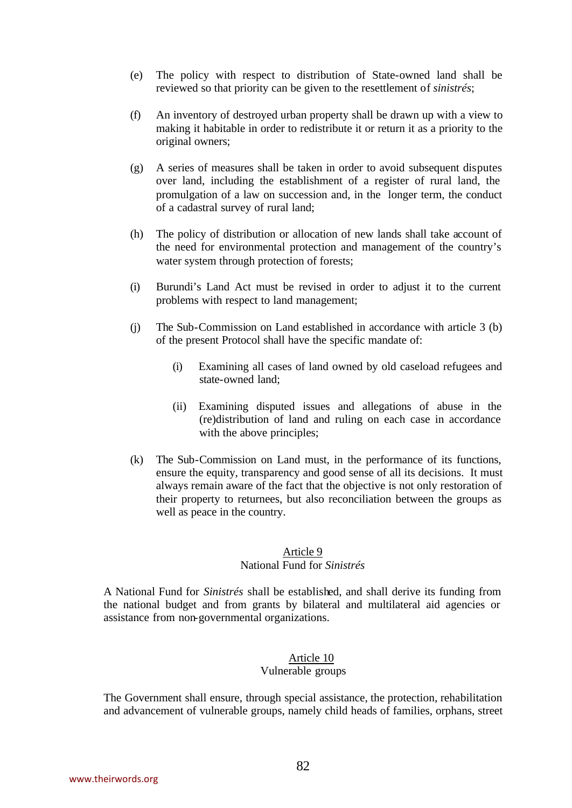- (e) The policy with respect to distribution of State-owned land shall be reviewed so that priority can be given to the resettlement of *sinistrés*;
- (f) An inventory of destroyed urban property shall be drawn up with a view to making it habitable in order to redistribute it or return it as a priority to the original owners;
- (g) A series of measures shall be taken in order to avoid subsequent disputes over land, including the establishment of a register of rural land, the promulgation of a law on succession and, in the longer term, the conduct of a cadastral survey of rural land;
- (h) The policy of distribution or allocation of new lands shall take account of the need for environmental protection and management of the country's water system through protection of forests;
- (i) Burundi's Land Act must be revised in order to adjust it to the current problems with respect to land management;
- (j) The Sub-Commission on Land established in accordance with article 3 (b) of the present Protocol shall have the specific mandate of:
	- (i) Examining all cases of land owned by old caseload refugees and state-owned land;
	- (ii) Examining disputed issues and allegations of abuse in the (re)distribution of land and ruling on each case in accordance with the above principles;
- (k) The Sub-Commission on Land must, in the performance of its functions, ensure the equity, transparency and good sense of all its decisions. It must always remain aware of the fact that the objective is not only restoration of their property to returnees, but also reconciliation between the groups as well as peace in the country.

# National Fund for *Sinistrés*

A National Fund for *Sinistrés* shall be established, and shall derive its funding from the national budget and from grants by bilateral and multilateral aid agencies or assistance from non-governmental organizations.

# Article 10

## Vulnerable groups

The Government shall ensure, through special assistance, the protection, rehabilitation and advancement of vulnerable groups, namely child heads of families, orphans, street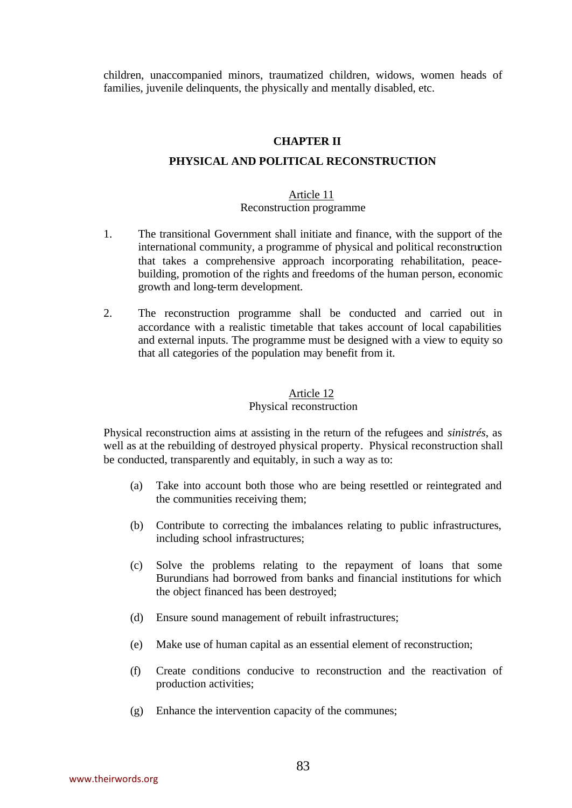children, unaccompanied minors, traumatized children, widows, women heads of families, juvenile delinquents, the physically and mentally disabled, etc.

#### **CHAPTER II**

#### **PHYSICAL AND POLITICAL RECONSTRUCTION**

#### Article 11 Reconstruction programme

- 1. The transitional Government shall initiate and finance, with the support of the international community, a programme of physical and political reconstruction that takes a comprehensive approach incorporating rehabilitation, peacebuilding, promotion of the rights and freedoms of the human person, economic growth and long-term development.
- 2. The reconstruction programme shall be conducted and carried out in accordance with a realistic timetable that takes account of local capabilities and external inputs. The programme must be designed with a view to equity so that all categories of the population may benefit from it.

## Article 12

## Physical reconstruction

Physical reconstruction aims at assisting in the return of the refugees and *sinistrés*, as well as at the rebuilding of destroyed physical property. Physical reconstruction shall be conducted, transparently and equitably, in such a way as to:

- (a) Take into account both those who are being resettled or reintegrated and the communities receiving them;
- (b) Contribute to correcting the imbalances relating to public infrastructures, including school infrastructures;
- (c) Solve the problems relating to the repayment of loans that some Burundians had borrowed from banks and financial institutions for which the object financed has been destroyed;
- (d) Ensure sound management of rebuilt infrastructures;
- (e) Make use of human capital as an essential element of reconstruction;
- (f) Create conditions conducive to reconstruction and the reactivation of production activities;
- (g) Enhance the intervention capacity of the communes;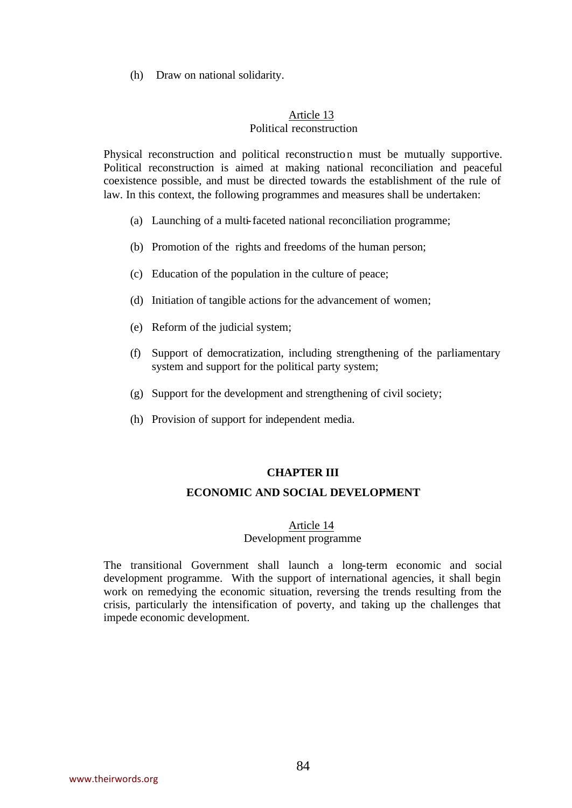(h) Draw on national solidarity.

## Article 13 Political reconstruction

Physical reconstruction and political reconstruction must be mutually supportive. Political reconstruction is aimed at making national reconciliation and peaceful coexistence possible, and must be directed towards the establishment of the rule of law. In this context, the following programmes and measures shall be undertaken:

- (a) Launching of a multi-faceted national reconciliation programme;
- (b) Promotion of the rights and freedoms of the human person;
- (c) Education of the population in the culture of peace;
- (d) Initiation of tangible actions for the advancement of women;
- (e) Reform of the judicial system;
- (f) Support of democratization, including strengthening of the parliamentary system and support for the political party system;
- (g) Support for the development and strengthening of civil society;
- (h) Provision of support for independent media.

#### **CHAPTER III**

## **ECONOMIC AND SOCIAL DEVELOPMENT**

#### Article 14

## Development programme

The transitional Government shall launch a long-term economic and social development programme. With the support of international agencies, it shall begin work on remedying the economic situation, reversing the trends resulting from the crisis, particularly the intensification of poverty, and taking up the challenges that impede economic development.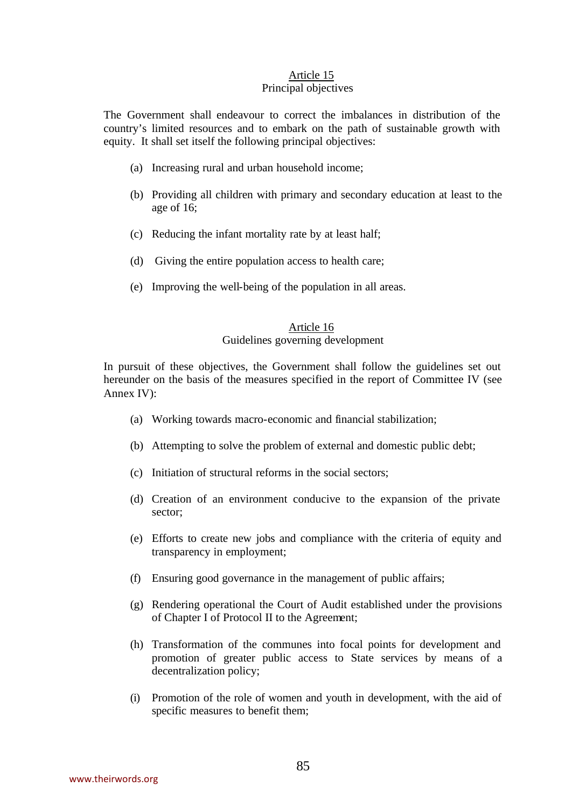## Principal objectives

The Government shall endeavour to correct the imbalances in distribution of the country's limited resources and to embark on the path of sustainable growth with equity. It shall set itself the following principal objectives:

- (a) Increasing rural and urban household income;
- (b) Providing all children with primary and secondary education at least to the age of 16;
- (c) Reducing the infant mortality rate by at least half;
- (d) Giving the entire population access to health care;
- (e) Improving the well-being of the population in all areas.

## Article 16 Guidelines governing development

In pursuit of these objectives, the Government shall follow the guidelines set out hereunder on the basis of the measures specified in the report of Committee IV (see Annex IV):

- (a) Working towards macro-economic and financial stabilization;
- (b) Attempting to solve the problem of external and domestic public debt;
- (c) Initiation of structural reforms in the social sectors;
- (d) Creation of an environment conducive to the expansion of the private sector;
- (e) Efforts to create new jobs and compliance with the criteria of equity and transparency in employment;
- (f) Ensuring good governance in the management of public affairs;
- (g) Rendering operational the Court of Audit established under the provisions of Chapter I of Protocol II to the Agreement;
- (h) Transformation of the communes into focal points for development and promotion of greater public access to State services by means of a decentralization policy;
- (i) Promotion of the role of women and youth in development, with the aid of specific measures to benefit them;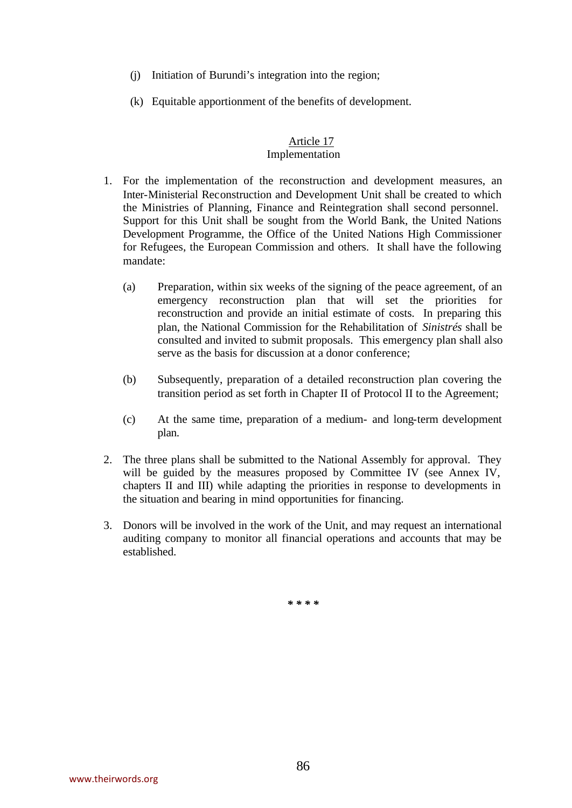- (j) Initiation of Burundi's integration into the region;
- (k) Equitable apportionment of the benefits of development.

#### Article 17 Implementation

- 1. For the implementation of the reconstruction and development measures, an Inter-Ministerial Reconstruction and Development Unit shall be created to which the Ministries of Planning, Finance and Reintegration shall second personnel. Support for this Unit shall be sought from the World Bank, the United Nations Development Programme, the Office of the United Nations High Commissioner for Refugees, the European Commission and others. It shall have the following mandate:
	- (a) Preparation, within six weeks of the signing of the peace agreement, of an emergency reconstruction plan that will set the priorities for reconstruction and provide an initial estimate of costs. In preparing this plan, the National Commission for the Rehabilitation of *Sinistrés* shall be consulted and invited to submit proposals. This emergency plan shall also serve as the basis for discussion at a donor conference;
	- (b) Subsequently, preparation of a detailed reconstruction plan covering the transition period as set forth in Chapter II of Protocol II to the Agreement;
	- (c) At the same time, preparation of a medium- and long-term development plan.
- 2. The three plans shall be submitted to the National Assembly for approval. They will be guided by the measures proposed by Committee IV (see Annex IV, chapters II and III) while adapting the priorities in response to developments in the situation and bearing in mind opportunities for financing.
- 3. Donors will be involved in the work of the Unit, and may request an international auditing company to monitor all financial operations and accounts that may be established.

*\* \* \* \**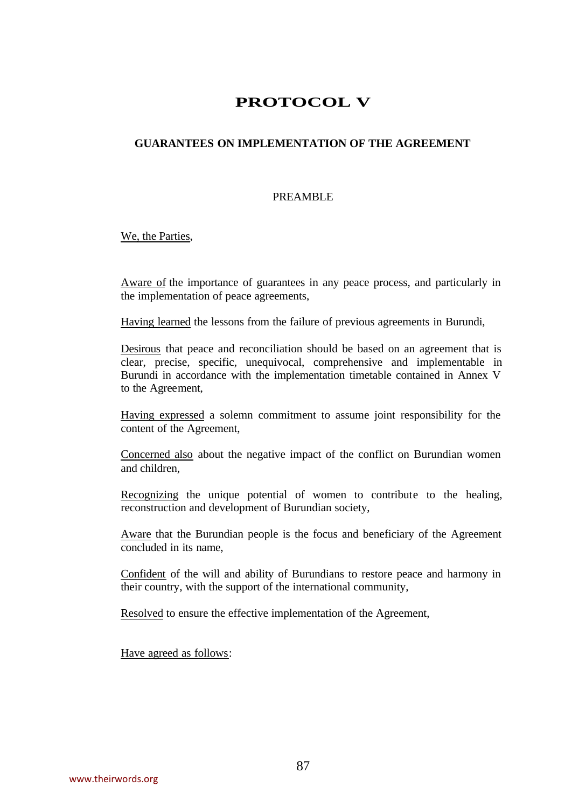# **PROTOCOL V**

## **GUARANTEES ON IMPLEMENTATION OF THE AGREEMENT**

## PREAMBLE

We, the Parties,

Aware of the importance of guarantees in any peace process, and particularly in the implementation of peace agreements,

Having learned the lessons from the failure of previous agreements in Burundi,

Desirous that peace and reconciliation should be based on an agreement that is clear, precise, specific, unequivocal, comprehensive and implementable in Burundi in accordance with the implementation timetable contained in Annex V to the Agreement,

Having expressed a solemn commitment to assume joint responsibility for the content of the Agreement,

Concerned also about the negative impact of the conflict on Burundian women and children,

Recognizing the unique potential of women to contribute to the healing, reconstruction and development of Burundian society,

Aware that the Burundian people is the focus and beneficiary of the Agreement concluded in its name,

Confident of the will and ability of Burundians to restore peace and harmony in their country, with the support of the international community,

Resolved to ensure the effective implementation of the Agreement,

Have agreed as follows: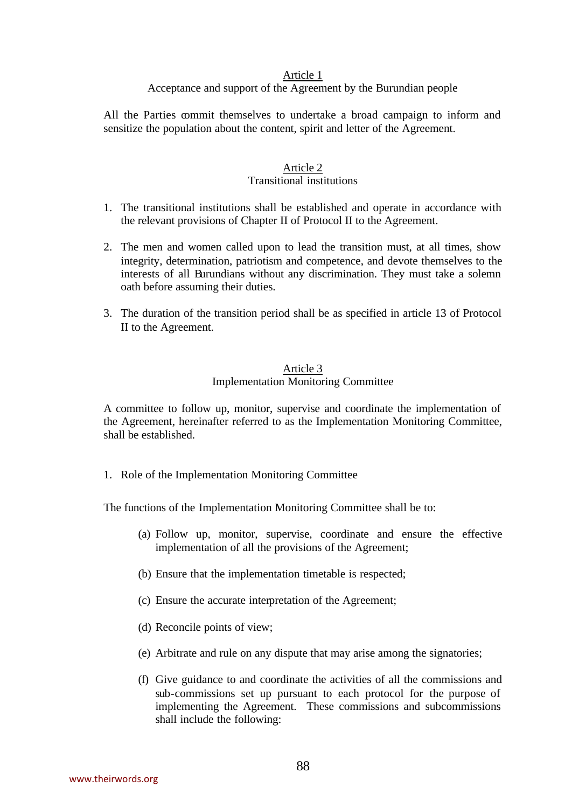## Acceptance and support of the Agreement by the Burundian people

All the Parties commit themselves to undertake a broad campaign to inform and sensitize the population about the content, spirit and letter of the Agreement.

# Article 2

## Transitional institutions

- 1. The transitional institutions shall be established and operate in accordance with the relevant provisions of Chapter II of Protocol II to the Agreement.
- 2. The men and women called upon to lead the transition must, at all times, show integrity, determination, patriotism and competence, and devote themselves to the interests of all Burundians without any discrimination. They must take a solemn oath before assuming their duties.
- 3. The duration of the transition period shall be as specified in article 13 of Protocol II to the Agreement.

## Article 3 Implementation Monitoring Committee

A committee to follow up, monitor, supervise and coordinate the implementation of the Agreement, hereinafter referred to as the Implementation Monitoring Committee, shall be established.

1. Role of the Implementation Monitoring Committee

The functions of the Implementation Monitoring Committee shall be to:

- (a) Follow up, monitor, supervise, coordinate and ensure the effective implementation of all the provisions of the Agreement;
- (b) Ensure that the implementation timetable is respected;
- (c) Ensure the accurate interpretation of the Agreement;
- (d) Reconcile points of view;
- (e) Arbitrate and rule on any dispute that may arise among the signatories;
- (f) Give guidance to and coordinate the activities of all the commissions and sub-commissions set up pursuant to each protocol for the purpose of implementing the Agreement. These commissions and subcommissions shall include the following: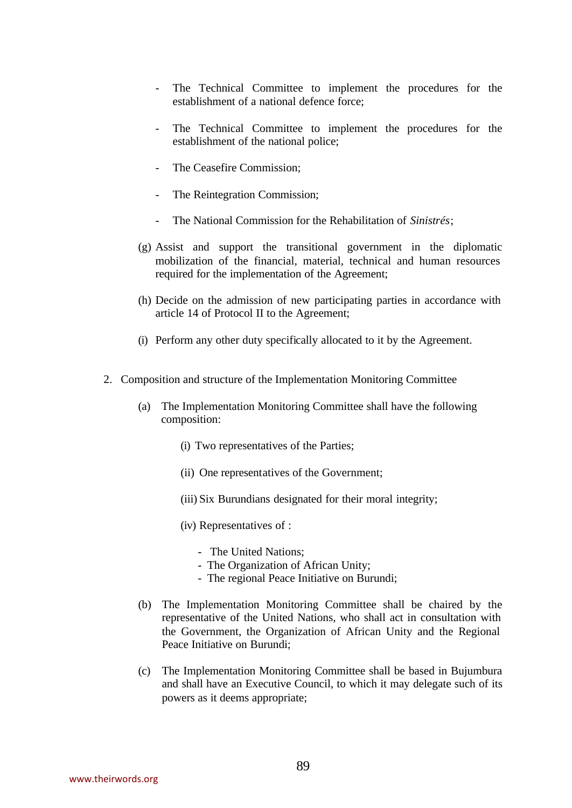- The Technical Committee to implement the procedures for the establishment of a national defence force;
- The Technical Committee to implement the procedures for the establishment of the national police;
- The Ceasefire Commission;
- The Reintegration Commission;
- The National Commission for the Rehabilitation of *Sinistrés*;
- (g) Assist and support the transitional government in the diplomatic mobilization of the financial, material, technical and human resources required for the implementation of the Agreement;
- (h) Decide on the admission of new participating parties in accordance with article 14 of Protocol II to the Agreement;
- (i) Perform any other duty specifically allocated to it by the Agreement.
- 2. Composition and structure of the Implementation Monitoring Committee
	- (a) The Implementation Monitoring Committee shall have the following composition:
		- (i) Two representatives of the Parties;
		- (ii) One representatives of the Government;
		- (iii) Six Burundians designated for their moral integrity;
		- (iv) Representatives of :
			- The United Nations;
			- The Organization of African Unity;
			- The regional Peace Initiative on Burundi;
	- (b) The Implementation Monitoring Committee shall be chaired by the representative of the United Nations, who shall act in consultation with the Government, the Organization of African Unity and the Regional Peace Initiative on Burundi;
	- (c) The Implementation Monitoring Committee shall be based in Bujumbura and shall have an Executive Council, to which it may delegate such of its powers as it deems appropriate;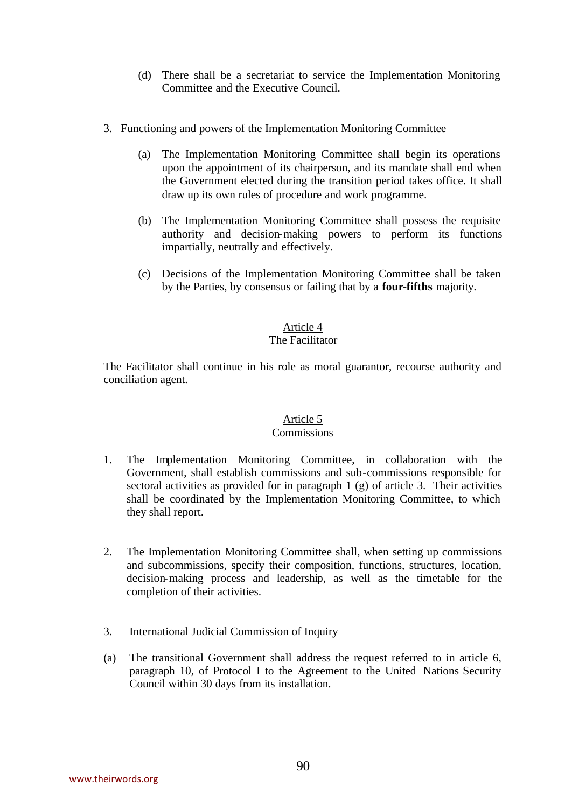- (d) There shall be a secretariat to service the Implementation Monitoring Committee and the Executive Council.
- 3. Functioning and powers of the Implementation Monitoring Committee
	- (a) The Implementation Monitoring Committee shall begin its operations upon the appointment of its chairperson, and its mandate shall end when the Government elected during the transition period takes office. It shall draw up its own rules of procedure and work programme.
	- (b) The Implementation Monitoring Committee shall possess the requisite authority and decision-making powers to perform its functions impartially, neutrally and effectively.
	- (c) Decisions of the Implementation Monitoring Committee shall be taken by the Parties, by consensus or failing that by a **four-fifths** majority.

# The Facilitator

The Facilitator shall continue in his role as moral guarantor, recourse authority and conciliation agent.

# Article 5

### Commissions

- 1. The Implementation Monitoring Committee, in collaboration with the Government, shall establish commissions and sub-commissions responsible for sectoral activities as provided for in paragraph 1 (g) of article 3. Their activities shall be coordinated by the Implementation Monitoring Committee, to which they shall report.
- 2. The Implementation Monitoring Committee shall, when setting up commissions and subcommissions, specify their composition, functions, structures, location, decision-making process and leadership, as well as the timetable for the completion of their activities.
- 3. International Judicial Commission of Inquiry
- (a) The transitional Government shall address the request referred to in article 6, paragraph 10, of Protocol I to the Agreement to the United Nations Security Council within 30 days from its installation.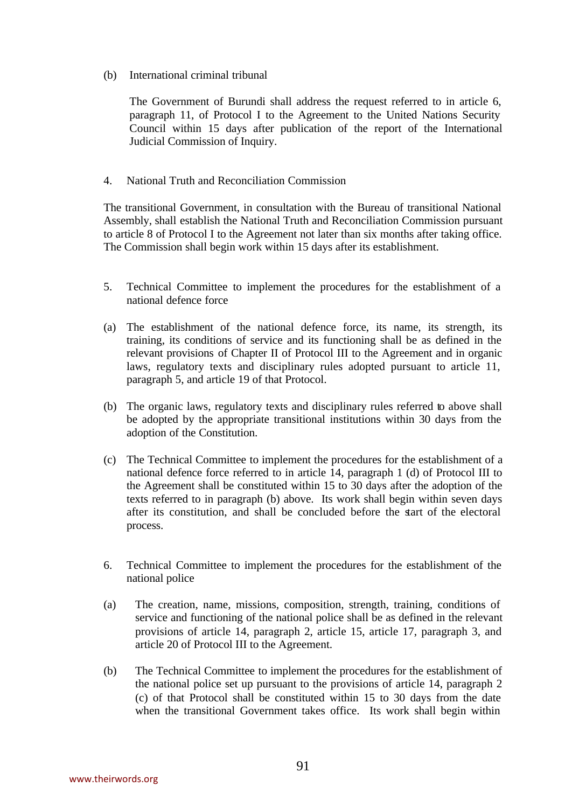(b) International criminal tribunal

The Government of Burundi shall address the request referred to in article 6, paragraph 11, of Protocol I to the Agreement to the United Nations Security Council within 15 days after publication of the report of the International Judicial Commission of Inquiry.

4. National Truth and Reconciliation Commission

The transitional Government, in consultation with the Bureau of transitional National Assembly, shall establish the National Truth and Reconciliation Commission pursuant to article 8 of Protocol I to the Agreement not later than six months after taking office. The Commission shall begin work within 15 days after its establishment.

- 5. Technical Committee to implement the procedures for the establishment of a national defence force
- (a) The establishment of the national defence force, its name, its strength, its training, its conditions of service and its functioning shall be as defined in the relevant provisions of Chapter II of Protocol III to the Agreement and in organic laws, regulatory texts and disciplinary rules adopted pursuant to article 11, paragraph 5, and article 19 of that Protocol.
- (b) The organic laws, regulatory texts and disciplinary rules referred to above shall be adopted by the appropriate transitional institutions within 30 days from the adoption of the Constitution.
- (c) The Technical Committee to implement the procedures for the establishment of a national defence force referred to in article 14, paragraph 1 (d) of Protocol III to the Agreement shall be constituted within 15 to 30 days after the adoption of the texts referred to in paragraph (b) above. Its work shall begin within seven days after its constitution, and shall be concluded before the start of the electoral process.
- 6. Technical Committee to implement the procedures for the establishment of the national police
- (a) The creation, name, missions, composition, strength, training, conditions of service and functioning of the national police shall be as defined in the relevant provisions of article 14, paragraph 2, article 15, article 17, paragraph 3, and article 20 of Protocol III to the Agreement.
- (b) The Technical Committee to implement the procedures for the establishment of the national police set up pursuant to the provisions of article 14, paragraph 2 (c) of that Protocol shall be constituted within 15 to 30 days from the date when the transitional Government takes office. Its work shall begin within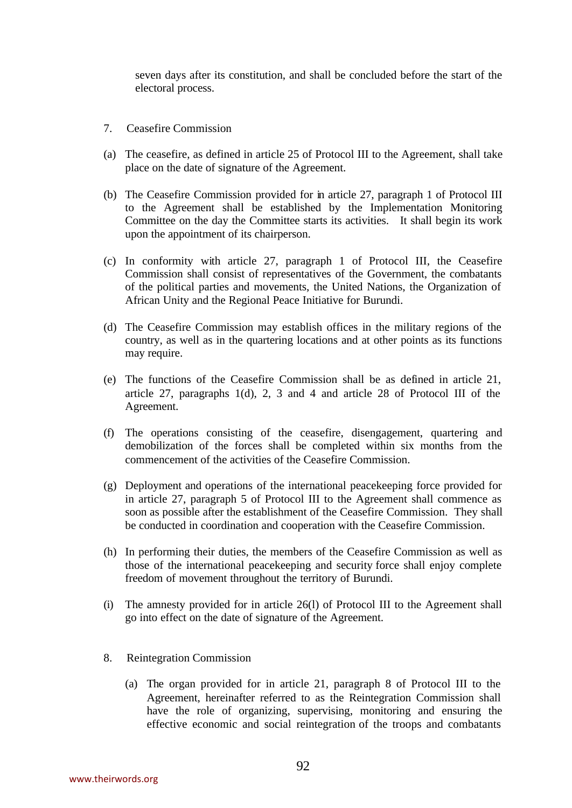seven days after its constitution, and shall be concluded before the start of the electoral process.

- 7. Ceasefire Commission
- (a) The ceasefire, as defined in article 25 of Protocol III to the Agreement, shall take place on the date of signature of the Agreement.
- (b) The Ceasefire Commission provided for in article 27, paragraph 1 of Protocol III to the Agreement shall be established by the Implementation Monitoring Committee on the day the Committee starts its activities. It shall begin its work upon the appointment of its chairperson.
- (c) In conformity with article 27, paragraph 1 of Protocol III, the Ceasefire Commission shall consist of representatives of the Government, the combatants of the political parties and movements, the United Nations, the Organization of African Unity and the Regional Peace Initiative for Burundi.
- (d) The Ceasefire Commission may establish offices in the military regions of the country, as well as in the quartering locations and at other points as its functions may require.
- (e) The functions of the Ceasefire Commission shall be as defined in article 21, article 27, paragraphs 1(d), 2, 3 and 4 and article 28 of Protocol III of the Agreement.
- (f) The operations consisting of the ceasefire, disengagement, quartering and demobilization of the forces shall be completed within six months from the commencement of the activities of the Ceasefire Commission.
- (g) Deployment and operations of the international peacekeeping force provided for in article 27, paragraph 5 of Protocol III to the Agreement shall commence as soon as possible after the establishment of the Ceasefire Commission. They shall be conducted in coordination and cooperation with the Ceasefire Commission.
- (h) In performing their duties, the members of the Ceasefire Commission as well as those of the international peacekeeping and security force shall enjoy complete freedom of movement throughout the territory of Burundi.
- (i) The amnesty provided for in article 26(l) of Protocol III to the Agreement shall go into effect on the date of signature of the Agreement.
- 8. Reintegration Commission
	- (a) The organ provided for in article 21, paragraph 8 of Protocol III to the Agreement, hereinafter referred to as the Reintegration Commission shall have the role of organizing, supervising, monitoring and ensuring the effective economic and social reintegration of the troops and combatants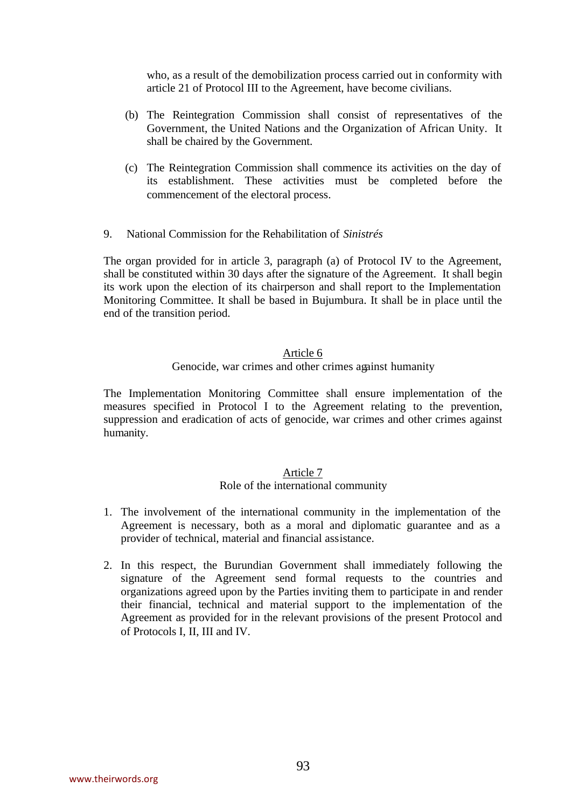who, as a result of the demobilization process carried out in conformity with article 21 of Protocol III to the Agreement, have become civilians.

- (b) The Reintegration Commission shall consist of representatives of the Government, the United Nations and the Organization of African Unity. It shall be chaired by the Government.
- (c) The Reintegration Commission shall commence its activities on the day of its establishment. These activities must be completed before the commencement of the electoral process.
- 9. National Commission for the Rehabilitation of *Sinistrés*

The organ provided for in article 3, paragraph (a) of Protocol IV to the Agreement, shall be constituted within 30 days after the signature of the Agreement. It shall begin its work upon the election of its chairperson and shall report to the Implementation Monitoring Committee. It shall be based in Bujumbura. It shall be in place until the end of the transition period.

#### Article 6

#### Genocide, war crimes and other crimes against humanity

The Implementation Monitoring Committee shall ensure implementation of the measures specified in Protocol I to the Agreement relating to the prevention, suppression and eradication of acts of genocide, war crimes and other crimes against humanity.

### Article 7

#### Role of the international community

- 1. The involvement of the international community in the implementation of the Agreement is necessary, both as a moral and diplomatic guarantee and as a provider of technical, material and financial assistance.
- 2. In this respect, the Burundian Government shall immediately following the signature of the Agreement send formal requests to the countries and organizations agreed upon by the Parties inviting them to participate in and render their financial, technical and material support to the implementation of the Agreement as provided for in the relevant provisions of the present Protocol and of Protocols I, II, III and IV.